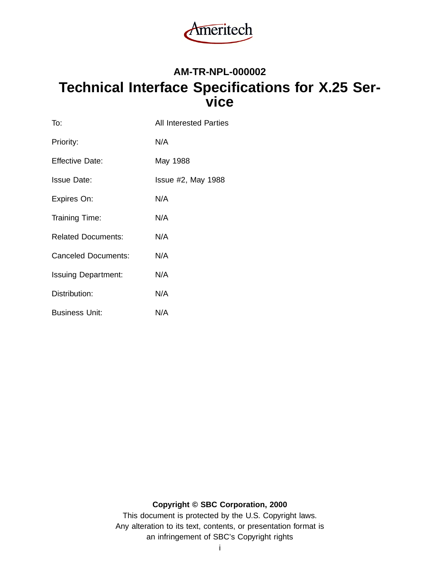

# **AM-TR-NPL-000002 Technical Interface Specifications for X.25 Service**

| To:                        | <b>All Interested Parties</b> |
|----------------------------|-------------------------------|
| Priority:                  | N/A                           |
| <b>Effective Date:</b>     | May 1988                      |
| <b>Issue Date:</b>         | $Is sue #2$ , May 1988        |
| Expires On:                | N/A                           |
| Training Time:             | N/A                           |
| <b>Related Documents:</b>  | N/A                           |
| Canceled Documents:        | N/A                           |
| <b>Issuing Department:</b> | N/A                           |
| Distribution:              | N/A                           |
| <b>Business Unit:</b>      | N/A                           |

# **Copyright © SBC Corporation, 2000**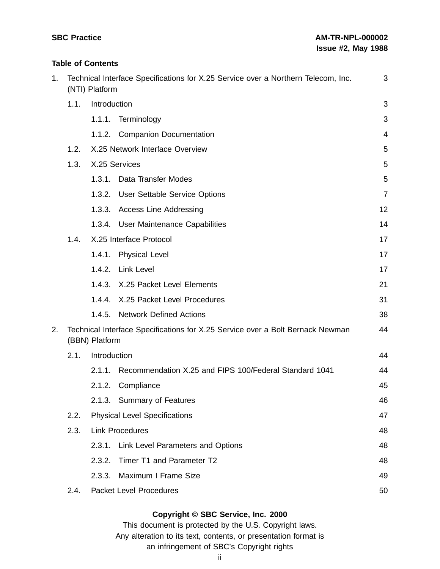# **Table of Contents**

| 1. | Technical Interface Specifications for X.25 Service over a Northern Telecom, Inc.<br>(NTI) Platform |                |                                                                                | 3              |
|----|-----------------------------------------------------------------------------------------------------|----------------|--------------------------------------------------------------------------------|----------------|
|    | 1.1.                                                                                                | Introduction   |                                                                                | 3              |
|    |                                                                                                     | 1.1.1.         | Terminology                                                                    | 3              |
|    |                                                                                                     |                | 1.1.2. Companion Documentation                                                 | 4              |
|    | 1.2.                                                                                                |                | X.25 Network Interface Overview                                                | 5              |
|    | 1.3.                                                                                                |                | X.25 Services                                                                  | 5              |
|    |                                                                                                     | 1.3.1.         | Data Transfer Modes                                                            | 5              |
|    |                                                                                                     |                | 1.3.2. User Settable Service Options                                           | $\overline{7}$ |
|    |                                                                                                     |                | 1.3.3. Access Line Addressing                                                  | 12             |
|    |                                                                                                     |                | 1.3.4. User Maintenance Capabilities                                           | 14             |
|    | 1.4.                                                                                                |                | X.25 Interface Protocol                                                        | 17             |
|    |                                                                                                     | 1.4.1.         | <b>Physical Level</b>                                                          | 17             |
|    |                                                                                                     |                | 1.4.2. Link Level                                                              | 17             |
|    |                                                                                                     |                | 1.4.3. X.25 Packet Level Elements                                              | 21             |
|    |                                                                                                     | 1.4.4.         | X.25 Packet Level Procedures                                                   | 31             |
|    |                                                                                                     | 1.4.5.         | <b>Network Defined Actions</b>                                                 | 38             |
| 2. |                                                                                                     | (BBN) Platform | Technical Interface Specifications for X.25 Service over a Bolt Bernack Newman | 44             |
|    | Introduction<br>2.1.                                                                                |                |                                                                                | 44             |
|    |                                                                                                     | 2.1.1.         | Recommendation X.25 and FIPS 100/Federal Standard 1041                         | 44             |
|    |                                                                                                     | 2.1.2.         | Compliance                                                                     | 45             |
|    |                                                                                                     |                | 2.1.3. Summary of Features                                                     | 46             |
|    | 2.2.                                                                                                |                | <b>Physical Level Specifications</b>                                           | 47             |
|    | 2.3.                                                                                                |                | <b>Link Procedures</b>                                                         | 48             |
|    |                                                                                                     | 2.3.1.         | Link Level Parameters and Options                                              | 48             |
|    |                                                                                                     | 2.3.2.         | Timer T1 and Parameter T2                                                      | 48             |
|    |                                                                                                     | 2.3.3.         | Maximum I Frame Size                                                           | 49             |
|    | 2.4.                                                                                                |                | <b>Packet Level Procedures</b>                                                 | 50             |

### **Copyright © SBC Service, Inc. 2000**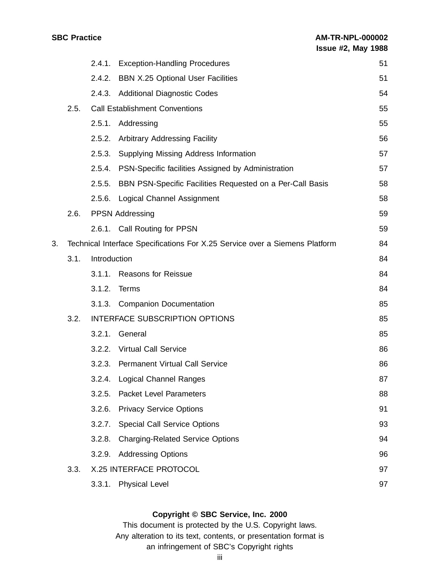|    |      | 2.4.1.                         | <b>Exception-Handling Procedures</b>                                        | 51 |
|----|------|--------------------------------|-----------------------------------------------------------------------------|----|
|    |      | 2.4.2.                         | <b>BBN X.25 Optional User Facilities</b>                                    | 51 |
|    |      |                                | 2.4.3. Additional Diagnostic Codes                                          | 54 |
|    | 2.5. |                                | <b>Call Establishment Conventions</b>                                       | 55 |
|    |      | 2.5.1.                         | Addressing                                                                  | 55 |
|    |      | 2.5.2.                         | <b>Arbitrary Addressing Facility</b>                                        | 56 |
|    |      | 2.5.3.                         | Supplying Missing Address Information                                       | 57 |
|    |      |                                | 2.5.4. PSN-Specific facilities Assigned by Administration                   | 57 |
|    |      | 2.5.5.                         | BBN PSN-Specific Facilities Requested on a Per-Call Basis                   | 58 |
|    |      | 2.5.6.                         | Logical Channel Assignment                                                  | 58 |
|    | 2.6. |                                | <b>PPSN Addressing</b>                                                      | 59 |
|    |      |                                | 2.6.1. Call Routing for PPSN                                                | 59 |
| 3. |      |                                | Technical Interface Specifications For X.25 Service over a Siemens Platform | 84 |
|    | 3.1. | Introduction                   |                                                                             | 84 |
|    |      | 3.1.1.                         | <b>Reasons for Reissue</b>                                                  | 84 |
|    |      | 3.1.2.                         | Terms                                                                       | 84 |
|    |      |                                | 3.1.3. Companion Documentation                                              | 85 |
|    | 3.2. | INTERFACE SUBSCRIPTION OPTIONS |                                                                             | 85 |
|    |      | 3.2.1.                         | General                                                                     | 85 |
|    |      |                                | 3.2.2. Virtual Call Service                                                 | 86 |
|    |      | 3.2.3.                         | <b>Permanent Virtual Call Service</b>                                       | 86 |
|    |      |                                | 3.2.4. Logical Channel Ranges                                               | 87 |
|    |      | 3.2.5.                         | <b>Packet Level Parameters</b>                                              | 88 |
|    |      | 3.2.6.                         | <b>Privacy Service Options</b>                                              | 91 |
|    |      |                                | 3.2.7. Special Call Service Options                                         | 93 |
|    |      | 3.2.8.                         | <b>Charging-Related Service Options</b>                                     | 94 |
|    |      | 3.2.9.                         | <b>Addressing Options</b>                                                   | 96 |
|    | 3.3. |                                | X.25 INTERFACE PROTOCOL                                                     | 97 |
|    |      |                                | 3.3.1. Physical Level                                                       | 97 |

### **Copyright © SBC Service, Inc. 2000**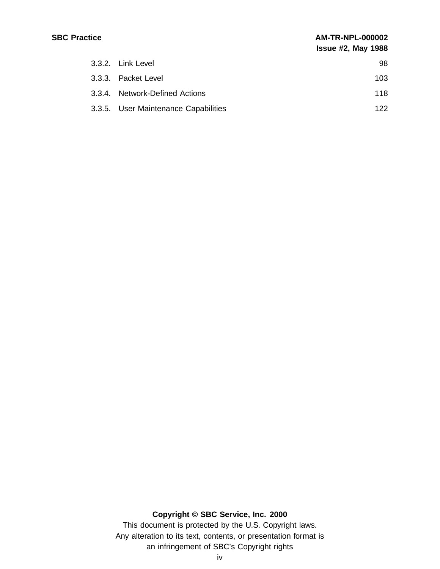| 3.3.2. Link Level                    | 98  |
|--------------------------------------|-----|
| 3.3.3. Packet Level                  | 103 |
| 3.3.4. Network-Defined Actions       | 118 |
| 3.3.5. User Maintenance Capabilities | 122 |

# **Copyright © SBC Service, Inc. 2000**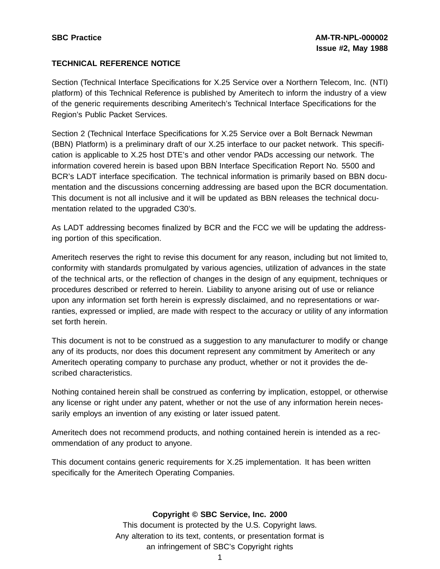### **TECHNICAL REFERENCE NOTICE**

Section (Technical Interface Specifications for X.25 Service over a Northern Telecom, Inc. (NTI) platform) of this Technical Reference is published by Ameritech to inform the industry of a view of the generic requirements describing Ameritech's Technical Interface Specifications for the Region's Public Packet Services.

Section 2 (Technical Interface Specifications for X.25 Service over a Bolt Bernack Newman (BBN) Platform) is a preliminary draft of our X.25 interface to our packet network. This specification is applicable to X.25 host DTE's and other vendor PADs accessing our network. The information covered herein is based upon BBN Interface Specification Report No. 5500 and BCR's LADT interface specification. The technical information is primarily based on BBN documentation and the discussions concerning addressing are based upon the BCR documentation. This document is not all inclusive and it will be updated as BBN releases the technical documentation related to the upgraded C30's.

As LADT addressing becomes finalized by BCR and the FCC we will be updating the addressing portion of this specification.

Ameritech reserves the right to revise this document for any reason, including but not limited to, conformity with standards promulgated by various agencies, utilization of advances in the state of the technical arts, or the reflection of changes in the design of any equipment, techniques or procedures described or referred to herein. Liability to anyone arising out of use or reliance upon any information set forth herein is expressly disclaimed, and no representations or warranties, expressed or implied, are made with respect to the accuracy or utility of any information set forth herein.

This document is not to be construed as a suggestion to any manufacturer to modify or change any of its products, nor does this document represent any commitment by Ameritech or any Ameritech operating company to purchase any product, whether or not it provides the described characteristics.

Nothing contained herein shall be construed as conferring by implication, estoppel, or otherwise any license or right under any patent, whether or not the use of any information herein necessarily employs an invention of any existing or later issued patent.

Ameritech does not recommend products, and nothing contained herein is intended as a recommendation of any product to anyone.

This document contains generic requirements for X.25 implementation. It has been written specifically for the Ameritech Operating Companies.

#### **Copyright © SBC Service, Inc. 2000**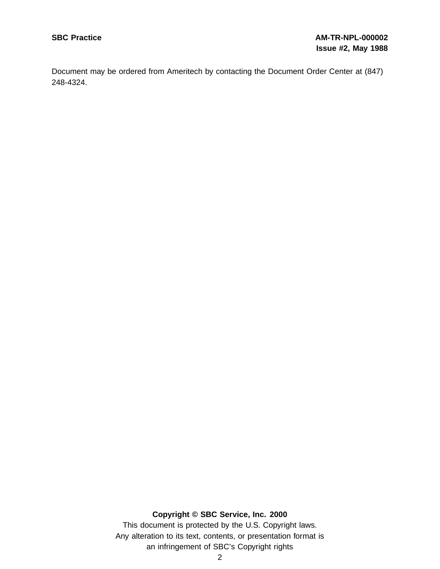Document may be ordered from Ameritech by contacting the Document Order Center at (847) 248-4324.

# **Copyright © SBC Service, Inc. 2000**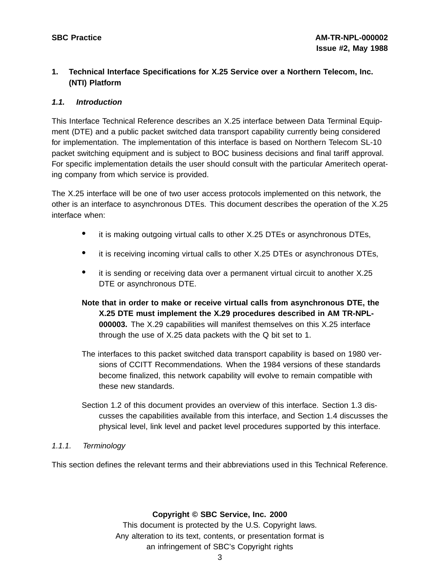# **1. Technical Interface Specifications for X.25 Service over a Northern Telecom, Inc. (NTI) Platform**

### **1.1. Introduction**

This Interface Technical Reference describes an X.25 interface between Data Terminal Equipment (DTE) and a public packet switched data transport capability currently being considered for implementation. The implementation of this interface is based on Northern Telecom SL-10 packet switching equipment and is subject to BOC business decisions and final tariff approval. For specific implementation details the user should consult with the particular Ameritech operating company from which service is provided.

The X.25 interface will be one of two user access protocols implemented on this network, the other is an interface to asynchronous DTEs. This document describes the operation of the X.25 interface when:

- it is making outgoing virtual calls to other X.25 DTEs or asynchronous DTEs,
- it is receiving incoming virtual calls to other X.25 DTEs or asynchronous DTEs,
- it is sending or receiving data over a permanent virtual circuit to another X.25 DTE or asynchronous DTE.
- **Note that in order to make or receive virtual calls from asynchronous DTE, the X.25 DTE must implement the X.29 procedures described in AM TR-NPL-000003.** The X.29 capabilities will manifest themselves on this X.25 interface through the use of X.25 data packets with the Q bit set to 1.
- The interfaces to this packet switched data transport capability is based on 1980 versions of CCITT Recommendations. When the 1984 versions of these standards become finalized, this network capability will evolve to remain compatible with these new standards.
- Section 1.2 of this document provides an overview of this interface. Section 1.3 discusses the capabilities available from this interface, and Section 1.4 discusses the physical level, link level and packet level procedures supported by this interface.

# 1.1.1. Terminology

This section defines the relevant terms and their abbreviations used in this Technical Reference.

#### **Copyright © SBC Service, Inc. 2000**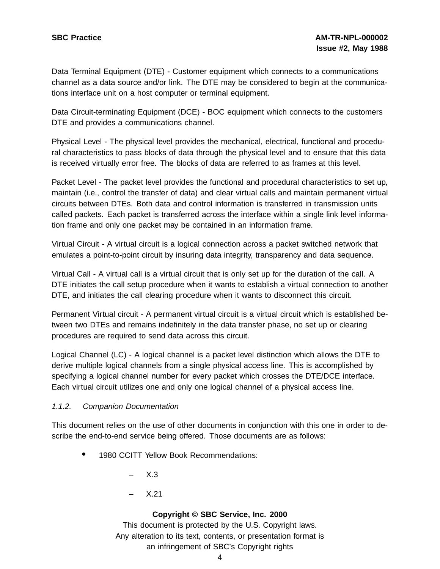Data Terminal Equipment (DTE) - Customer equipment which connects to a communications channel as a data source and/or link. The DTE may be considered to begin at the communications interface unit on a host computer or terminal equipment.

Data Circuit-terminating Equipment (DCE) - BOC equipment which connects to the customers DTE and provides a communications channel.

Physical Level - The physical level provides the mechanical, electrical, functional and procedural characteristics to pass blocks of data through the physical level and to ensure that this data is received virtually error free. The blocks of data are referred to as frames at this level.

Packet Level - The packet level provides the functional and procedural characteristics to set up, maintain (i.e., control the transfer of data) and clear virtual calls and maintain permanent virtual circuits between DTEs. Both data and control information is transferred in transmission units called packets. Each packet is transferred across the interface within a single link level information frame and only one packet may be contained in an information frame.

Virtual Circuit - A virtual circuit is a logical connection across a packet switched network that emulates a point-to-point circuit by insuring data integrity, transparency and data sequence.

Virtual Call - A virtual call is a virtual circuit that is only set up for the duration of the call. A DTE initiates the call setup procedure when it wants to establish a virtual connection to another DTE, and initiates the call clearing procedure when it wants to disconnect this circuit.

Permanent Virtual circuit - A permanent virtual circuit is a virtual circuit which is established between two DTEs and remains indefinitely in the data transfer phase, no set up or clearing procedures are required to send data across this circuit.

Logical Channel (LC) - A logical channel is a packet level distinction which allows the DTE to derive multiple logical channels from a single physical access line. This is accomplished by specifying a logical channel number for every packet which crosses the DTE/DCE interface. Each virtual circuit utilizes one and only one logical channel of a physical access line.

# 1.1.2. Companion Documentation

This document relies on the use of other documents in conjunction with this one in order to describe the end-to-end service being offered. Those documents are as follows:

- <sup>1980</sup> CCITT Yellow Book Recommendations:
	- $X.3$
	- X.21

#### **Copyright © SBC Service, Inc. 2000**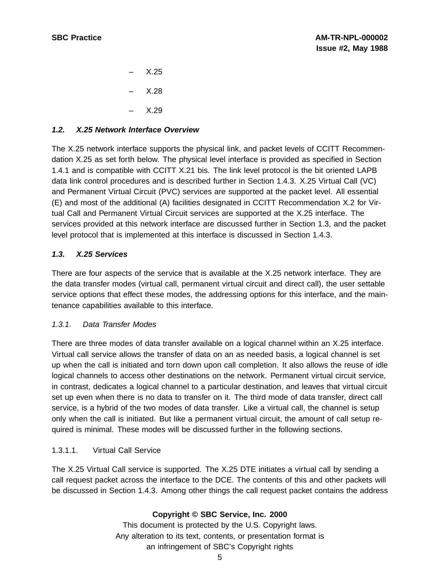– X.25 – X.28 – X.29

# **1.2. X.25 Network Interface Overview**

The X.25 network interface supports the physical link, and packet levels of CCITT Recommendation X.25 as set forth below. The physical level interface is provided as specified in Section 1.4.1 and is compatible with CCITT X.21 bis. The link level protocol is the bit oriented LAPB data link control procedures and is described further in Section 1.4.3. X.25 Virtual Call (VC) and Permanent Virtual Circuit (PVC) services are supported at the packet level. All essential (E) and most of the additional (A) facilities designated in CCITT Recommendation X.2 for Virtual Call and Permanent Virtual Circuit services are supported at the X.25 interface. The services provided at this network interface are discussed further in Section 1.3, and the packet level protocol that is implemented at this interface is discussed in Section 1.4.3.

# **1.3. X.25 Services**

There are four aspects of the service that is available at the X.25 network interface. They are the data transfer modes (virtual call, permanent virtual circuit and direct call), the user settable service options that effect these modes, the addressing options for this interface, and the maintenance capabilities available to this interface.

# 1.3.1. Data Transfer Modes

There are three modes of data transfer available on a logical channel within an X.25 interface. Virtual call service allows the transfer of data on an as needed basis, a logical channel is set up when the call is initiated and torn down upon call completion. It also allows the reuse of idle logical channels to access other destinations on the network. Permanent virtual circuit service, in contrast, dedicates a logical channel to a particular destination, and leaves that virtual circuit set up even when there is no data to transfer on it. The third mode of data transfer, direct call service, is a hybrid of the two modes of data transfer. Like a virtual call, the channel is setup only when the call is initiated. But like a permanent virtual circuit, the amount of call setup required is minimal. These modes will be discussed further in the following sections.

# 1.3.1.1. Virtual Call Service

The X.25 Virtual Call service is supported. The X.25 DTE initiates a virtual call by sending a call request packet across the interface to the DCE. The contents of this and other packets will be discussed in Section 1.4.3. Among other things the call request packet contains the address

# **Copyright © SBC Service, Inc. 2000**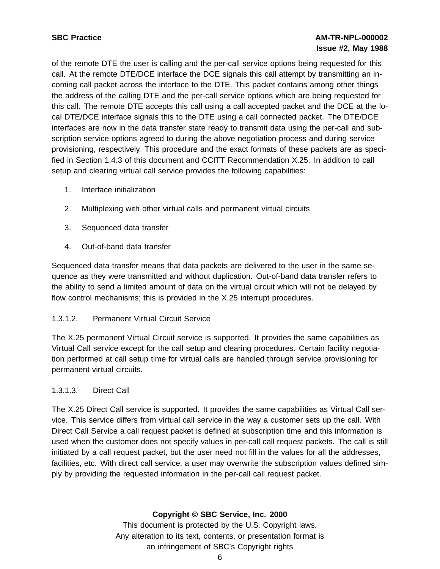of the remote DTE the user is calling and the per-call service options being requested for this call. At the remote DTE/DCE interface the DCE signals this call attempt by transmitting an incoming call packet across the interface to the DTE. This packet contains among other things the address of the calling DTE and the per-call service options which are being requested for this call. The remote DTE accepts this call using a call accepted packet and the DCE at the local DTE/DCE interface signals this to the DTE using a call connected packet. The DTE/DCE interfaces are now in the data transfer state ready to transmit data using the per-call and subscription service options agreed to during the above negotiation process and during service provisioning, respectively. This procedure and the exact formats of these packets are as specified in Section 1.4.3 of this document and CCITT Recommendation X.25. In addition to call setup and clearing virtual call service provides the following capabilities:

- 1. Interface initialization
- 2. Multiplexing with other virtual calls and permanent virtual circuits
- 3. Sequenced data transfer
- 4. Out-of-band data transfer

Sequenced data transfer means that data packets are delivered to the user in the same sequence as they were transmitted and without duplication. Out-of-band data transfer refers to the ability to send a limited amount of data on the virtual circuit which will not be delayed by flow control mechanisms; this is provided in the X.25 interrupt procedures.

# 1.3.1.2. Permanent Virtual Circuit Service

The X.25 permanent Virtual Circuit service is supported. It provides the same capabilities as Virtual Call service except for the call setup and clearing procedures. Certain facility negotiation performed at call setup time for virtual calls are handled through service provisioning for permanent virtual circuits.

#### 1.3.1.3. Direct Call

The X.25 Direct Call service is supported. It provides the same capabilities as Virtual Call service. This service differs from virtual call service in the way a customer sets up the call. With Direct Call Service a call request packet is defined at subscription time and this information is used when the customer does not specify values in per-call call request packets. The call is still initiated by a call request packet, but the user need not fill in the values for all the addresses, facilities, etc. With direct call service, a user may overwrite the subscription values defined simply by providing the requested information in the per-call call request packet.

#### **Copyright © SBC Service, Inc. 2000**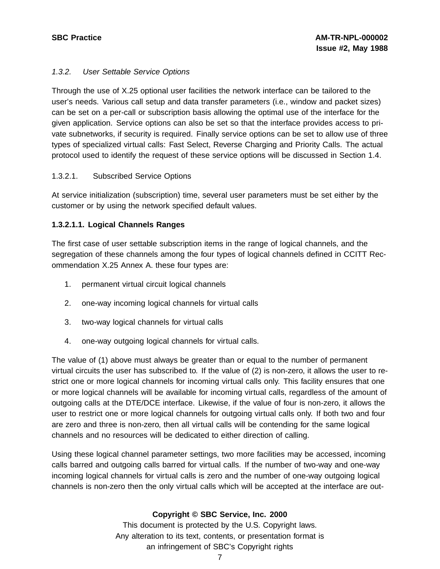### 1.3.2. User Settable Service Options

Through the use of X.25 optional user facilities the network interface can be tailored to the user's needs. Various call setup and data transfer parameters (i.e., window and packet sizes) can be set on a per-call or subscription basis allowing the optimal use of the interface for the given application. Service options can also be set so that the interface provides access to private subnetworks, if security is required. Finally service options can be set to allow use of three types of specialized virtual calls: Fast Select, Reverse Charging and Priority Calls. The actual protocol used to identify the request of these service options will be discussed in Section 1.4.

### 1.3.2.1. Subscribed Service Options

At service initialization (subscription) time, several user parameters must be set either by the customer or by using the network specified default values.

### **1.3.2.1.1. Logical Channels Ranges**

The first case of user settable subscription items in the range of logical channels, and the segregation of these channels among the four types of logical channels defined in CCITT Recommendation X.25 Annex A. these four types are:

- 1. permanent virtual circuit logical channels
- 2. one-way incoming logical channels for virtual calls
- 3. two-way logical channels for virtual calls
- 4. one-way outgoing logical channels for virtual calls.

The value of (1) above must always be greater than or equal to the number of permanent virtual circuits the user has subscribed to. If the value of (2) is non-zero, it allows the user to restrict one or more logical channels for incoming virtual calls only. This facility ensures that one or more logical channels will be available for incoming virtual calls, regardless of the amount of outgoing calls at the DTE/DCE interface. Likewise, if the value of four is non-zero, it allows the user to restrict one or more logical channels for outgoing virtual calls only. If both two and four are zero and three is non-zero, then all virtual calls will be contending for the same logical channels and no resources will be dedicated to either direction of calling.

Using these logical channel parameter settings, two more facilities may be accessed, incoming calls barred and outgoing calls barred for virtual calls. If the number of two-way and one-way incoming logical channels for virtual calls is zero and the number of one-way outgoing logical channels is non-zero then the only virtual calls which will be accepted at the interface are out-

#### **Copyright © SBC Service, Inc. 2000**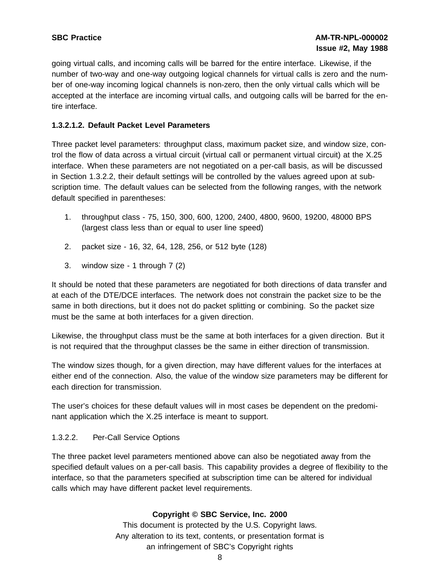going virtual calls, and incoming calls will be barred for the entire interface. Likewise, if the number of two-way and one-way outgoing logical channels for virtual calls is zero and the number of one-way incoming logical channels is non-zero, then the only virtual calls which will be accepted at the interface are incoming virtual calls, and outgoing calls will be barred for the entire interface.

### **1.3.2.1.2. Default Packet Level Parameters**

Three packet level parameters: throughput class, maximum packet size, and window size, control the flow of data across a virtual circuit (virtual call or permanent virtual circuit) at the X.25 interface. When these parameters are not negotiated on a per-call basis, as will be discussed in Section 1.3.2.2, their default settings will be controlled by the values agreed upon at subscription time. The default values can be selected from the following ranges, with the network default specified in parentheses:

- 1. throughput class 75, 150, 300, 600, 1200, 2400, 4800, 9600, 19200, 48000 BPS (largest class less than or equal to user line speed)
- 2. packet size 16, 32, 64, 128, 256, or 512 byte (128)
- 3. window size 1 through 7 (2)

It should be noted that these parameters are negotiated for both directions of data transfer and at each of the DTE/DCE interfaces. The network does not constrain the packet size to be the same in both directions, but it does not do packet splitting or combining. So the packet size must be the same at both interfaces for a given direction.

Likewise, the throughput class must be the same at both interfaces for a given direction. But it is not required that the throughput classes be the same in either direction of transmission.

The window sizes though, for a given direction, may have different values for the interfaces at either end of the connection. Also, the value of the window size parameters may be different for each direction for transmission.

The user's choices for these default values will in most cases be dependent on the predominant application which the X.25 interface is meant to support.

#### 1.3.2.2. Per-Call Service Options

The three packet level parameters mentioned above can also be negotiated away from the specified default values on a per-call basis. This capability provides a degree of flexibility to the interface, so that the parameters specified at subscription time can be altered for individual calls which may have different packet level requirements.

#### **Copyright © SBC Service, Inc. 2000**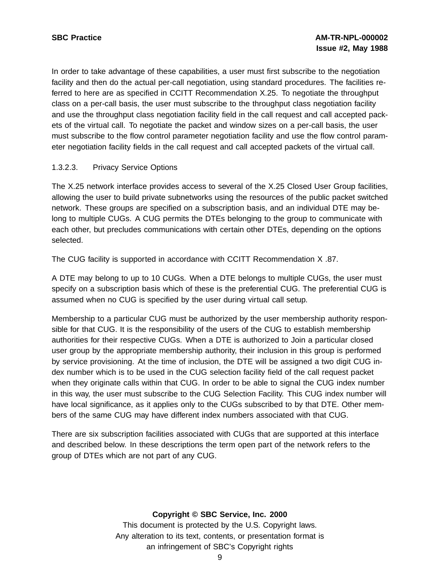In order to take advantage of these capabilities, a user must first subscribe to the negotiation facility and then do the actual per-call negotiation, using standard procedures. The facilities referred to here are as specified in CCITT Recommendation X.25. To negotiate the throughput class on a per-call basis, the user must subscribe to the throughput class negotiation facility and use the throughput class negotiation facility field in the call request and call accepted packets of the virtual call. To negotiate the packet and window sizes on a per-call basis, the user must subscribe to the flow control parameter negotiation facility and use the flow control parameter negotiation facility fields in the call request and call accepted packets of the virtual call.

#### 1.3.2.3. Privacy Service Options

The X.25 network interface provides access to several of the X.25 Closed User Group facilities, allowing the user to build private subnetworks using the resources of the public packet switched network. These groups are specified on a subscription basis, and an individual DTE may belong to multiple CUGs. A CUG permits the DTEs belonging to the group to communicate with each other, but precludes communications with certain other DTEs, depending on the options selected.

The CUG facility is supported in accordance with CCITT Recommendation X .87.

A DTE may belong to up to 10 CUGs. When a DTE belongs to multiple CUGs, the user must specify on a subscription basis which of these is the preferential CUG. The preferential CUG is assumed when no CUG is specified by the user during virtual call setup.

Membership to a particular CUG must be authorized by the user membership authority responsible for that CUG. It is the responsibility of the users of the CUG to establish membership authorities for their respective CUGs. When a DTE is authorized to Join a particular closed user group by the appropriate membership authority, their inclusion in this group is performed by service provisioning. At the time of inclusion, the DTE will be assigned a two digit CUG index number which is to be used in the CUG selection facility field of the call request packet when they originate calls within that CUG. In order to be able to signal the CUG index number in this way, the user must subscribe to the CUG Selection Facility. This CUG index number will have local significance, as it applies only to the CUGs subscribed to by that DTE. Other members of the same CUG may have different index numbers associated with that CUG.

There are six subscription facilities associated with CUGs that are supported at this interface and described below. In these descriptions the term open part of the network refers to the group of DTEs which are not part of any CUG.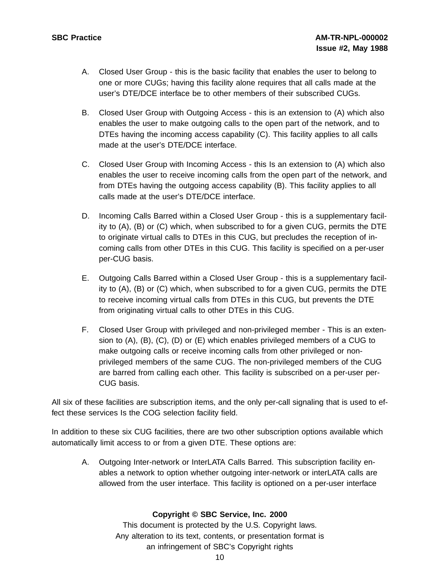- A. Closed User Group this is the basic facility that enables the user to belong to one or more CUGs; having this facility alone requires that all calls made at the user's DTE/DCE interface be to other members of their subscribed CUGs.
- B. Closed User Group with Outgoing Access this is an extension to (A) which also enables the user to make outgoing calls to the open part of the network, and to DTEs having the incoming access capability (C). This facility applies to all calls made at the user's DTE/DCE interface.
- C. Closed User Group with Incoming Access this Is an extension to (A) which also enables the user to receive incoming calls from the open part of the network, and from DTEs having the outgoing access capability (B). This facility applies to all calls made at the user's DTE/DCE interface.
- D. Incoming Calls Barred within a Closed User Group this is a supplementary facility to (A), (B) or (C) which, when subscribed to for a given CUG, permits the DTE to originate virtual calls to DTEs in this CUG, but precludes the reception of incoming calls from other DTEs in this CUG. This facility is specified on a per-user per-CUG basis.
- E. Outgoing Calls Barred within a Closed User Group this is a supplementary facility to (A), (B) or (C) which, when subscribed to for a given CUG, permits the DTE to receive incoming virtual calls from DTEs in this CUG, but prevents the DTE from originating virtual calls to other DTEs in this CUG.
- F. Closed User Group with privileged and non-privileged member This is an extension to (A), (B), (C), (D) or (E) which enables privileged members of a CUG to make outgoing calls or receive incoming calls from other privileged or nonprivileged members of the same CUG. The non-privileged members of the CUG are barred from calling each other. This facility is subscribed on a per-user per-CUG basis.

All six of these facilities are subscription items, and the only per-call signaling that is used to effect these services Is the COG selection facility field.

In addition to these six CUG facilities, there are two other subscription options available which automatically limit access to or from a given DTE. These options are:

A. Outgoing Inter-network or InterLATA Calls Barred. This subscription facility enables a network to option whether outgoing inter-network or interLATA calls are allowed from the user interface. This facility is optioned on a per-user interface

#### **Copyright © SBC Service, Inc. 2000**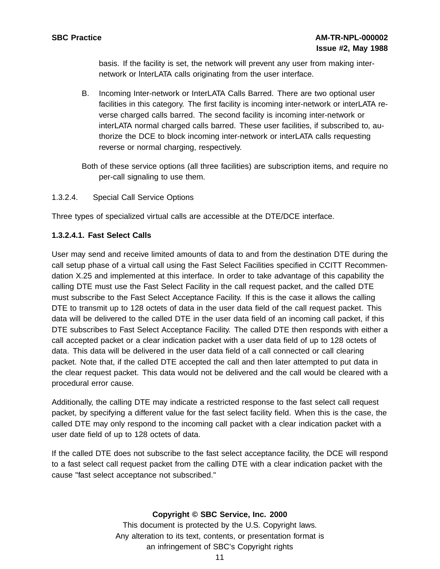basis. If the facility is set, the network will prevent any user from making internetwork or lnterLATA calls originating from the user interface.

- B. Incoming Inter-network or InterLATA Calls Barred. There are two optional user facilities in this category. The first facility is incoming inter-network or interLATA reverse charged calls barred. The second facility is incoming inter-network or interLATA normal charged calls barred. These user facilities, if subscribed to, authorize the DCE to block incoming inter-network or interLATA calls requesting reverse or normal charging, respectively.
- Both of these service options (all three facilities) are subscription items, and require no per-call signaling to use them.

### 1.3.2.4. Special Call Service Options

Three types of specialized virtual calls are accessible at the DTE/DCE interface.

### **1.3.2.4.1. Fast Select Calls**

User may send and receive limited amounts of data to and from the destination DTE during the call setup phase of a virtual call using the Fast Select Facilities specified in CCITT Recommendation X.25 and implemented at this interface. In order to take advantage of this capability the calling DTE must use the Fast Select Facility in the call request packet, and the called DTE must subscribe to the Fast Select Acceptance Facility. If this is the case it allows the calling DTE to transmit up to 128 octets of data in the user data field of the call request packet. This data will be delivered to the called DTE in the user data field of an incoming call packet, if this DTE subscribes to Fast Select Acceptance Facility. The called DTE then responds with either a call accepted packet or a clear indication packet with a user data field of up to 128 octets of data. This data will be delivered in the user data field of a call connected or call clearing packet. Note that, if the called DTE accepted the call and then later attempted to put data in the clear request packet. This data would not be delivered and the call would be cleared with a procedural error cause.

Additionally, the calling DTE may indicate a restricted response to the fast select call request packet, by specifying a different value for the fast select facility field. When this is the case, the called DTE may only respond to the incoming call packet with a clear indication packet with a user date field of up to 128 octets of data.

If the called DTE does not subscribe to the fast select acceptance facility, the DCE will respond to a fast select call request packet from the calling DTE with a clear indication packet with the cause "fast select acceptance not subscribed."

#### **Copyright © SBC Service, Inc. 2000**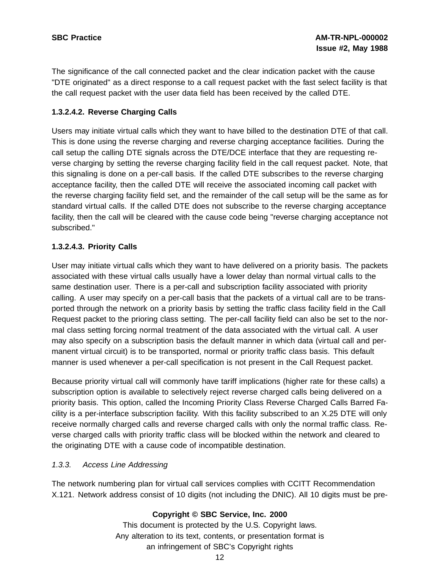The significance of the call connected packet and the clear indication packet with the cause "DTE originated" as a direct response to a call request packet with the fast select facility is that the call request packet with the user data field has been received by the called DTE.

### **1.3.2.4.2. Reverse Charging Calls**

Users may initiate virtual calls which they want to have billed to the destination DTE of that call. This is done using the reverse charging and reverse charging acceptance facilities. During the call setup the calling DTE signals across the DTE/DCE interface that they are requesting reverse charging by setting the reverse charging facility field in the call request packet. Note, that this signaling is done on a per-call basis. If the called DTE subscribes to the reverse charging acceptance facility, then the called DTE will receive the associated incoming call packet with the reverse charging facility field set, and the remainder of the call setup will be the same as for standard virtual calls. If the called DTE does not subscribe to the reverse charging acceptance facility, then the call will be cleared with the cause code being "reverse charging acceptance not subscribed."

# **1.3.2.4.3. Priority Calls**

User may initiate virtual calls which they want to have delivered on a priority basis. The packets associated with these virtual calls usually have a lower delay than normal virtual calls to the same destination user. There is a per-call and subscription facility associated with priority calling. A user may specify on a per-call basis that the packets of a virtual call are to be transported through the network on a priority basis by setting the traffic class facility field in the Call Request packet to the prioring class setting. The per-call facility field can also be set to the normal class setting forcing normal treatment of the data associated with the virtual call. A user may also specify on a subscription basis the default manner in which data (virtual call and permanent virtual circuit) is to be transported, normal or priority traffic class basis. This default manner is used whenever a per-call specification is not present in the Call Request packet.

Because priority virtual call will commonly have tariff implications (higher rate for these calls) a subscription option is available to selectively reject reverse charged calls being delivered on a priority basis. This option, called the Incoming Priority Class Reverse Charged Calls Barred Facility is a per-interface subscription facility. With this facility subscribed to an X.25 DTE will only receive normally charged calls and reverse charged calls with only the normal traffic class. Reverse charged calls with priority traffic class will be blocked within the network and cleared to the originating DTE with a cause code of incompatible destination.

#### 1.3.3. Access Line Addressing

The network numbering plan for virtual call services complies with CCITT Recommendation X.121. Network address consist of 10 digits (not including the DNIC). All 10 digits must be pre-

# **Copyright © SBC Service, Inc. 2000**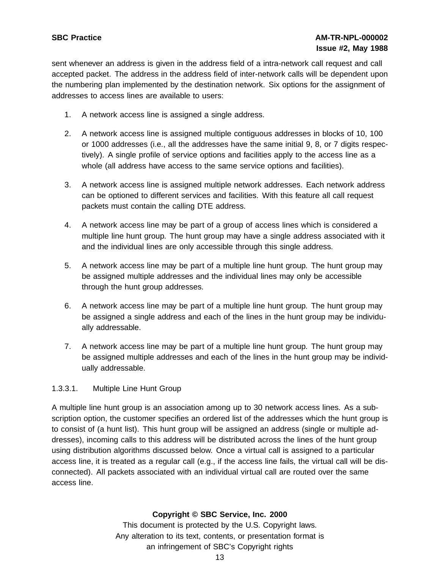sent whenever an address is given in the address field of a intra-network call request and call accepted packet. The address in the address field of inter-network calls will be dependent upon the numbering plan implemented by the destination network. Six options for the assignment of addresses to access lines are available to users:

- 1. A network access line is assigned a single address.
- 2. A network access line is assigned multiple contiguous addresses in blocks of 10, 100 or 1000 addresses (i.e., all the addresses have the same initial 9, 8, or 7 digits respectively). A single profile of service options and facilities apply to the access line as a whole (all address have access to the same service options and facilities).
- 3. A network access line is assigned multiple network addresses. Each network address can be optioned to different services and facilities. With this feature all call request packets must contain the calling DTE address.
- 4. A network access line may be part of a group of access lines which is considered a multiple line hunt group. The hunt group may have a single address associated with it and the individual lines are only accessible through this single address.
- 5. A network access line may be part of a multiple line hunt group. The hunt group may be assigned multiple addresses and the individual lines may only be accessible through the hunt group addresses.
- 6. A network access line may be part of a multiple line hunt group. The hunt group may be assigned a single address and each of the lines in the hunt group may be individually addressable.
- 7. A network access line may be part of a multiple line hunt group. The hunt group may be assigned multiple addresses and each of the lines in the hunt group may be individually addressable.

# 1.3.3.1. Multiple Line Hunt Group

A multiple line hunt group is an association among up to 30 network access lines. As a subscription option, the customer specifies an ordered list of the addresses which the hunt group is to consist of (a hunt list). This hunt group will be assigned an address (single or multiple addresses), incoming calls to this address will be distributed across the lines of the hunt group using distribution algorithms discussed below. Once a virtual call is assigned to a particular access line, it is treated as a regular call (e.g., if the access line fails, the virtual call will be disconnected). All packets associated with an individual virtual call are routed over the same access line.

#### **Copyright © SBC Service, Inc. 2000**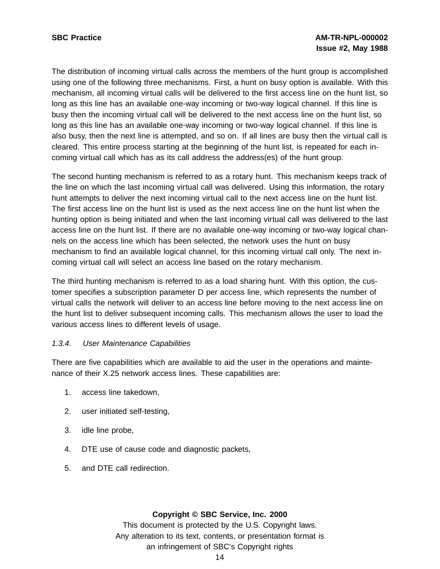The distribution of incoming virtual calls across the members of the hunt group is accomplished using one of the following three mechanisms. First, a hunt on busy option is available. With this mechanism, all incoming virtual calls will be delivered to the first access line on the hunt list, so long as this line has an available one-way incoming or two-way logical channel. If this line is busy then the incoming virtual call will be delivered to the next access line on the hunt list, so long as this line has an available one-way incoming or two-way logical channel. If this line is also busy, then the next line is attempted, and so on. If all lines are busy then the virtual call is cleared. This entire process starting at the beginning of the hunt list, is repeated for each incoming virtual call which has as its call address the address(es) of the hunt group.

The second hunting mechanism is referred to as a rotary hunt. This mechanism keeps track of the line on which the last incoming virtual call was delivered. Using this information, the rotary hunt attempts to deliver the next incoming virtual call to the next access line on the hunt list. The first access line on the hunt list is used as the next access line on the hunt list when the hunting option is being initiated and when the last incoming virtual call was delivered to the last access line on the hunt list. If there are no available one-way incoming or two-way logical channels on the access line which has been selected, the network uses the hunt on busy mechanism to find an available logical channel, for this incoming virtual call only. The next incoming virtual call will select an access line based on the rotary mechanism.

The third hunting mechanism is referred to as a load sharing hunt. With this option, the customer specifies a subscription parameter D per access line, which represents the number of virtual calls the network will deliver to an access line before moving to the next access line on the hunt list to deliver subsequent incoming calls. This mechanism allows the user to load the various access lines to different levels of usage.

#### 1.3.4. User Maintenance Capabilities

There are five capabilities which are available to aid the user in the operations and maintenance of their X.25 network access lines. These capabilities are:

- 1. access line takedown,
- 2. user initiated self-testing,
- 3. idle line probe,
- 4. DTE use of cause code and diagnostic packets,
- 5. and DTE call redirection.

#### **Copyright © SBC Service, Inc. 2000**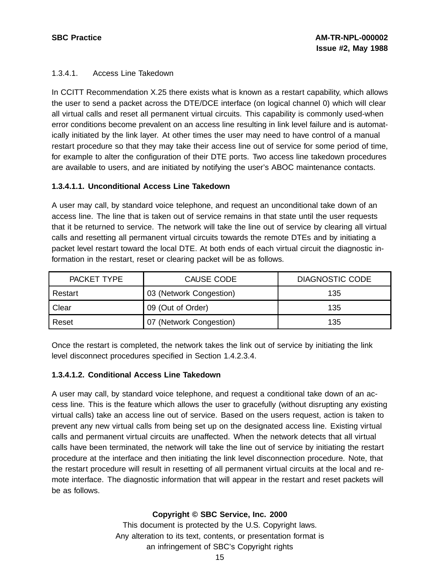### 1.3.4.1. Access Line Takedown

In CCITT Recommendation X.25 there exists what is known as a restart capability, which allows the user to send a packet across the DTE/DCE interface (on logical channel 0) which will clear all virtual calls and reset all permanent virtual circuits. This capability is commonly used-when error conditions become prevalent on an access line resulting in link level failure and is automatically initiated by the link layer. At other times the user may need to have control of a manual restart procedure so that they may take their access line out of service for some period of time, for example to alter the configuration of their DTE ports. Two access line takedown procedures are available to users, and are initiated by notifying the user's ABOC maintenance contacts.

#### **1.3.4.1.1. Unconditional Access Line Takedown**

A user may call, by standard voice telephone, and request an unconditional take down of an access line. The line that is taken out of service remains in that state until the user requests that it be returned to service. The network will take the line out of service by clearing all virtual calls and resetting all permanent virtual circuits towards the remote DTEs and by initiating a packet level restart toward the local DTE. At both ends of each virtual circuit the diagnostic information in the restart, reset or clearing packet will be as follows.

| <b>PACKET TYPE</b> | <b>CAUSE CODE</b>       | <b>DIAGNOSTIC CODE</b> |
|--------------------|-------------------------|------------------------|
| Restart            | 03 (Network Congestion) | 135                    |
| Clear              | 09 (Out of Order)       | 135                    |
| Reset              | 07 (Network Congestion) | 135                    |

Once the restart is completed, the network takes the link out of service by initiating the link level disconnect procedures specified in Section 1.4.2.3.4.

#### **1.3.4.1.2. Conditional Access Line Takedown**

A user may call, by standard voice telephone, and request a conditional take down of an access line. This is the feature which allows the user to gracefully (without disrupting any existing virtual calls) take an access line out of service. Based on the users request, action is taken to prevent any new virtual calls from being set up on the designated access line. Existing virtual calls and permanent virtual circuits are unaffected. When the network detects that all virtual calls have been terminated, the network will take the line out of service by initiating the restart procedure at the interface and then initiating the link level disconnection procedure. Note, that the restart procedure will result in resetting of all permanent virtual circuits at the local and remote interface. The diagnostic information that will appear in the restart and reset packets will be as follows.

#### **Copyright © SBC Service, Inc. 2000**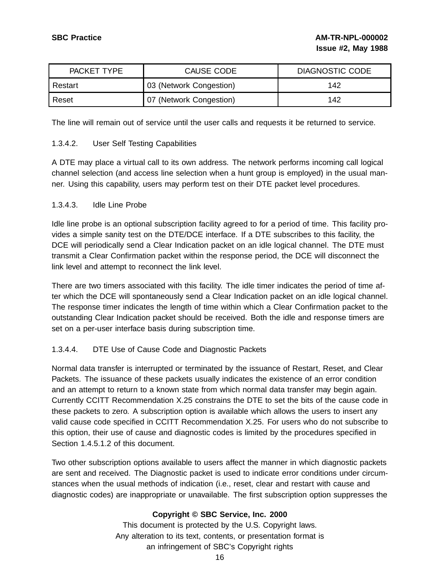| <b>PACKET TYPE</b> | CAUSE CODE              | DIAGNOSTIC CODE |
|--------------------|-------------------------|-----------------|
| Restart            | 03 (Network Congestion) | 142             |
| Reset              | 07 (Network Congestion) | 142             |

The line will remain out of service until the user calls and requests it be returned to service.

### 1.3.4.2. User Self Testing Capabilities

A DTE may place a virtual call to its own address. The network performs incoming call logical channel selection (and access line selection when a hunt group is employed) in the usual manner. Using this capability, users may perform test on their DTE packet level procedures.

#### 1.3.4.3. Idle Line Probe

Idle line probe is an optional subscription facility agreed to for a period of time. This facility provides a simple sanity test on the DTE/DCE interface. If a DTE subscribes to this facility, the DCE will periodically send a Clear Indication packet on an idle logical channel. The DTE must transmit a Clear Confirmation packet within the response period, the DCE will disconnect the link level and attempt to reconnect the link level.

There are two timers associated with this facility. The idle timer indicates the period of time after which the DCE will spontaneously send a Clear Indication packet on an idle logical channel. The response timer indicates the length of time within which a Clear Confirmation packet to the outstanding Clear Indication packet should be received. Both the idle and response timers are set on a per-user interface basis during subscription time.

#### 1.3.4.4. DTE Use of Cause Code and Diagnostic Packets

Normal data transfer is interrupted or terminated by the issuance of Restart, Reset, and Clear Packets. The issuance of these packets usually indicates the existence of an error condition and an attempt to return to a known state from which normal data transfer may begin again. Currently CCITT Recommendation X.25 constrains the DTE to set the bits of the cause code in these packets to zero. A subscription option is available which allows the users to insert any valid cause code specified in CCITT Recommendation X.25. For users who do not subscribe to this option, their use of cause and diagnostic codes is limited by the procedures specified in Section 1.4.5.1.2 of this document.

Two other subscription options available to users affect the manner in which diagnostic packets are sent and received. The Diagnostic packet is used to indicate error conditions under circumstances when the usual methods of indication (i.e., reset, clear and restart with cause and diagnostic codes) are inappropriate or unavailable. The first subscription option suppresses the

# **Copyright © SBC Service, Inc. 2000**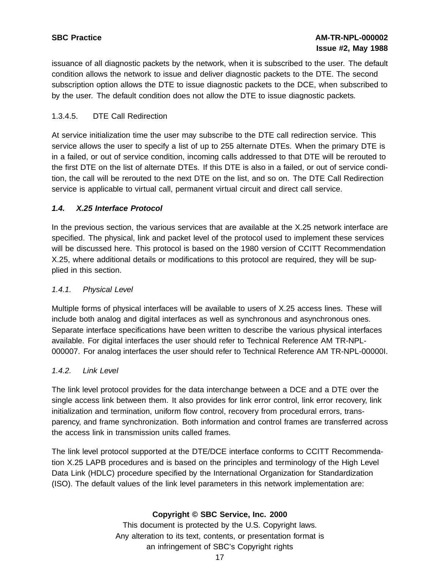issuance of all diagnostic packets by the network, when it is subscribed to the user. The default condition allows the network to issue and deliver diagnostic packets to the DTE. The second subscription option allows the DTE to issue diagnostic packets to the DCE, when subscribed to by the user. The default condition does not allow the DTE to issue diagnostic packets.

# 1.3.4.5. DTE Call Redirection

At service initialization time the user may subscribe to the DTE call redirection service. This service allows the user to specify a list of up to 255 alternate DTEs. When the primary DTE is in a failed, or out of service condition, incoming calls addressed to that DTE will be rerouted to the first DTE on the list of alternate DTEs. If this DTE is also in a failed, or out of service condition, the call will be rerouted to the next DTE on the list, and so on. The DTE Call Redirection service is applicable to virtual call, permanent virtual circuit and direct call service.

# **1.4. X.25 Interface Protocol**

In the previous section, the various services that are available at the X.25 network interface are specified. The physical, link and packet level of the protocol used to implement these services will be discussed here. This protocol is based on the 1980 version of CCITT Recommendation X.25, where additional details or modifications to this protocol are required, they will be supplied in this section.

# 1.4.1. Physical Level

Multiple forms of physical interfaces will be available to users of X.25 access lines. These will include both analog and digital interfaces as well as synchronous and asynchronous ones. Separate interface specifications have been written to describe the various physical interfaces available. For digital interfaces the user should refer to Technical Reference AM TR-NPL-000007. For analog interfaces the user should refer to Technical Reference AM TR-NPL-00000I.

# 1.4.2. Link Level

The link level protocol provides for the data interchange between a DCE and a DTE over the single access link between them. It also provides for link error control, link error recovery, link initialization and termination, uniform flow control, recovery from procedural errors, transparency, and frame synchronization. Both information and control frames are transferred across the access link in transmission units called frames.

The link level protocol supported at the DTE/DCE interface conforms to CCITT Recommendation X.25 LAPB procedures and is based on the principles and terminology of the High Level Data Link (HDLC) procedure specified by the International Organization for Standardization (ISO). The default values of the link level parameters in this network implementation are:

# **Copyright © SBC Service, Inc. 2000**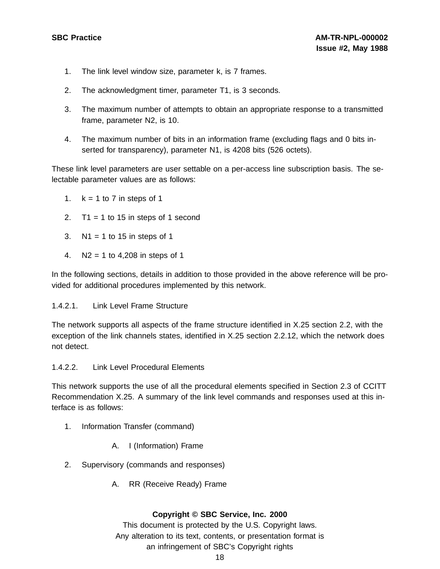- 1. The link level window size, parameter k, is 7 frames.
- 2. The acknowledgment timer, parameter T1, is 3 seconds.
- 3. The maximum number of attempts to obtain an appropriate response to a transmitted frame, parameter N2, is 10.
- 4. The maximum number of bits in an information frame (excluding flags and 0 bits inserted for transparency), parameter N1, is 4208 bits (526 octets).

These link level parameters are user settable on a per-access line subscription basis. The selectable parameter values are as follows:

- 1.  $k = 1$  to 7 in steps of 1
- 2.  $T1 = 1$  to 15 in steps of 1 second
- 3.  $N1 = 1$  to 15 in steps of 1
- 4. N2 = 1 to 4,208 in steps of 1

In the following sections, details in addition to those provided in the above reference will be provided for additional procedures implemented by this network.

#### 1.4.2.1. Link Level Frame Structure

The network supports all aspects of the frame structure identified in X.25 section 2.2, with the exception of the link channels states, identified in X.25 section 2.2.12, which the network does not detect.

#### 1.4.2.2. Link Level Procedural Elements

This network supports the use of all the procedural elements specified in Section 2.3 of CCITT Recommendation X.25. A summary of the link level commands and responses used at this interface is as follows:

- 1. Information Transfer (command)
	- A. I (Information) Frame
- 2. Supervisory (commands and responses)
	- A. RR (Receive Ready) Frame

#### **Copyright © SBC Service, Inc. 2000**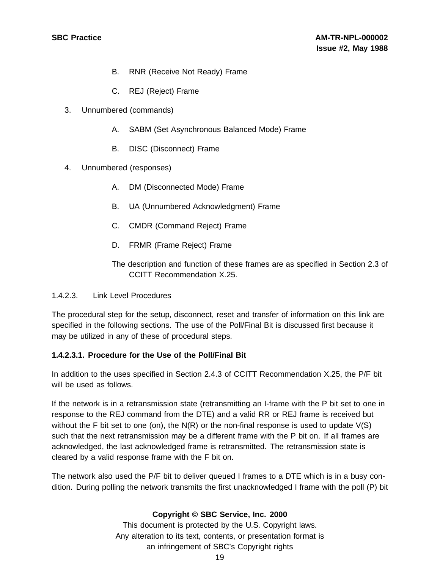- B. RNR (Receive Not Ready) Frame
- C. REJ (Reject) Frame
- 3. Unnumbered (commands)
	- A. SABM (Set Asynchronous Balanced Mode) Frame
	- B. DISC (Disconnect) Frame
- 4. Unnumbered (responses)
	- A. DM (Disconnected Mode) Frame
	- B. UA (Unnumbered Acknowledgment) Frame
	- C. CMDR (Command Reject) Frame
	- D. FRMR (Frame Reject) Frame
	- The description and function of these frames are as specified in Section 2.3 of CCITT Recommendation X.25.

#### 1.4.2.3. Link Level Procedures

The procedural step for the setup, disconnect, reset and transfer of information on this link are specified in the following sections. The use of the Poll/Final Bit is discussed first because it may be utilized in any of these of procedural steps.

#### **1.4.2.3.1. Procedure for the Use of the Poll/Final Bit**

In addition to the uses specified in Section 2.4.3 of CCITT Recommendation X.25, the P/F bit will be used as follows.

If the network is in a retransmission state (retransmitting an I-frame with the P bit set to one in response to the REJ command from the DTE) and a valid RR or REJ frame is received but without the F bit set to one (on), the  $N(R)$  or the non-final response is used to update  $V(S)$ such that the next retransmission may be a different frame with the P bit on. If all frames are acknowledged, the last acknowledged frame is retransmitted. The retransmission state is cleared by a valid response frame with the F bit on.

The network also used the P/F bit to deliver queued I frames to a DTE which is in a busy condition. During polling the network transmits the first unacknowledged I frame with the poll (P) bit

#### **Copyright © SBC Service, Inc. 2000**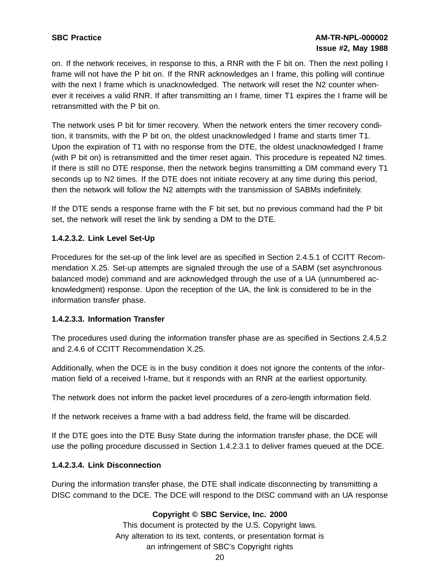on. If the network receives, in response to this, a RNR with the F bit on. Then the next polling I frame will not have the P bit on. If the RNR acknowledges an I frame, this polling will continue with the next I frame which is unacknowledged. The network will reset the N2 counter whenever it receives a valid RNR. If after transmitting an I frame, timer T1 expires the I frame will be retransmitted with the P bit on.

The network uses P bit for timer recovery. When the network enters the timer recovery condition, it transmits, with the P bit on, the oldest unacknowledged I frame and starts timer T1. Upon the expiration of T1 with no response from the DTE, the oldest unacknowledged I frame (with P bit on) is retransmitted and the timer reset again. This procedure is repeated N2 times. If there is still no DTE response, then the network begins transmitting a DM command every T1 seconds up to N2 times. If the DTE does not initiate recovery at any time during this period, then the network will follow the N2 attempts with the transmission of SABMs indefinitely.

If the DTE sends a response frame with the F bit set, but no previous command had the P bit set, the network will reset the link by sending a DM to the DTE.

# **1.4.2.3.2. Link Level Set-Up**

Procedures for the set-up of the link level are as specified in Section 2.4.5.1 of CCITT Recommendation X.25. Set-up attempts are signaled through the use of a SABM (set asynchronous balanced mode) command and are acknowledged through the use of a UA (unnumbered acknowledgment) response. Upon the reception of the UA, the link is considered to be in the information transfer phase.

#### **1.4.2.3.3. Information Transfer**

The procedures used during the information transfer phase are as specified in Sections 2.4.5.2 and 2.4.6 of CCITT Recommendation X.25.

Additionally, when the DCE is in the busy condition it does not ignore the contents of the information field of a received I-frame, but it responds with an RNR at the earliest opportunity.

The network does not inform the packet level procedures of a zero-length information field.

If the network receives a frame with a bad address field, the frame will be discarded.

If the DTE goes into the DTE Busy State during the information transfer phase, the DCE will use the polling procedure discussed in Section 1.4.2.3.1 to deliver frames queued at the DCE.

#### **1.4.2.3.4. Link Disconnection**

During the information transfer phase, the DTE shall indicate disconnecting by transmitting a DISC command to the DCE. The DCE will respond to the DISC command with an UA response

# **Copyright © SBC Service, Inc. 2000**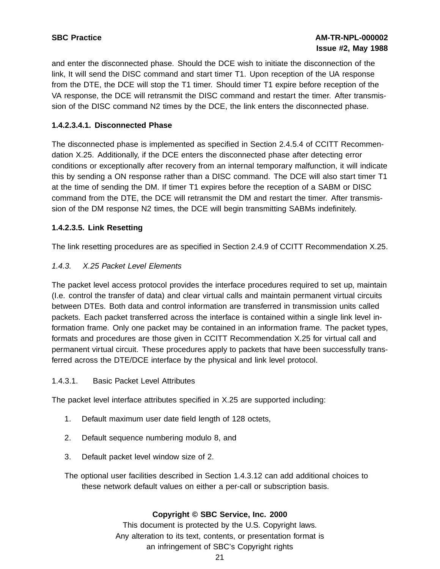and enter the disconnected phase. Should the DCE wish to initiate the disconnection of the link, It will send the DISC command and start timer T1. Upon reception of the UA response from the DTE, the DCE will stop the T1 timer. Should timer T1 expire before reception of the VA response, the DCE will retransmit the DISC command and restart the timer. After transmission of the DISC command N2 times by the DCE, the link enters the disconnected phase.

# **1.4.2.3.4.1. Disconnected Phase**

The disconnected phase is implemented as specified in Section 2.4.5.4 of CCITT Recommendation X.25. Additionally, if the DCE enters the disconnected phase after detecting error conditions or exceptionally after recovery from an internal temporary malfunction, it will indicate this by sending a ON response rather than a DISC command. The DCE will also start timer T1 at the time of sending the DM. If timer T1 expires before the reception of a SABM or DISC command from the DTE, the DCE will retransmit the DM and restart the timer. After transmission of the DM response N2 times, the DCE will begin transmitting SABMs indefinitely.

### **1.4.2.3.5. Link Resetting**

The link resetting procedures are as specified in Section 2.4.9 of CCITT Recommendation X.25.

### 1.4.3. X.25 Packet Level Elements

The packet level access protocol provides the interface procedures required to set up, maintain (I.e. control the transfer of data) and clear virtual calls and maintain permanent virtual circuits between DTEs. Both data and control information are transferred in transmission units called packets. Each packet transferred across the interface is contained within a single link level information frame. Only one packet may be contained in an information frame. The packet types, formats and procedures are those given in CCITT Recommendation X.25 for virtual call and permanent virtual circuit. These procedures apply to packets that have been successfully transferred across the DTE/DCE interface by the physical and link level protocol.

#### 1.4.3.1. Basic Packet Level Attributes

The packet level interface attributes specified in X.25 are supported including:

- 1. Default maximum user date field length of 128 octets,
- 2. Default sequence numbering modulo 8, and
- 3. Default packet level window size of 2.
- The optional user facilities described in Section 1.4.3.12 can add additional choices to these network default values on either a per-call or subscription basis.

#### **Copyright © SBC Service, Inc. 2000**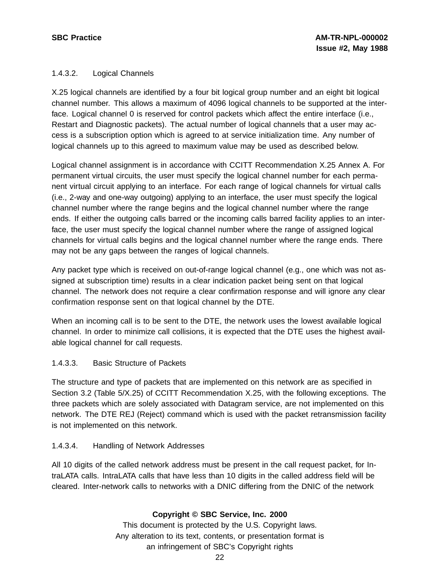### 1.4.3.2. Logical Channels

X.25 logical channels are identified by a four bit logical group number and an eight bit logical channel number. This allows a maximum of 4096 logical channels to be supported at the interface. Logical channel 0 is reserved for control packets which affect the entire interface (i.e., Restart and Diagnostic packets). The actual number of logical channels that a user may access is a subscription option which is agreed to at service initialization time. Any number of logical channels up to this agreed to maximum value may be used as described below.

Logical channel assignment is in accordance with CCITT Recommendation X.25 Annex A. For permanent virtual circuits, the user must specify the logical channel number for each permanent virtual circuit applying to an interface. For each range of logical channels for virtual calls (i.e., 2-way and one-way outgoing) applying to an interface, the user must specify the logical channel number where the range begins and the logical channel number where the range ends. If either the outgoing calls barred or the incoming calls barred facility applies to an interface, the user must specify the logical channel number where the range of assigned logical channels for virtual calls begins and the logical channel number where the range ends. There may not be any gaps between the ranges of logical channels.

Any packet type which is received on out-of-range logical channel (e.g., one which was not assigned at subscription time) results in a clear indication packet being sent on that logical channel. The network does not require a clear confirmation response and will ignore any clear confirmation response sent on that logical channel by the DTE.

When an incoming call is to be sent to the DTE, the network uses the lowest available logical channel. In order to minimize call collisions, it is expected that the DTE uses the highest available logical channel for call requests.

#### 1.4.3.3. Basic Structure of Packets

The structure and type of packets that are implemented on this network are as specified in Section 3.2 (Table 5/X.25) of CCITT Recommendation X.25, with the following exceptions. The three packets which are solely associated with Datagram service, are not implemented on this network. The DTE REJ (Reject) command which is used with the packet retransmission facility is not implemented on this network.

#### 1.4.3.4. Handling of Network Addresses

All 10 digits of the called network address must be present in the call request packet, for IntraLATA calls. IntraLATA calls that have less than 10 digits in the called address field will be cleared. Inter-network calls to networks with a DNIC differing from the DNIC of the network

#### **Copyright © SBC Service, Inc. 2000**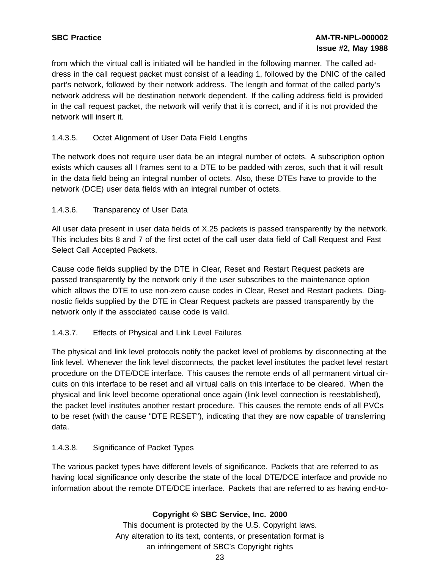from which the virtual call is initiated will be handled in the following manner. The called address in the call request packet must consist of a leading 1, followed by the DNIC of the called part's network, followed by their network address. The length and format of the called party's network address will be destination network dependent. If the calling address field is provided in the call request packet, the network will verify that it is correct, and if it is not provided the network will insert it.

# 1.4.3.5. Octet Alignment of User Data Field Lengths

The network does not require user data be an integral number of octets. A subscription option exists which causes all I frames sent to a DTE to be padded with zeros, such that it will result in the data field being an integral number of octets. Also, these DTEs have to provide to the network (DCE) user data fields with an integral number of octets.

# 1.4.3.6. Transparency of User Data

All user data present in user data fields of X.25 packets is passed transparently by the network. This includes bits 8 and 7 of the first octet of the call user data field of Call Request and Fast Select Call Accepted Packets.

Cause code fields supplied by the DTE in Clear, Reset and Restart Request packets are passed transparently by the network only if the user subscribes to the maintenance option which allows the DTE to use non-zero cause codes in Clear, Reset and Restart packets. Diagnostic fields supplied by the DTE in Clear Request packets are passed transparently by the network only if the associated cause code is valid.

# 1.4.3.7. Effects of Physical and Link Level Failures

The physical and link level protocols notify the packet level of problems by disconnecting at the link level. Whenever the link level disconnects, the packet level institutes the packet level restart procedure on the DTE/DCE interface. This causes the remote ends of all permanent virtual circuits on this interface to be reset and all virtual calls on this interface to be cleared. When the physical and link level become operational once again (link level connection is reestablished), the packet level institutes another restart procedure. This causes the remote ends of all PVCs to be reset (with the cause "DTE RESET"), indicating that they are now capable of transferring data.

# 1.4.3.8. Significance of Packet Types

The various packet types have different levels of significance. Packets that are referred to as having local significance only describe the state of the local DTE/DCE interface and provide no information about the remote DTE/DCE interface. Packets that are referred to as having end-to-

# **Copyright © SBC Service, Inc. 2000**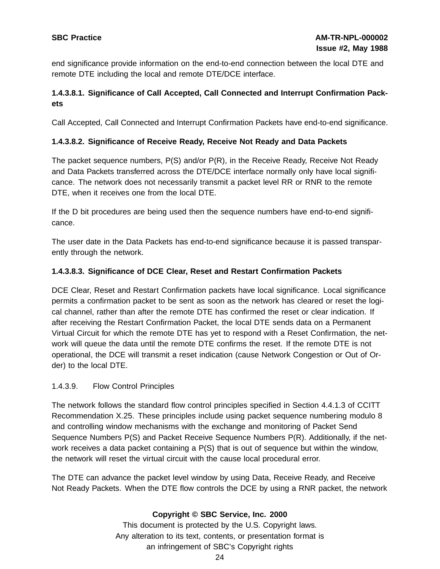end significance provide information on the end-to-end connection between the local DTE and remote DTE including the local and remote DTE/DCE interface.

# **1.4.3.8.1. Significance of Call Accepted, Call Connected and Interrupt Confirmation Packets**

Call Accepted, Call Connected and Interrupt Confirmation Packets have end-to-end significance.

### **1.4.3.8.2. Significance of Receive Ready, Receive Not Ready and Data Packets**

The packet sequence numbers, P(S) and/or P(R), in the Receive Ready, Receive Not Ready and Data Packets transferred across the DTE/DCE interface normally only have local significance. The network does not necessarily transmit a packet level RR or RNR to the remote DTE, when it receives one from the local DTE.

If the D bit procedures are being used then the sequence numbers have end-to-end significance.

The user date in the Data Packets has end-to-end significance because it is passed transparently through the network.

### **1.4.3.8.3. Significance of DCE Clear, Reset and Restart Confirmation Packets**

DCE Clear, Reset and Restart Confirmation packets have local significance. Local significance permits a confirmation packet to be sent as soon as the network has cleared or reset the logical channel, rather than after the remote DTE has confirmed the reset or clear indication. If after receiving the Restart Confirmation Packet, the local DTE sends data on a Permanent Virtual Circuit for which the remote DTE has yet to respond with a Reset Confirmation, the network will queue the data until the remote DTE confirms the reset. If the remote DTE is not operational, the DCE will transmit a reset indication (cause Network Congestion or Out of Order) to the local DTE.

#### 1.4.3.9. Flow Control Principles

The network follows the standard flow control principles specified in Section 4.4.1.3 of CCITT Recommendation X.25. These principles include using packet sequence numbering modulo 8 and controlling window mechanisms with the exchange and monitoring of Packet Send Sequence Numbers P(S) and Packet Receive Sequence Numbers P(R). Additionally, if the network receives a data packet containing a P(S) that is out of sequence but within the window, the network will reset the virtual circuit with the cause local procedural error.

The DTE can advance the packet level window by using Data, Receive Ready, and Receive Not Ready Packets. When the DTE flow controls the DCE by using a RNR packet, the network

# **Copyright © SBC Service, Inc. 2000**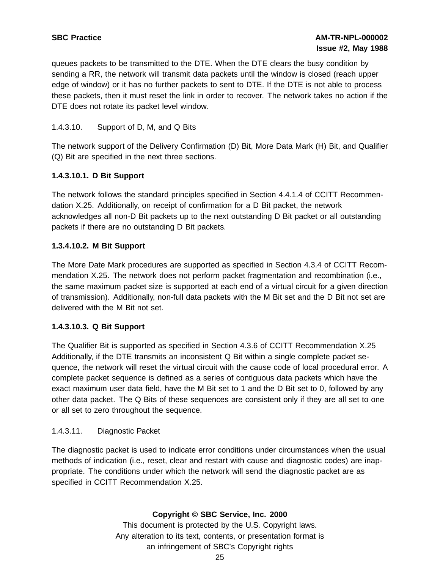queues packets to be transmitted to the DTE. When the DTE clears the busy condition by sending a RR, the network will transmit data packets until the window is closed (reach upper edge of window) or it has no further packets to sent to DTE. If the DTE is not able to process these packets, then it must reset the link in order to recover. The network takes no action if the DTE does not rotate its packet level window.

# 1.4.3.10. Support of D, M, and Q Bits

The network support of the Delivery Confirmation (D) Bit, More Data Mark (H) Bit, and Qualifier (Q) Bit are specified in the next three sections.

### **1.4.3.10.1. D Bit Support**

The network follows the standard principles specified in Section 4.4.1.4 of CCITT Recommendation X.25. Additionally, on receipt of confirmation for a D Bit packet, the network acknowledges all non-D Bit packets up to the next outstanding D Bit packet or all outstanding packets if there are no outstanding D Bit packets.

### **1.3.4.10.2. M Bit Support**

The More Date Mark procedures are supported as specified in Section 4.3.4 of CCITT Recommendation X.25. The network does not perform packet fragmentation and recombination (i.e., the same maximum packet size is supported at each end of a virtual circuit for a given direction of transmission). Additionally, non-full data packets with the M Bit set and the D Bit not set are delivered with the M Bit not set.

#### **1.4.3.10.3. Q Bit Support**

The Qualifier Bit is supported as specified in Section 4.3.6 of CCITT Recommendation X.25 Additionally, if the DTE transmits an inconsistent Q Bit within a single complete packet sequence, the network will reset the virtual circuit with the cause code of local procedural error. A complete packet sequence is defined as a series of contiguous data packets which have the exact maximum user data field, have the M Bit set to 1 and the D Bit set to 0, followed by any other data packet. The Q Bits of these sequences are consistent only if they are all set to one or all set to zero throughout the sequence.

#### 1.4.3.11. Diagnostic Packet

The diagnostic packet is used to indicate error conditions under circumstances when the usual methods of indication (i.e., reset, clear and restart with cause and diagnostic codes) are inappropriate. The conditions under which the network will send the diagnostic packet are as specified in CCITT Recommendation X.25.

#### **Copyright © SBC Service, Inc. 2000**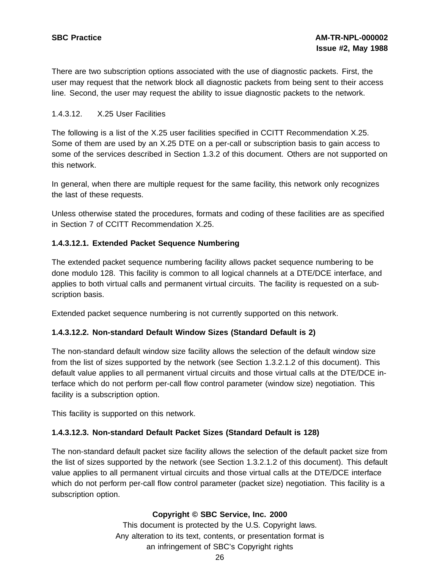There are two subscription options associated with the use of diagnostic packets. First, the user may request that the network block all diagnostic packets from being sent to their access line. Second, the user may request the ability to issue diagnostic packets to the network.

#### 1.4.3.12. X.25 User Facilities

The following is a list of the X.25 user facilities specified in CCITT Recommendation X.25. Some of them are used by an X.25 DTE on a per-call or subscription basis to gain access to some of the services described in Section 1.3.2 of this document. Others are not supported on this network.

In general, when there are multiple request for the same facility, this network only recognizes the last of these requests.

Unless otherwise stated the procedures, formats and coding of these facilities are as specified in Section 7 of CCITT Recommendation X.25.

### **1.4.3.12.1. Extended Packet Sequence Numbering**

The extended packet sequence numbering facility allows packet sequence numbering to be done modulo 128. This facility is common to all logical channels at a DTE/DCE interface, and applies to both virtual calls and permanent virtual circuits. The facility is requested on a subscription basis.

Extended packet sequence numbering is not currently supported on this network.

#### **1.4.3.12.2. Non-standard Default Window Sizes (Standard Default is 2)**

The non-standard default window size facility allows the selection of the default window size from the list of sizes supported by the network (see Section 1.3.2.1.2 of this document). This default value applies to all permanent virtual circuits and those virtual calls at the DTE/DCE interface which do not perform per-call flow control parameter (window size) negotiation. This facility is a subscription option.

This facility is supported on this network.

#### **1.4.3.12.3. Non-standard Default Packet Sizes (Standard Default is 128)**

The non-standard default packet size facility allows the selection of the default packet size from the list of sizes supported by the network (see Section 1.3.2.1.2 of this document). This default value applies to all permanent virtual circuits and those virtual calls at the DTE/DCE interface which do not perform per-call flow control parameter (packet size) negotiation. This facility is a subscription option.

#### **Copyright © SBC Service, Inc. 2000**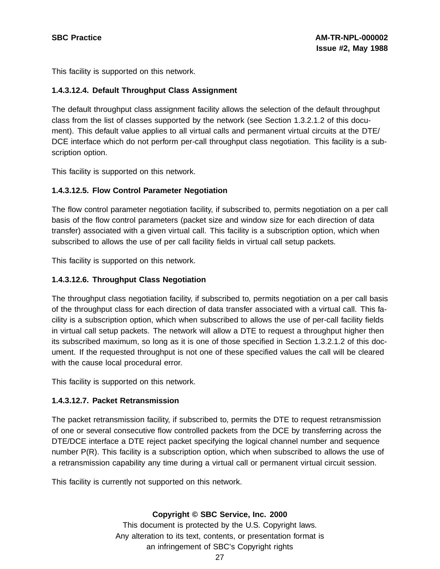This facility is supported on this network.

#### **1.4.3.12.4. Default Throughput Class Assignment**

The default throughput class assignment facility allows the selection of the default throughput class from the list of classes supported by the network (see Section 1.3.2.1.2 of this document). This default value applies to all virtual calls and permanent virtual circuits at the DTE/ DCE interface which do not perform per-call throughput class negotiation. This facility is a subscription option.

This facility is supported on this network.

#### **1.4.3.12.5. Flow Control Parameter Negotiation**

The flow control parameter negotiation facility, if subscribed to, permits negotiation on a per call basis of the flow control parameters (packet size and window size for each direction of data transfer) associated with a given virtual call. This facility is a subscription option, which when subscribed to allows the use of per call facility fields in virtual call setup packets.

This facility is supported on this network.

#### **1.4.3.12.6. Throughput Class Negotiation**

The throughput class negotiation facility, if subscribed to, permits negotiation on a per call basis of the throughput class for each direction of data transfer associated with a virtual call. This facility is a subscription option, which when subscribed to allows the use of per-call facility fields in virtual call setup packets. The network will allow a DTE to request a throughput higher then its subscribed maximum, so long as it is one of those specified in Section 1.3.2.1.2 of this document. If the requested throughput is not one of these specified values the call will be cleared with the cause local procedural error.

This facility is supported on this network.

#### **1.4.3.12.7. Packet Retransmission**

The packet retransmission facility, if subscribed to, permits the DTE to request retransmission of one or several consecutive flow controlled packets from the DCE by transferring across the DTE/DCE interface a DTE reject packet specifying the logical channel number and sequence number P(R). This facility is a subscription option, which when subscribed to allows the use of a retransmission capability any time during a virtual call or permanent virtual circuit session.

This facility is currently not supported on this network.

#### **Copyright © SBC Service, Inc. 2000**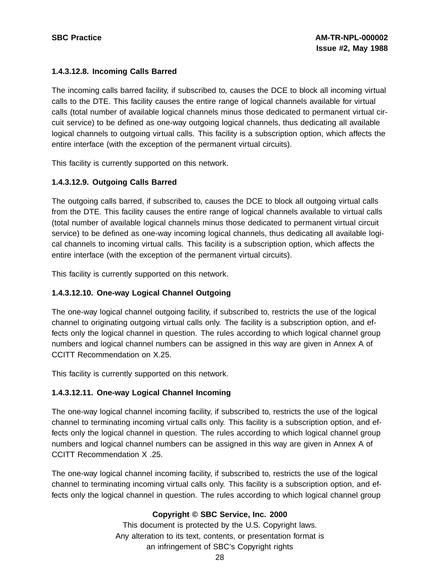### **1.4.3.12.8. Incoming Calls Barred**

The incoming calls barred facility, if subscribed to, causes the DCE to block all incoming virtual calls to the DTE. This facility causes the entire range of logical channels available for virtual calls (total number of available logical channels minus those dedicated to permanent virtual circuit service) to be defined as one-way outgoing logical channels, thus dedicating all available logical channels to outgoing virtual calls. This facility is a subscription option, which affects the entire interface (with the exception of the permanent virtual circuits).

This facility is currently supported on this network.

### **1.4.3.12.9. Outgoing Calls Barred**

The outgoing calls barred, if subscribed to, causes the DCE to block all outgoing virtual calls from the DTE. This facility causes the entire range of logical channels available to virtual calls (total number of available logical channels minus those dedicated to permanent virtual circuit service) to be defined as one-way incoming logical channels, thus dedicating all available logical channels to incoming virtual calls. This facility is a subscription option, which affects the entire interface (with the exception of the permanent virtual circuits).

This facility is currently supported on this network.

# **1.4.3.12.10. One-way Logical Channel Outgoing**

The one-way logical channel outgoing facility, if subscribed to, restricts the use of the logical channel to originating outgoing virtual calls only. The facility is a subscription option, and effects only the logical channel in question. The rules according to which logical channel group numbers and logical channel numbers can be assigned in this way are given in Annex A of CCITT Recommendation on X.25.

This facility is currently supported on this network.

#### **1.4.3.12.11. One-way Logical Channel Incoming**

The one-way logical channel incoming facility, if subscribed to, restricts the use of the logical channel to terminating incoming virtual calls only. This facility is a subscription option, and effects only the logical channel in question. The rules according to which logical channel group numbers and logical channel numbers can be assigned in this way are given in Annex A of CCITT Recommendation X .25.

The one-way logical channel incoming facility, if subscribed to, restricts the use of the logical channel to terminating incoming virtual calls only. This facility is a subscription option, and effects only the logical channel in question. The rules according to which logical channel group

#### **Copyright © SBC Service, Inc. 2000**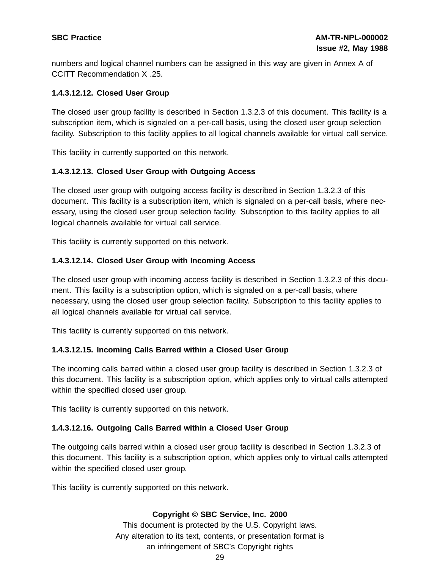numbers and logical channel numbers can be assigned in this way are given in Annex A of CCITT Recommendation X .25.

# **1.4.3.12.12. Closed User Group**

The closed user group facility is described in Section 1.3.2.3 of this document. This facility is a subscription item, which is signaled on a per-call basis, using the closed user group selection facility. Subscription to this facility applies to all logical channels available for virtual call service.

This facility in currently supported on this network.

# **1.4.3.12.13. Closed User Group with Outgoing Access**

The closed user group with outgoing access facility is described in Section 1.3.2.3 of this document. This facility is a subscription item, which is signaled on a per-call basis, where necessary, using the closed user group selection facility. Subscription to this facility applies to all logical channels available for virtual call service.

This facility is currently supported on this network.

# **1.4.3.12.14. Closed User Group with Incoming Access**

The closed user group with incoming access facility is described in Section 1.3.2.3 of this document. This facility is a subscription option, which is signaled on a per-call basis, where necessary, using the closed user group selection facility. Subscription to this facility applies to all logical channels available for virtual call service.

This facility is currently supported on this network.

# **1.4.3.12.15. Incoming Calls Barred within a Closed User Group**

The incoming calls barred within a closed user group facility is described in Section 1.3.2.3 of this document. This facility is a subscription option, which applies only to virtual calls attempted within the specified closed user group.

This facility is currently supported on this network.

# **1.4.3.12.16. Outgoing Calls Barred within a Closed User Group**

The outgoing calls barred within a closed user group facility is described in Section 1.3.2.3 of this document. This facility is a subscription option, which applies only to virtual calls attempted within the specified closed user group.

This facility is currently supported on this network.

# **Copyright © SBC Service, Inc. 2000**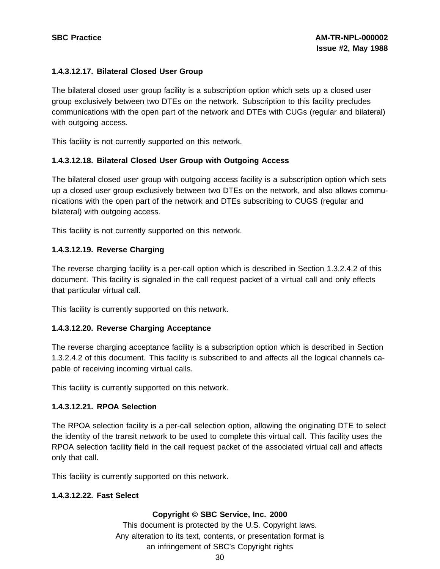#### **1.4.3.12.17. Bilateral Closed User Group**

The bilateral closed user group facility is a subscription option which sets up a closed user group exclusively between two DTEs on the network. Subscription to this facility precludes communications with the open part of the network and DTEs with CUGs (regular and bilateral) with outgoing access.

This facility is not currently supported on this network.

#### **1.4.3.12.18. Bilateral Closed User Group with Outgoing Access**

The bilateral closed user group with outgoing access facility is a subscription option which sets up a closed user group exclusively between two DTEs on the network, and also allows communications with the open part of the network and DTEs subscribing to CUGS (regular and bilateral) with outgoing access.

This facility is not currently supported on this network.

#### **1.4.3.12.19. Reverse Charging**

The reverse charging facility is a per-call option which is described in Section 1.3.2.4.2 of this document. This facility is signaled in the call request packet of a virtual call and only effects that particular virtual call.

This facility is currently supported on this network.

#### **1.4.3.12.20. Reverse Charging Acceptance**

The reverse charging acceptance facility is a subscription option which is described in Section 1.3.2.4.2 of this document. This facility is subscribed to and affects all the logical channels capable of receiving incoming virtual calls.

This facility is currently supported on this network.

#### **1.4.3.12.21. RPOA Selection**

The RPOA selection facility is a per-call selection option, allowing the originating DTE to select the identity of the transit network to be used to complete this virtual call. This facility uses the RPOA selection facility field in the call request packet of the associated virtual call and affects only that call.

This facility is currently supported on this network.

#### **1.4.3.12.22. Fast Select**

#### **Copyright © SBC Service, Inc. 2000**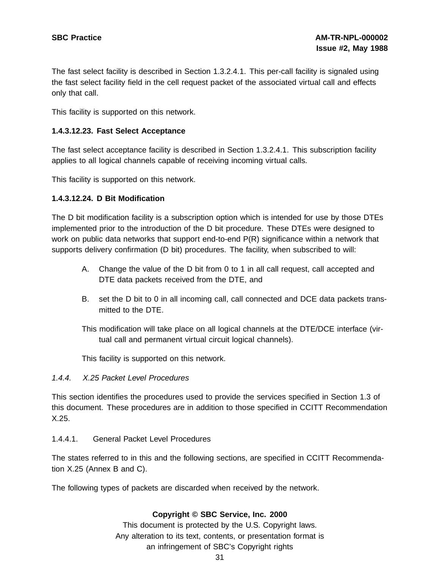The fast select facility is described in Section 1.3.2.4.1. This per-call facility is signaled using the fast select facility field in the cell request packet of the associated virtual call and effects only that call.

This facility is supported on this network.

#### **1.4.3.12.23. Fast Select Acceptance**

The fast select acceptance facility is described in Section 1.3.2.4.1. This subscription facility applies to all logical channels capable of receiving incoming virtual calls.

This facility is supported on this network.

#### **1.4.3.12.24. D Bit Modification**

The D bit modification facility is a subscription option which is intended for use by those DTEs implemented prior to the introduction of the D bit procedure. These DTEs were designed to work on public data networks that support end-to-end P(R) significance within a network that supports delivery confirmation (D bit) procedures. The facility, when subscribed to will:

- A. Change the value of the D bit from 0 to 1 in all call request, call accepted and DTE data packets received from the DTE, and
- B. set the D bit to 0 in all incoming call, call connected and DCE data packets transmitted to the DTE.

This modification will take place on all logical channels at the DTE/DCE interface (virtual call and permanent virtual circuit logical channels).

This facility is supported on this network.

#### 1.4.4. X.25 Packet Level Procedures

This section identifies the procedures used to provide the services specified in Section 1.3 of this document. These procedures are in addition to those specified in CCITT Recommendation X.25.

#### 1.4.4.1. General Packet Level Procedures

The states referred to in this and the following sections, are specified in CCITT Recommendation X.25 (Annex B and C).

The following types of packets are discarded when received by the network.

#### **Copyright © SBC Service, Inc. 2000**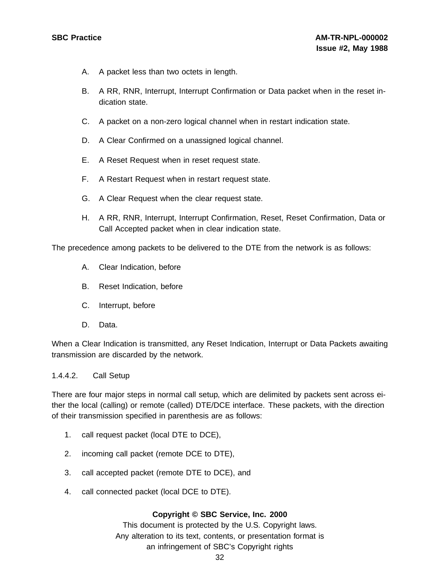- A. A packet less than two octets in length.
- B. A RR, RNR, Interrupt, Interrupt Confirmation or Data packet when in the reset indication state.
- C. A packet on a non-zero logical channel when in restart indication state.
- D. A Clear Confirmed on a unassigned logical channel.
- E. A Reset Request when in reset request state.
- F. A Restart Request when in restart request state.
- G. A Clear Request when the clear request state.
- H. A RR, RNR, Interrupt, Interrupt Confirmation, Reset, Reset Confirmation, Data or Call Accepted packet when in clear indication state.

The precedence among packets to be delivered to the DTE from the network is as follows:

- A. Clear Indication, before
- B. Reset Indication, before
- C. Interrupt, before
- D. Data.

When a Clear Indication is transmitted, any Reset Indication, Interrupt or Data Packets awaiting transmission are discarded by the network.

#### 1.4.4.2. Call Setup

There are four major steps in normal call setup, which are delimited by packets sent across either the local (calling) or remote (called) DTE/DCE interface. These packets, with the direction of their transmission specified in parenthesis are as follows:

- 1. call request packet (local DTE to DCE),
- 2. incoming call packet (remote DCE to DTE),
- 3. call accepted packet (remote DTE to DCE), and
- 4. call connected packet (local DCE to DTE).

#### **Copyright © SBC Service, Inc. 2000**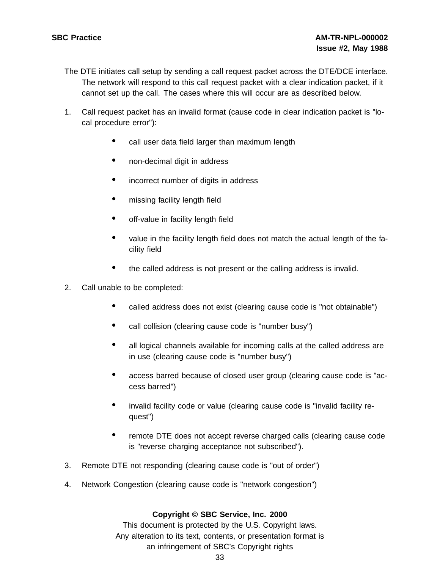- The DTE initiates call setup by sending a call request packet across the DTE/DCE interface. The network will respond to this call request packet with a clear indication packet, if it cannot set up the call. The cases where this will occur are as described below.
- 1. Call request packet has an invalid format (cause code in clear indication packet is "local procedure error"):
	- call user data field larger than maximum length
	- non-decimal digit in address
	- incorrect number of digits in address
	- missing facility length field
	- off-value in facility length field
	- value in the facility length field does not match the actual length of the facility field
	- the called address is not present or the calling address is invalid.
- 2. Call unable to be completed:
	- called address does not exist (clearing cause code is "not obtainable")
	- call collision (clearing cause code is "number busy")
	- all logical channels available for incoming calls at the called address are in use (clearing cause code is "number busy")
	- access barred because of closed user group (clearing cause code is "access barred")
	- invalid facility code or value (clearing cause code is "invalid facility request")
	- remote DTE does not accept reverse charged calls (clearing cause code is "reverse charging acceptance not subscribed").
- 3. Remote DTE not responding (clearing cause code is "out of order")
- 4. Network Congestion (clearing cause code is "network congestion")

### **Copyright © SBC Service, Inc. 2000**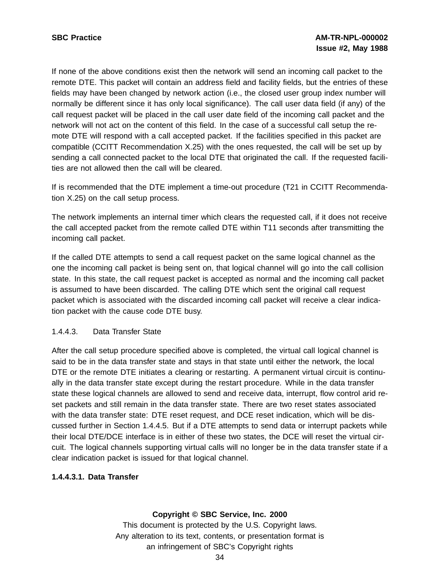If none of the above conditions exist then the network will send an incoming call packet to the remote DTE. This packet will contain an address field and facility fields, but the entries of these fields may have been changed by network action (i.e., the closed user group index number will normally be different since it has only local significance). The call user data field (if any) of the call request packet will be placed in the call user date field of the incoming call packet and the network will not act on the content of this field. In the case of a successful call setup the remote DTE will respond with a call accepted packet. If the facilities specified in this packet are compatible (CCITT Recommendation X.25) with the ones requested, the call will be set up by sending a call connected packet to the local DTE that originated the call. If the requested facilities are not allowed then the call will be cleared.

If is recommended that the DTE implement a time-out procedure (T21 in CCITT Recommendation X.25) on the call setup process.

The network implements an internal timer which clears the requested call, if it does not receive the call accepted packet from the remote called DTE within T11 seconds after transmitting the incoming call packet.

If the called DTE attempts to send a call request packet on the same logical channel as the one the incoming call packet is being sent on, that logical channel will go into the call collision state. In this state, the call request packet is accepted as normal and the incoming call packet is assumed to have been discarded. The calling DTE which sent the original call request packet which is associated with the discarded incoming call packet will receive a clear indication packet with the cause code DTE busy.

### 1.4.4.3. Data Transfer State

After the call setup procedure specified above is completed, the virtual call logical channel is said to be in the data transfer state and stays in that state until either the network, the local DTE or the remote DTE initiates a clearing or restarting. A permanent virtual circuit is continually in the data transfer state except during the restart procedure. While in the data transfer state these logical channels are allowed to send and receive data, interrupt, flow control arid reset packets and still remain in the data transfer state. There are two reset states associated with the data transfer state: DTE reset request, and DCE reset indication, which will be discussed further in Section 1.4.4.5. But if a DTE attempts to send data or interrupt packets while their local DTE/DCE interface is in either of these two states, the DCE will reset the virtual circuit. The logical channels supporting virtual calls will no longer be in the data transfer state if a clear indication packet is issued for that logical channel.

### **1.4.4.3.1. Data Transfer**

### **Copyright © SBC Service, Inc. 2000**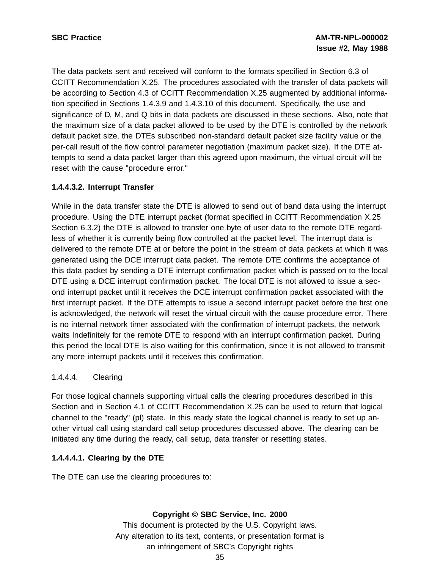The data packets sent and received will conform to the formats specified in Section 6.3 of CCITT Recommendation X.25. The procedures associated with the transfer of data packets will be according to Section 4.3 of CCITT Recommendation X.25 augmented by additional information specified in Sections 1.4.3.9 and 1.4.3.10 of this document. Specifically, the use and significance of D, M, and Q bits in data packets are discussed in these sections. Also, note that the maximum size of a data packet allowed to be used by the DTE is controlled by the network default packet size, the DTEs subscribed non-standard default packet size facility value or the per-call result of the flow control parameter negotiation (maximum packet size). If the DTE attempts to send a data packet larger than this agreed upon maximum, the virtual circuit will be reset with the cause "procedure error."

# **1.4.4.3.2. Interrupt Transfer**

While in the data transfer state the DTE is allowed to send out of band data using the interrupt procedure. Using the DTE interrupt packet (format specified in CCITT Recommendation X.25 Section 6.3.2) the DTE is allowed to transfer one byte of user data to the remote DTE regardless of whether it is currently being flow controlled at the packet level. The interrupt data is delivered to the remote DTE at or before the point in the stream of data packets at which it was generated using the DCE interrupt data packet. The remote DTE confirms the acceptance of this data packet by sending a DTE interrupt confirmation packet which is passed on to the local DTE using a DCE interrupt confirmation packet. The local DTE is not allowed to issue a second interrupt packet until it receives the DCE interrupt confirmation packet associated with the first interrupt packet. If the DTE attempts to issue a second interrupt packet before the first one is acknowledged, the network will reset the virtual circuit with the cause procedure error. There is no internal network timer associated with the confirmation of interrupt packets, the network waits Indefinitely for the remote DTE to respond with an interrupt confirmation packet. During this period the local DTE Is also waiting for this confirmation, since it is not allowed to transmit any more interrupt packets until it receives this confirmation.

# 1.4.4.4. Clearing

For those logical channels supporting virtual calls the clearing procedures described in this Section and in Section 4.1 of CCITT Recommendation X.25 can be used to return that logical channel to the "ready" (pl) state. In this ready state the logical channel is ready to set up another virtual call using standard call setup procedures discussed above. The clearing can be initiated any time during the ready, call setup, data transfer or resetting states.

# **1.4.4.4.1. Clearing by the DTE**

The DTE can use the clearing procedures to:

# **Copyright © SBC Service, Inc. 2000**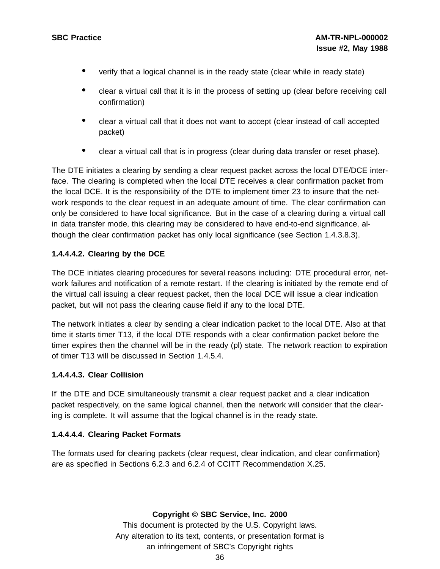- verify that <sup>a</sup> logical channel is in the ready state (clear while in ready state)
- clear a virtual call that it is in the process of setting up (clear before receiving call confirmation)
- clear a virtual call that it does not want to accept (clear instead of call accepted packet)
- clear a virtual call that is in progress (clear during data transfer or reset phase).

The DTE initiates a clearing by sending a clear request packet across the local DTE/DCE interface. The clearing is completed when the local DTE receives a clear confirmation packet from the local DCE. It is the responsibility of the DTE to implement timer 23 to insure that the network responds to the clear request in an adequate amount of time. The clear confirmation can only be considered to have local significance. But in the case of a clearing during a virtual call in data transfer mode, this clearing may be considered to have end-to-end significance, although the clear confirmation packet has only local significance (see Section 1.4.3.8.3).

### **1.4.4.4.2. Clearing by the DCE**

The DCE initiates clearing procedures for several reasons including: DTE procedural error, network failures and notification of a remote restart. If the clearing is initiated by the remote end of the virtual call issuing a clear request packet, then the local DCE will issue a clear indication packet, but will not pass the clearing cause field if any to the local DTE.

The network initiates a clear by sending a clear indication packet to the local DTE. Also at that time it starts timer T13, if the local DTE responds with a clear confirmation packet before the timer expires then the channel will be in the ready (pl) state. The network reaction to expiration of timer T13 will be discussed in Section 1.4.5.4.

### **1.4.4.4.3. Clear Collision**

If' the DTE and DCE simultaneously transmit a clear request packet and a clear indication packet respectively, on the same logical channel, then the network will consider that the clearing is complete. It will assume that the logical channel is in the ready state.

### **1.4.4.4.4. Clearing Packet Formats**

The formats used for clearing packets (clear request, clear indication, and clear confirmation) are as specified in Sections 6.2.3 and 6.2.4 of CCITT Recommendation X.25.

**Copyright © SBC Service, Inc. 2000**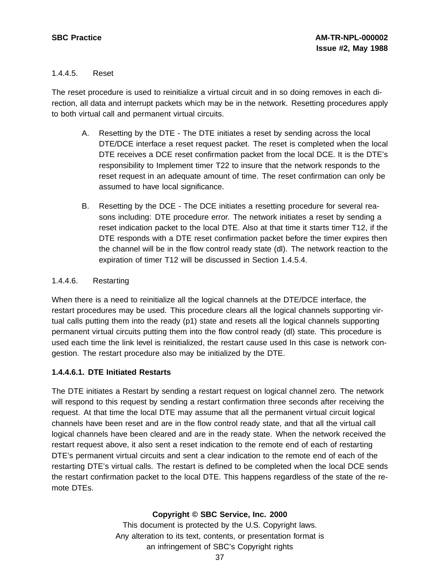## 1.4.4.5. Reset

The reset procedure is used to reinitialize a virtual circuit and in so doing removes in each direction, all data and interrupt packets which may be in the network. Resetting procedures apply to both virtual call and permanent virtual circuits.

- A. Resetting by the DTE The DTE initiates a reset by sending across the local DTE/DCE interface a reset request packet. The reset is completed when the local DTE receives a DCE reset confirmation packet from the local DCE. It is the DTE's responsibility to Implement timer T22 to insure that the network responds to the reset request in an adequate amount of time. The reset confirmation can only be assumed to have local significance.
- B. Resetting by the DCE The DCE initiates a resetting procedure for several reasons including: DTE procedure error. The network initiates a reset by sending a reset indication packet to the local DTE. Also at that time it starts timer T12, if the DTE responds with a DTE reset confirmation packet before the timer expires then the channel will be in the flow control ready state (dl). The network reaction to the expiration of timer T12 will be discussed in Section 1.4.5.4.

## 1.4.4.6. Restarting

When there is a need to reinitialize all the logical channels at the DTE/DCE interface, the restart procedures may be used. This procedure clears all the logical channels supporting virtual calls putting them into the ready (p1) state and resets all the logical channels supporting permanent virtual circuits putting them into the flow control ready (dl) state. This procedure is used each time the link level is reinitialized, the restart cause used In this case is network congestion. The restart procedure also may be initialized by the DTE.

### **1.4.4.6.1. DTE Initiated Restarts**

The DTE initiates a Restart by sending a restart request on logical channel zero. The network will respond to this request by sending a restart confirmation three seconds after receiving the request. At that time the local DTE may assume that all the permanent virtual circuit logical channels have been reset and are in the flow control ready state, and that all the virtual call logical channels have been cleared and are in the ready state. When the network received the restart request above, it also sent a reset indication to the remote end of each of restarting DTE's permanent virtual circuits and sent a clear indication to the remote end of each of the restarting DTE's virtual calls. The restart is defined to be completed when the local DCE sends the restart confirmation packet to the local DTE. This happens regardless of the state of the remote DTEs.

# **Copyright © SBC Service, Inc. 2000**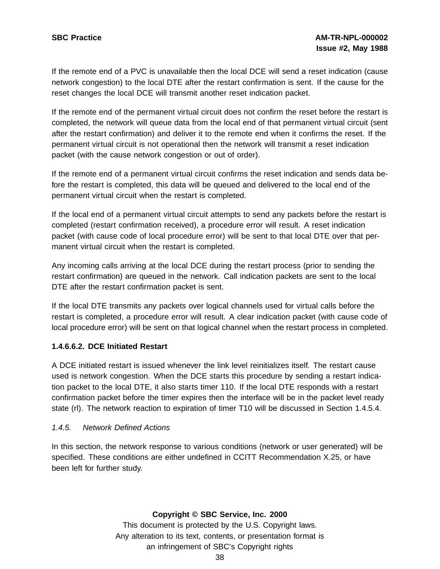If the remote end of a PVC is unavailable then the local DCE will send a reset indication (cause network congestion) to the local DTE after the restart confirmation is sent. If the cause for the reset changes the local DCE will transmit another reset indication packet.

If the remote end of the permanent virtual circuit does not confirm the reset before the restart is completed, the network will queue data from the local end of that permanent virtual circuit (sent after the restart confirmation) and deliver it to the remote end when it confirms the reset. If the permanent virtual circuit is not operational then the network will transmit a reset indication packet (with the cause network congestion or out of order).

If the remote end of a permanent virtual circuit confirms the reset indication and sends data before the restart is completed, this data will be queued and delivered to the local end of the permanent virtual circuit when the restart is completed.

If the local end of a permanent virtual circuit attempts to send any packets before the restart is completed (restart confirmation received), a procedure error will result. A reset indication packet (with cause code of local procedure error) will be sent to that local DTE over that permanent virtual circuit when the restart is completed.

Any incoming calls arriving at the local DCE during the restart process (prior to sending the restart confirmation) are queued in the network. Call indication packets are sent to the local DTE after the restart confirmation packet is sent.

If the local DTE transmits any packets over logical channels used for virtual calls before the restart is completed, a procedure error will result. A clear indication packet (with cause code of local procedure error) will be sent on that logical channel when the restart process in completed.

# **1.4.6.6.2. DCE Initiated Restart**

A DCE initiated restart is issued whenever the link level reinitializes itself. The restart cause used is network congestion. When the DCE starts this procedure by sending a restart indication packet to the local DTE, it also starts timer 110. If the local DTE responds with a restart confirmation packet before the timer expires then the interface will be in the packet level ready state (rl). The network reaction to expiration of timer T10 will be discussed in Section 1.4.5.4.

### 1.4.5. Network Defined Actions

In this section, the network response to various conditions (network or user generated) will be specified. These conditions are either undefined in CCITT Recommendation X.25, or have been left for further study.

### **Copyright © SBC Service, Inc. 2000**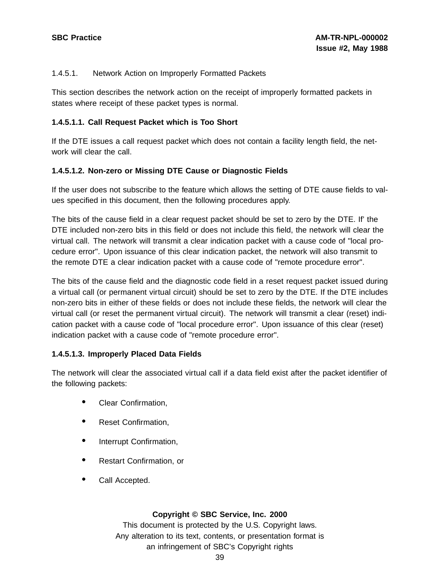## 1.4.5.1. Network Action on Improperly Formatted Packets

This section describes the network action on the receipt of improperly formatted packets in states where receipt of these packet types is normal.

## **1.4.5.1.1. Call Request Packet which is Too Short**

If the DTE issues a call request packet which does not contain a facility length field, the network will clear the call.

## **1.4.5.1.2. Non-zero or Missing DTE Cause or Diagnostic Fields**

If the user does not subscribe to the feature which allows the setting of DTE cause fields to values specified in this document, then the following procedures apply.

The bits of the cause field in a clear request packet should be set to zero by the DTE. If' the DTE included non-zero bits in this field or does not include this field, the network will clear the virtual call. The network will transmit a clear indication packet with a cause code of "local procedure error". Upon issuance of this clear indication packet, the network will also transmit to the remote DTE a clear indication packet with a cause code of "remote procedure error".

The bits of the cause field and the diagnostic code field in a reset request packet issued during a virtual call (or permanent virtual circuit) should be set to zero by the DTE. If the DTE includes non-zero bits in either of these fields or does not include these fields, the network will clear the virtual call (or reset the permanent virtual circuit). The network will transmit a clear (reset) indication packet with a cause code of "local procedure error". Upon issuance of this clear (reset) indication packet with a cause code of "remote procedure error".

# **1.4.5.1.3. Improperly Placed Data Fields**

The network will clear the associated virtual call if a data field exist after the packet identifier of the following packets:

- Clear Confirmation,
- Reset Confirmation,
- Interrupt Confirmation,
- Restart Confirmation, or
- Call Accepted.

### **Copyright © SBC Service, Inc. 2000**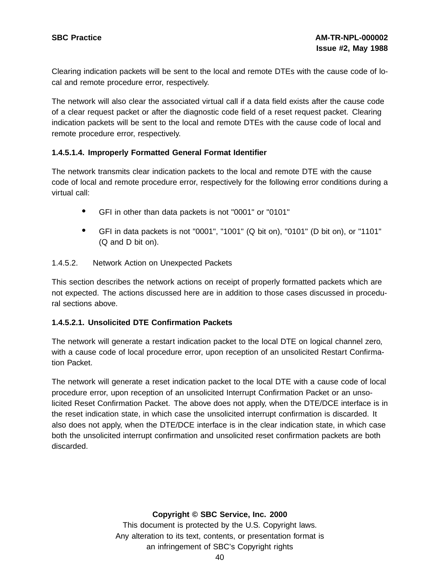Clearing indication packets will be sent to the local and remote DTEs with the cause code of local and remote procedure error, respectively.

The network will also clear the associated virtual call if a data field exists after the cause code of a clear request packet or after the diagnostic code field of a reset request packet. Clearing indication packets will be sent to the local and remote DTEs with the cause code of local and remote procedure error, respectively.

## **1.4.5.1.4. Improperly Formatted General Format Identifier**

The network transmits clear indication packets to the local and remote DTE with the cause code of local and remote procedure error, respectively for the following error conditions during a virtual call:

- GFI in other than data packets is not "0001" or "0101"
- GFI in data packets is not "0001", "1001" (Q bit on), "0101" (D bit on), or "1101" (Q and D bit on).

### 1.4.5.2. Network Action on Unexpected Packets

This section describes the network actions on receipt of properly formatted packets which are not expected. The actions discussed here are in addition to those cases discussed in procedural sections above.

### **1.4.5.2.1. Unsolicited DTE Confirmation Packets**

The network will generate a restart indication packet to the local DTE on logical channel zero, with a cause code of local procedure error, upon reception of an unsolicited Restart Confirmation Packet.

The network will generate a reset indication packet to the local DTE with a cause code of local procedure error, upon reception of an unsolicited Interrupt Confirmation Packet or an unsolicited Reset Confirmation Packet. The above does not apply, when the DTE/DCE interface is in the reset indication state, in which case the unsolicited interrupt confirmation is discarded. It also does not apply, when the DTE/DCE interface is in the clear indication state, in which case both the unsolicited interrupt confirmation and unsolicited reset confirmation packets are both discarded.

### **Copyright © SBC Service, Inc. 2000**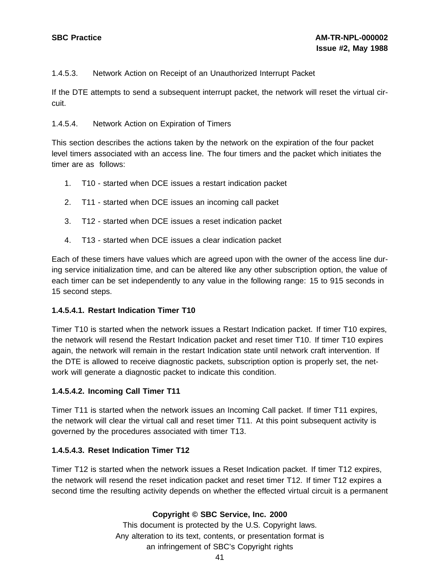## 1.4.5.3. Network Action on Receipt of an Unauthorized Interrupt Packet

If the DTE attempts to send a subsequent interrupt packet, the network will reset the virtual circuit.

### 1.4.5.4. Network Action on Expiration of Timers

This section describes the actions taken by the network on the expiration of the four packet level timers associated with an access line. The four timers and the packet which initiates the timer are as follows:

- 1. T10 started when DCE issues a restart indication packet
- 2. T11 started when DCE issues an incoming call packet
- 3. T12 started when DCE issues a reset indication packet
- 4. T13 started when DCE issues a clear indication packet

Each of these timers have values which are agreed upon with the owner of the access line during service initialization time, and can be altered like any other subscription option, the value of each timer can be set independently to any value in the following range: 15 to 915 seconds in 15 second steps.

### **1.4.5.4.1. Restart Indication Timer T10**

Timer T10 is started when the network issues a Restart Indication packet. If timer T10 expires, the network will resend the Restart Indication packet and reset timer T10. If timer T10 expires again, the network will remain in the restart Indication state until network craft intervention. If the DTE is allowed to receive diagnostic packets, subscription option is properly set, the network will generate a diagnostic packet to indicate this condition.

### **1.4.5.4.2. Incoming Call Timer T11**

Timer T11 is started when the network issues an Incoming Call packet. If timer T11 expires, the network will clear the virtual call and reset timer T11. At this point subsequent activity is governed by the procedures associated with timer T13.

### **1.4.5.4.3. Reset Indication Timer T12**

Timer T12 is started when the network issues a Reset Indication packet. If timer T12 expires, the network will resend the reset indication packet and reset timer T12. If timer T12 expires a second time the resulting activity depends on whether the effected virtual circuit is a permanent

### **Copyright © SBC Service, Inc. 2000**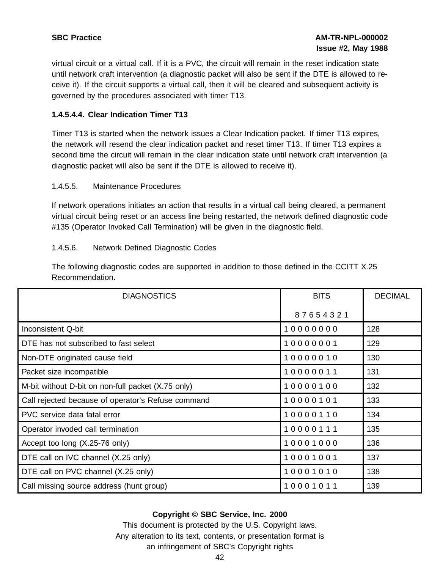virtual circuit or a virtual call. If it is a PVC, the circuit will remain in the reset indication state until network craft intervention (a diagnostic packet will also be sent if the DTE is allowed to receive it). If the circuit supports a virtual call, then it will be cleared and subsequent activity is governed by the procedures associated with timer T13.

## **1.4.5.4.4. Clear Indication Timer T13**

Timer T13 is started when the network issues a Clear Indication packet. If timer T13 expires, the network will resend the clear indication packet and reset timer T13. If timer T13 expires a second time the circuit will remain in the clear indication state until network craft intervention (a diagnostic packet will also be sent if the DTE is allowed to receive it).

#### 1.4.5.5. Maintenance Procedures

If network operations initiates an action that results in a virtual call being cleared, a permanent virtual circuit being reset or an access line being restarted, the network defined diagnostic code #135 (Operator Invoked Call Termination) will be given in the diagnostic field.

### 1.4.5.6. Network Defined Diagnostic Codes

The following diagnostic codes are supported in addition to those defined in the CCITT X.25 Recommendation.

| <b>DIAGNOSTICS</b>                                 | <b>BITS</b> | <b>DECIMAL</b> |
|----------------------------------------------------|-------------|----------------|
|                                                    | 87654321    |                |
| Inconsistent Q-bit                                 | 10000000    | 128            |
| DTE has not subscribed to fast select              | 10000001    | 129            |
| Non-DTE originated cause field                     | 10000010    | 130            |
| Packet size incompatible                           | 10000011    | 131            |
| M-bit without D-bit on non-full packet (X.75 only) | 10000100    | 132            |
| Call rejected because of operator's Refuse command | 10000101    | 133            |
| PVC service data fatal error                       | 10000110    | 134            |
| Operator invoded call termination                  | 10000111    | 135            |
| Accept too long (X.25-76 only)                     | 10001000    | 136            |
| DTE call on IVC channel (X.25 only)                | 10001001    | 137            |
| DTE call on PVC channel (X.25 only)                | 10001010    | 138            |
| Call missing source address (hunt group)           | 10001011    | 139            |

### **Copyright © SBC Service, Inc. 2000**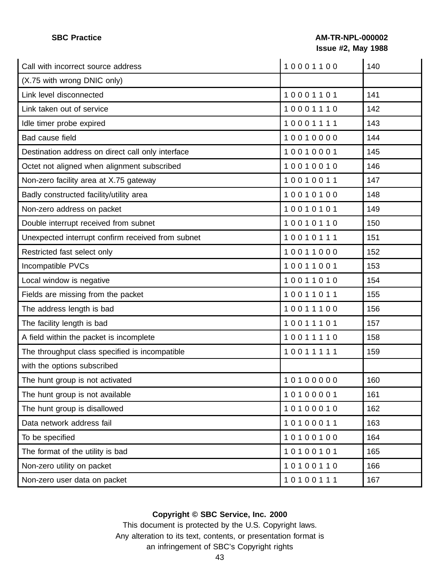# **SBC Practice AM-TR-NPL-000002 Issue #2, May 1988**

| Call with incorrect source address                | 10001100 | 140 |
|---------------------------------------------------|----------|-----|
| (X.75 with wrong DNIC only)                       |          |     |
| Link level disconnected                           | 10001101 | 141 |
| Link taken out of service                         | 10001110 | 142 |
| Idle timer probe expired                          | 10001111 | 143 |
| Bad cause field                                   | 10010000 | 144 |
| Destination address on direct call only interface | 10010001 | 145 |
| Octet not aligned when alignment subscribed       | 10010010 | 146 |
| Non-zero facility area at X.75 gateway            | 10010011 | 147 |
| Badly constructed facility/utility area           | 10010100 | 148 |
| Non-zero address on packet                        | 10010101 | 149 |
| Double interrupt received from subnet             | 10010110 | 150 |
| Unexpected interrupt confirm received from subnet | 10010111 | 151 |
| Restricted fast select only                       | 10011000 | 152 |
| Incompatible PVCs                                 | 10011001 | 153 |
| Local window is negative                          | 10011010 | 154 |
| Fields are missing from the packet                | 10011011 | 155 |
| The address length is bad                         | 10011100 | 156 |
| The facility length is bad                        | 10011101 | 157 |
| A field within the packet is incomplete           | 10011110 | 158 |
| The throughput class specified is incompatible    | 10011111 | 159 |
| with the options subscribed                       |          |     |
| The hunt group is not activated                   | 10100000 | 160 |
| The hunt group is not available                   | 10100001 | 161 |
| The hunt group is disallowed                      | 10100010 | 162 |
| Data network address fail                         | 10100011 | 163 |
| To be specified                                   | 10100100 | 164 |
| The format of the utility is bad                  | 10100101 | 165 |
| Non-zero utility on packet                        | 10100110 | 166 |
| Non-zero user data on packet                      | 10100111 | 167 |

# **Copyright © SBC Service, Inc. 2000**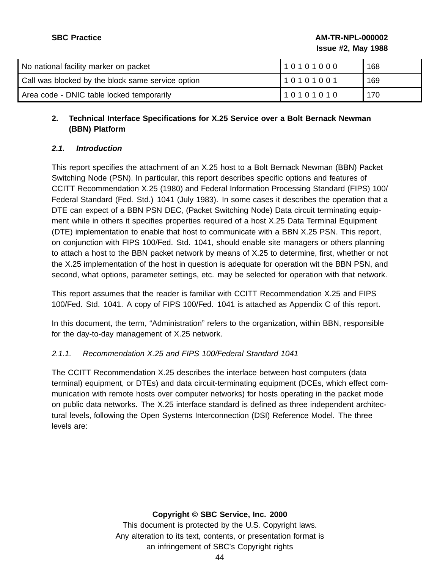**SBC Practice AM-TR-NPL-000002 Issue #2, May 1988**

| No national facility marker on packet             | 10101000 | 168 |
|---------------------------------------------------|----------|-----|
| Call was blocked by the block same service option | 10101001 | 169 |
| Area code - DNIC table locked temporarily         | 10101010 | 170 |

# **2. Technical Interface Specifications for X.25 Service over a Bolt Bernack Newman (BBN) Platform**

# **2.1. Introduction**

This report specifies the attachment of an X.25 host to a Bolt Bernack Newman (BBN) Packet Switching Node (PSN). In particular, this report describes specific options and features of CCITT Recommendation X.25 (1980) and Federal Information Processing Standard (FIPS) 100/ Federal Standard (Fed. Std.) 1041 (July 1983). In some cases it describes the operation that a DTE can expect of a BBN PSN DEC, (Packet Switching Node) Data circuit terminating equipment while in others it specifies properties required of a host X.25 Data Terminal Equipment (DTE) implementation to enable that host to communicate with a BBN X.25 PSN. This report, on conjunction with FIPS 100/Fed. Std. 1041, should enable site managers or others planning to attach a host to the BBN packet network by means of X.25 to determine, first, whether or not the X.25 implementation of the host in question is adequate for operation wit the BBN PSN, and second, what options, parameter settings, etc. may be selected for operation with that network.

This report assumes that the reader is familiar with CCITT Recommendation X.25 and FIPS 100/Fed. Std. 1041. A copy of FIPS 100/Fed. 1041 is attached as Appendix C of this report.

In this document, the term, "Administration" refers to the organization, within BBN, responsible for the day-to-day management of X.25 network.

# 2.1.1. Recommendation X.25 and FIPS 100/Federal Standard 1041

The CCITT Recommendation X.25 describes the interface between host computers (data terminal) equipment, or DTEs) and data circuit-terminating equipment (DCEs, which effect communication with remote hosts over computer networks) for hosts operating in the packet mode on public data networks. The X.25 interface standard is defined as three independent architectural levels, following the Open Systems Interconnection (DSI) Reference Model. The three levels are:

### **Copyright © SBC Service, Inc. 2000**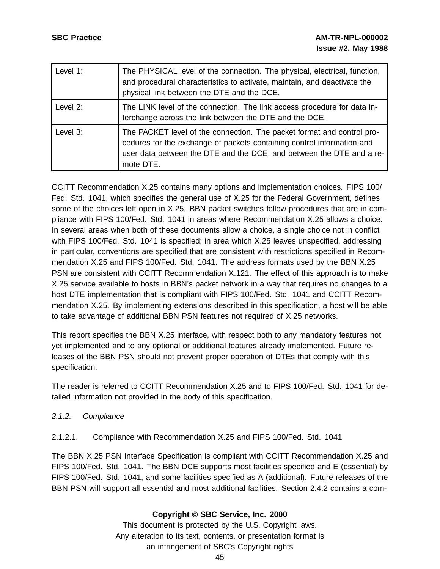| Level $1$ : | The PHYSICAL level of the connection. The physical, electrical, function,<br>and procedural characteristics to activate, maintain, and deactivate the<br>physical link between the DTE and the DCE.                                   |
|-------------|---------------------------------------------------------------------------------------------------------------------------------------------------------------------------------------------------------------------------------------|
| Level 2:    | The LINK level of the connection. The link access procedure for data in-<br>terchange across the link between the DTE and the DCE.                                                                                                    |
| Level 3:    | The PACKET level of the connection. The packet format and control pro-<br>cedures for the exchange of packets containing control information and<br>user data between the DTE and the DCE, and between the DTE and a re-<br>mote DTE. |

CCITT Recommendation X.25 contains many options and implementation choices. FIPS 100/ Fed. Std. 1041, which specifies the general use of X.25 for the Federal Government, defines some of the choices left open in X.25. BBN packet switches follow procedures that are in compliance with FIPS 100/Fed. Std. 1041 in areas where Recommendation X.25 allows a choice. In several areas when both of these documents allow a choice, a single choice not in conflict with FIPS 100/Fed. Std. 1041 is specified; in area which X.25 leaves unspecified, addressing in particular, conventions are specified that are consistent with restrictions specified in Recommendation X.25 and FIPS 100/Fed. Std. 1041. The address formats used by the BBN X.25 PSN are consistent with CCITT Recommendation X.121. The effect of this approach is to make X.25 service available to hosts in BBN's packet network in a way that requires no changes to a host DTE implementation that is compliant with FIPS 100/Fed. Std. 1041 and CCITT Recommendation X.25. By implementing extensions described in this specification, a host will be able to take advantage of additional BBN PSN features not required of X.25 networks.

This report specifies the BBN X.25 interface, with respect both to any mandatory features not yet implemented and to any optional or additional features already implemented. Future releases of the BBN PSN should not prevent proper operation of DTEs that comply with this specification.

The reader is referred to CCITT Recommendation X.25 and to FIPS 100/Fed. Std. 1041 for detailed information not provided in the body of this specification.

# 2.1.2. Compliance

### 2.1.2.1. Compliance with Recommendation X.25 and FIPS 100/Fed. Std. 1041

The BBN X.25 PSN Interface Specification is compliant with CCITT Recommendation X.25 and FIPS 100/Fed. Std. 1041. The BBN DCE supports most facilities specified and E (essential) by FIPS 100/Fed. Std. 1041, and some facilities specified as A (additional). Future releases of the BBN PSN will support all essential and most additional facilities. Section 2.4.2 contains a com-

### **Copyright © SBC Service, Inc. 2000**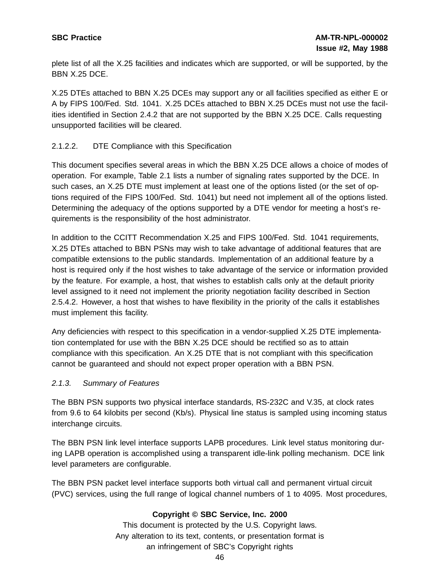plete list of all the X.25 facilities and indicates which are supported, or will be supported, by the BBN X.25 DCE.

X.25 DTEs attached to BBN X.25 DCEs may support any or all facilities specified as either E or A by FIPS 100/Fed. Std. 1041. X.25 DCEs attached to BBN X.25 DCEs must not use the facilities identified in Section 2.4.2 that are not supported by the BBN X.25 DCE. Calls requesting unsupported facilities will be cleared.

# 2.1.2.2. DTE Compliance with this Specification

This document specifies several areas in which the BBN X.25 DCE allows a choice of modes of operation. For example, Table 2.1 lists a number of signaling rates supported by the DCE. In such cases, an X.25 DTE must implement at least one of the options listed (or the set of options required of the FIPS 100/Fed. Std. 1041) but need not implement all of the options listed. Determining the adequacy of the options supported by a DTE vendor for meeting a host's requirements is the responsibility of the host administrator.

In addition to the CCITT Recommendation X.25 and FIPS 100/Fed. Std. 1041 requirements, X.25 DTEs attached to BBN PSNs may wish to take advantage of additional features that are compatible extensions to the public standards. Implementation of an additional feature by a host is required only if the host wishes to take advantage of the service or information provided by the feature. For example, a host, that wishes to establish calls only at the default priority level assigned to it need not implement the priority negotiation facility described in Section 2.5.4.2. However, a host that wishes to have flexibility in the priority of the calls it establishes must implement this facility.

Any deficiencies with respect to this specification in a vendor-supplied X.25 DTE implementation contemplated for use with the BBN X.25 DCE should be rectified so as to attain compliance with this specification. An X.25 DTE that is not compliant with this specification cannot be guaranteed and should not expect proper operation with a BBN PSN.

### 2.1.3. Summary of Features

The BBN PSN supports two physical interface standards, RS-232C and V.35, at clock rates from 9.6 to 64 kilobits per second (Kb/s). Physical line status is sampled using incoming status interchange circuits.

The BBN PSN link level interface supports LAPB procedures. Link level status monitoring during LAPB operation is accomplished using a transparent idle-link polling mechanism. DCE link level parameters are configurable.

The BBN PSN packet level interface supports both virtual call and permanent virtual circuit (PVC) services, using the full range of logical channel numbers of 1 to 4095. Most procedures,

# **Copyright © SBC Service, Inc. 2000**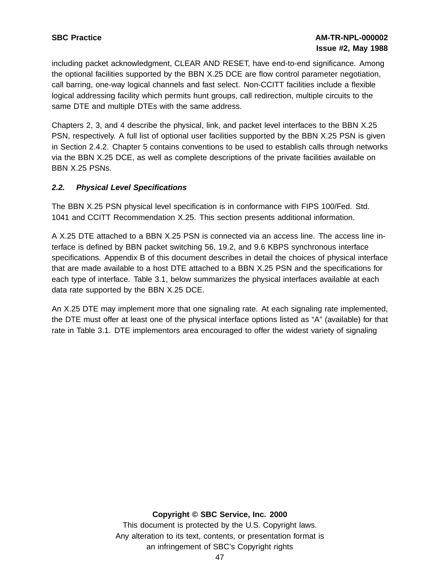including packet acknowledgment, CLEAR AND RESET, have end-to-end significance. Among the optional facilities supported by the BBN X.25 DCE are flow control parameter negotiation, call barring, one-way logical channels and fast select. Non-CCITT facilities include a flexible logical addressing facility which permits hunt groups, call redirection, multiple circuits to the same DTE and multiple DTEs with the same address.

Chapters 2, 3, and 4 describe the physical, link, and packet level interfaces to the BBN X.25 PSN, respectively. A full list of optional user facilities supported by the BBN X.25 PSN is given in Section 2.4.2. Chapter 5 contains conventions to be used to establish calls through networks via the BBN X.25 DCE, as well as complete descriptions of the private facilities available on BBN X.25 PSNs.

## **2.2. Physical Level Specifications**

The BBN X.25 PSN physical level specification is in conformance with FIPS 100/Fed. Std. 1041 and CCITT Recommendation X.25. This section presents additional information.

A X.25 DTE attached to a BBN X.25 PSN is connected via an access line. The access line interface is defined by BBN packet switching 56, 19.2, and 9.6 KBPS synchronous interface specifications. Appendix B of this document describes in detail the choices of physical interface that are made available to a host DTE attached to a BBN X.25 PSN and the specifications for each type of interface. Table 3.1, below summarizes the physical interfaces available at each data rate supported by the BBN X.25 DCE.

An X.25 DTE may implement more that one signaling rate. At each signaling rate implemented, the DTE must offer at least one of the physical interface options listed as "A" (available) for that rate in Table 3.1. DTE implementors area encouraged to offer the widest variety of signaling

### **Copyright © SBC Service, Inc. 2000**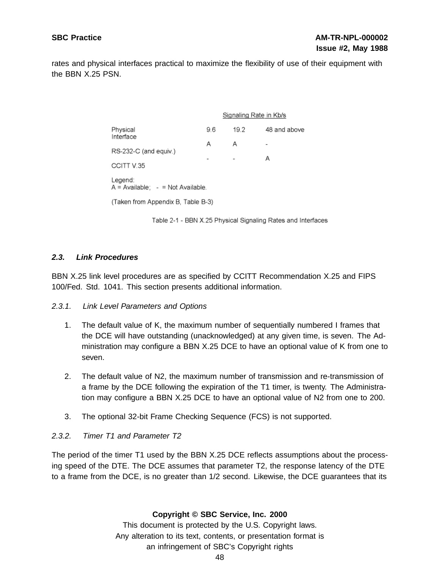rates and physical interfaces practical to maximize the flexibility of use of their equipment with the BBN X.25 PSN.

|                                                  | Signaling Rate in Kb/s |      |              |
|--------------------------------------------------|------------------------|------|--------------|
| Physical<br>Interface                            | 9.6                    | 19.2 | 48 and above |
|                                                  | А                      | Α    |              |
| RS-232-C (and equiv.)                            |                        |      | А            |
| CCITT V.35                                       |                        |      |              |
| Legend:<br>$A =$ Available: $-$ = Not Available. |                        |      |              |
| (Taken from Appendix B. Table B-3)               |                        |      |              |

Table 2-1 - BBN X.25 Physical Signaling Rates and Interfaces

### **2.3. Link Procedures**

BBN X.25 link level procedures are as specified by CCITT Recommendation X.25 and FIPS 100/Fed. Std. 1041. This section presents additional information.

#### 2.3.1. Link Level Parameters and Options

- 1. The default value of K, the maximum number of sequentially numbered I frames that the DCE will have outstanding (unacknowledged) at any given time, is seven. The Administration may configure a BBN X.25 DCE to have an optional value of K from one to seven.
- 2. The default value of N2, the maximum number of transmission and re-transmission of a frame by the DCE following the expiration of the T1 timer, is twenty. The Administration may configure a BBN X.25 DCE to have an optional value of N2 from one to 200.
- 3. The optional 32-bit Frame Checking Sequence (FCS) is not supported.

### 2.3.2. Timer T1 and Parameter T2

The period of the timer T1 used by the BBN X.25 DCE reflects assumptions about the processing speed of the DTE. The DCE assumes that parameter T2, the response latency of the DTE to a frame from the DCE, is no greater than 1/2 second. Likewise, the DCE guarantees that its

### **Copyright © SBC Service, Inc. 2000**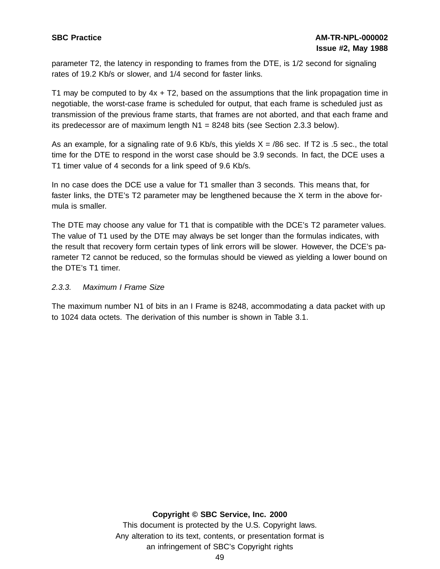parameter T2, the latency in responding to frames from the DTE, is 1/2 second for signaling rates of 19.2 Kb/s or slower, and 1/4 second for faster links.

T1 may be computed to by  $4x + T2$ , based on the assumptions that the link propagation time in negotiable, the worst-case frame is scheduled for output, that each frame is scheduled just as transmission of the previous frame starts, that frames are not aborted, and that each frame and its predecessor are of maximum length  $N1 = 8248$  bits (see Section 2.3.3 below).

As an example, for a signaling rate of 9.6 Kb/s, this yields  $X = 86$  sec. If T2 is .5 sec., the total time for the DTE to respond in the worst case should be 3.9 seconds. In fact, the DCE uses a T1 timer value of 4 seconds for a link speed of 9.6 Kb/s.

In no case does the DCE use a value for T1 smaller than 3 seconds. This means that, for faster links, the DTE's T2 parameter may be lengthened because the X term in the above formula is smaller.

The DTE may choose any value for T1 that is compatible with the DCE's T2 parameter values. The value of T1 used by the DTE may always be set longer than the formulas indicates, with the result that recovery form certain types of link errors will be slower. However, the DCE's parameter T2 cannot be reduced, so the formulas should be viewed as yielding a lower bound on the DTE's T1 timer.

### 2.3.3. Maximum I Frame Size

The maximum number N1 of bits in an I Frame is 8248, accommodating a data packet with up to 1024 data octets. The derivation of this number is shown in Table 3.1.

#### **Copyright © SBC Service, Inc. 2000**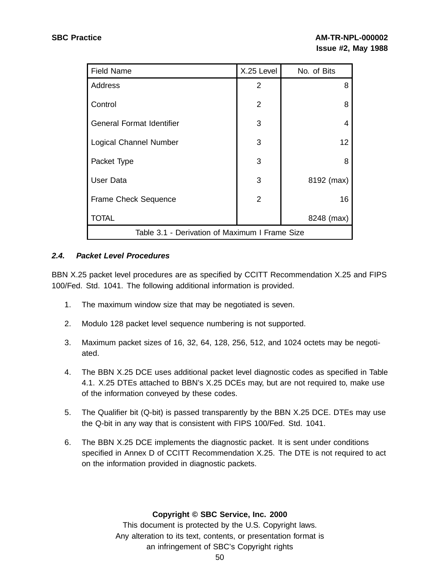| <b>Field Name</b>                              | X.25 Level     | No. of Bits |
|------------------------------------------------|----------------|-------------|
| Address                                        | 2              | 8           |
| Control                                        | 2              | 8           |
| <b>General Format Identifier</b>               | 3              | 4           |
| <b>Logical Channel Number</b>                  | 3              | 12          |
| Packet Type                                    | 3              | 8           |
| User Data                                      | 3              | 8192 (max)  |
| Frame Check Sequence                           | $\overline{2}$ | 16          |
| <b>TOTAL</b>                                   |                | 8248 (max)  |
| Table 3.1 - Derivation of Maximum I Frame Size |                |             |

## **2.4. Packet Level Procedures**

BBN X.25 packet level procedures are as specified by CCITT Recommendation X.25 and FIPS 100/Fed. Std. 1041. The following additional information is provided.

- 1. The maximum window size that may be negotiated is seven.
- 2. Modulo 128 packet level sequence numbering is not supported.
- 3. Maximum packet sizes of 16, 32, 64, 128, 256, 512, and 1024 octets may be negotiated.
- 4. The BBN X.25 DCE uses additional packet level diagnostic codes as specified in Table 4.1. X.25 DTEs attached to BBN's X.25 DCEs may, but are not required to, make use of the information conveyed by these codes.
- 5. The Qualifier bit (Q-bit) is passed transparently by the BBN X.25 DCE. DTEs may use the Q-bit in any way that is consistent with FIPS 100/Fed. Std. 1041.
- 6. The BBN X.25 DCE implements the diagnostic packet. It is sent under conditions specified in Annex D of CCITT Recommendation X.25. The DTE is not required to act on the information provided in diagnostic packets.

### **Copyright © SBC Service, Inc. 2000**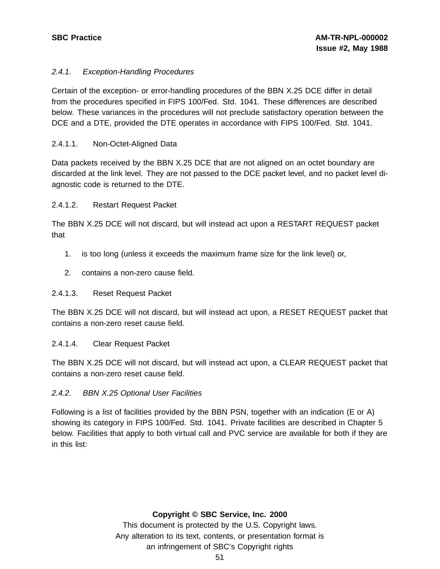## 2.4.1. Exception-Handling Procedures

Certain of the exception- or error-handling procedures of the BBN X.25 DCE differ in detail from the procedures specified in FIPS 100/Fed. Std. 1041. These differences are described below. These variances in the procedures will not preclude satisfactory operation between the DCE and a DTE, provided the DTE operates in accordance with FIPS 100/Fed. Std. 1041.

### 2.4.1.1. Non-Octet-Aligned Data

Data packets received by the BBN X.25 DCE that are not aligned on an octet boundary are discarded at the link level. They are not passed to the DCE packet level, and no packet level diagnostic code is returned to the DTE.

### 2.4.1.2. Restart Request Packet

The BBN X.25 DCE will not discard, but will instead act upon a RESTART REQUEST packet that

- 1. is too long (unless it exceeds the maximum frame size for the link level) or,
- 2. contains a non-zero cause field.

### 2.4.1.3. Reset Request Packet

The BBN X.25 DCE will not discard, but will instead act upon, a RESET REQUEST packet that contains a non-zero reset cause field.

### 2.4.1.4. Clear Request Packet

The BBN X.25 DCE will not discard, but will instead act upon, a CLEAR REQUEST packet that contains a non-zero reset cause field.

### 2.4.2. BBN X.25 Optional User Facilities

Following is a list of facilities provided by the BBN PSN, together with an indication (E or A) showing its category in FIPS 100/Fed. Std. 1041. Private facilities are described in Chapter 5 below. Facilities that apply to both virtual call and PVC service are available for both if they are in this list:

### **Copyright © SBC Service, Inc. 2000**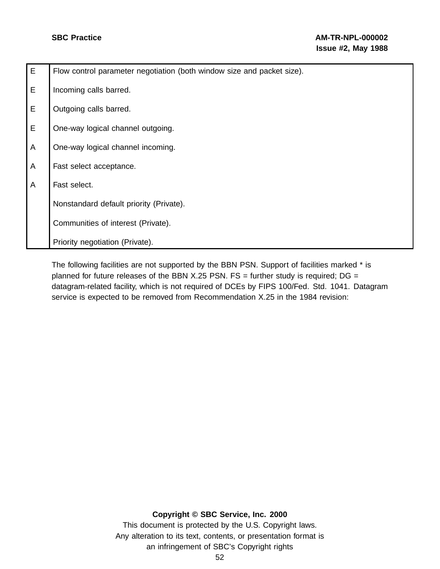| E              | Flow control parameter negotiation (both window size and packet size). |
|----------------|------------------------------------------------------------------------|
| E              | Incoming calls barred.                                                 |
| E              | Outgoing calls barred.                                                 |
| E              | One-way logical channel outgoing.                                      |
| A              | One-way logical channel incoming.                                      |
| A              | Fast select acceptance.                                                |
| $\overline{A}$ | Fast select.                                                           |
|                | Nonstandard default priority (Private).                                |
|                | Communities of interest (Private).                                     |
|                | Priority negotiation (Private).                                        |

The following facilities are not supported by the BBN PSN. Support of facilities marked \* is planned for future releases of the BBN X.25 PSN.  $FS =$  further study is required;  $DG =$ datagram-related facility, which is not required of DCEs by FIPS 100/Fed. Std. 1041. Datagram service is expected to be removed from Recommendation X.25 in the 1984 revision:

#### **Copyright © SBC Service, Inc. 2000**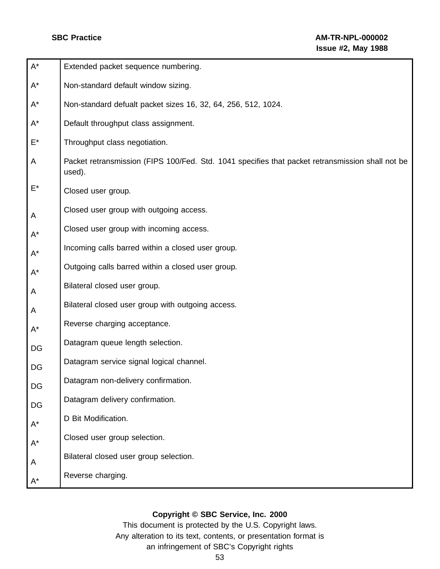| $\mathsf{A}^\star$   | Extended packet sequence numbering.                                                                        |
|----------------------|------------------------------------------------------------------------------------------------------------|
| $\mathsf{A}^\star$   | Non-standard default window sizing.                                                                        |
| $\mathsf{A}^\star$   | Non-standard defualt packet sizes 16, 32, 64, 256, 512, 1024.                                              |
| $A^*$                | Default throughput class assignment.                                                                       |
| $\mathsf{E}^\star$   | Throughput class negotiation.                                                                              |
| A                    | Packet retransmission (FIPS 100/Fed. Std. 1041 specifies that packet retransmission shall not be<br>used). |
| E*                   | Closed user group.                                                                                         |
| A                    | Closed user group with outgoing access.                                                                    |
| $\mathsf{A}^{\star}$ | Closed user group with incoming access.                                                                    |
| $\mathsf{A}^\star$   | Incoming calls barred within a closed user group.                                                          |
| $A^*$                | Outgoing calls barred within a closed user group.                                                          |
| A                    | Bilateral closed user group.                                                                               |
| A                    | Bilateral closed user group with outgoing access.                                                          |
| $A^*$                | Reverse charging acceptance.                                                                               |
| DG                   | Datagram queue length selection.                                                                           |
| DG                   | Datagram service signal logical channel.                                                                   |
| DG                   | Datagram non-delivery confirmation.                                                                        |
| DG                   | Datagram delivery confirmation.                                                                            |
| $\mathsf{A}^\star$   | D Bit Modification.                                                                                        |
| $\mathsf{A}^\star$   | Closed user group selection.                                                                               |
| A                    | Bilateral closed user group selection.                                                                     |
| $A^*$                | Reverse charging.                                                                                          |

# **Copyright © SBC Service, Inc. 2000**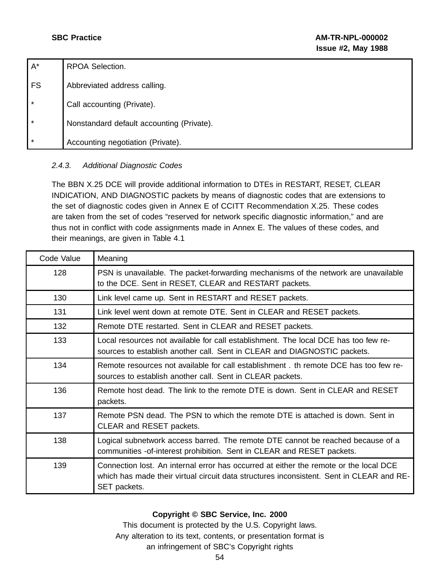| $A^*$     | RPOA Selection.                           |
|-----------|-------------------------------------------|
| <b>FS</b> | Abbreviated address calling.              |
| $\star$   | Call accounting (Private).                |
| $\star$   | Nonstandard default accounting (Private). |
| $\star$   | Accounting negotiation (Private).         |

# 2.4.3. Additional Diagnostic Codes

The BBN X.25 DCE will provide additional information to DTEs in RESTART, RESET, CLEAR INDICATION, AND DIAGNOSTIC packets by means of diagnostic codes that are extensions to the set of diagnostic codes given in Annex E of CCITT Recommendation X.25. These codes are taken from the set of codes "reserved for network specific diagnostic information," and are thus not in conflict with code assignments made in Annex E. The values of these codes, and their meanings, are given in Table 4.1

| Code Value | Meaning                                                                                                                                                                                           |
|------------|---------------------------------------------------------------------------------------------------------------------------------------------------------------------------------------------------|
| 128        | PSN is unavailable. The packet-forwarding mechanisms of the network are unavailable<br>to the DCE. Sent in RESET, CLEAR and RESTART packets.                                                      |
| 130        | Link level came up. Sent in RESTART and RESET packets.                                                                                                                                            |
| 131        | Link level went down at remote DTE. Sent in CLEAR and RESET packets.                                                                                                                              |
| 132        | Remote DTE restarted. Sent in CLEAR and RESET packets.                                                                                                                                            |
| 133        | Local resources not available for call establishment. The local DCE has too few re-<br>sources to establish another call. Sent in CLEAR and DIAGNOSTIC packets.                                   |
| 134        | Remote resources not available for call establishment, th remote DCE has too few re-<br>sources to establish another call. Sent in CLEAR packets.                                                 |
| 136        | Remote host dead. The link to the remote DTE is down. Sent in CLEAR and RESET<br>packets.                                                                                                         |
| 137        | Remote PSN dead. The PSN to which the remote DTE is attached is down. Sent in<br>CLEAR and RESET packets.                                                                                         |
| 138        | Logical subnetwork access barred. The remote DTE cannot be reached because of a<br>communities -of-interest prohibition. Sent in CLEAR and RESET packets.                                         |
| 139        | Connection lost. An internal error has occurred at either the remote or the local DCE<br>which has made their virtual circuit data structures inconsistent. Sent in CLEAR and RE-<br>SET packets. |

# **Copyright © SBC Service, Inc. 2000**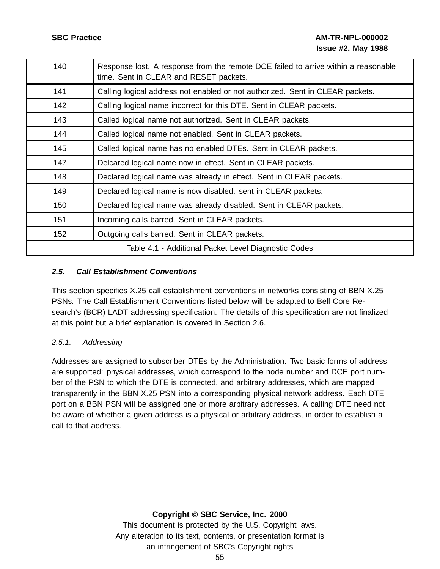**SBC Practice AM-TR-NPL-000002 Issue #2, May 1988**

| 140                                                  | Response lost. A response from the remote DCE failed to arrive within a reasonable<br>time. Sent in CLEAR and RESET packets. |  |
|------------------------------------------------------|------------------------------------------------------------------------------------------------------------------------------|--|
| 141                                                  | Calling logical address not enabled or not authorized. Sent in CLEAR packets.                                                |  |
| 142                                                  | Calling logical name incorrect for this DTE. Sent in CLEAR packets.                                                          |  |
| 143                                                  | Called logical name not authorized. Sent in CLEAR packets.                                                                   |  |
| 144                                                  | Called logical name not enabled. Sent in CLEAR packets.                                                                      |  |
| 145                                                  | Called logical name has no enabled DTEs. Sent in CLEAR packets.                                                              |  |
| 147                                                  | Delcared logical name now in effect. Sent in CLEAR packets.                                                                  |  |
| 148                                                  | Declared logical name was already in effect. Sent in CLEAR packets.                                                          |  |
| 149                                                  | Declared logical name is now disabled. sent in CLEAR packets.                                                                |  |
| 150                                                  | Declared logical name was already disabled. Sent in CLEAR packets.                                                           |  |
| 151                                                  | Incoming calls barred. Sent in CLEAR packets.                                                                                |  |
| 152                                                  | Outgoing calls barred. Sent in CLEAR packets.                                                                                |  |
| Table 4.1 - Additional Packet Level Diagnostic Codes |                                                                                                                              |  |

### **2.5. Call Establishment Conventions**

This section specifies X.25 call establishment conventions in networks consisting of BBN X.25 PSNs. The Call Establishment Conventions listed below will be adapted to Bell Core Research's (BCR) LADT addressing specification. The details of this specification are not finalized at this point but a brief explanation is covered in Section 2.6.

# 2.5.1. Addressing

Addresses are assigned to subscriber DTEs by the Administration. Two basic forms of address are supported: physical addresses, which correspond to the node number and DCE port number of the PSN to which the DTE is connected, and arbitrary addresses, which are mapped transparently in the BBN X.25 PSN into a corresponding physical network address. Each DTE port on a BBN PSN will be assigned one or more arbitrary addresses. A calling DTE need not be aware of whether a given address is a physical or arbitrary address, in order to establish a call to that address.

### **Copyright © SBC Service, Inc. 2000**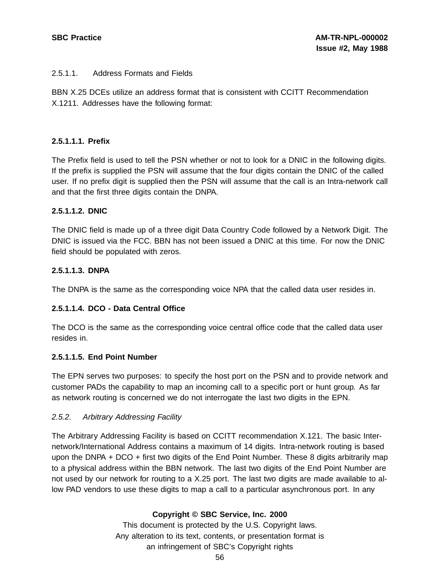## 2.5.1.1. Address Formats and Fields

BBN X.25 DCEs utilize an address format that is consistent with CCITT Recommendation X.1211. Addresses have the following format:

## **2.5.1.1.1. Prefix**

The Prefix field is used to tell the PSN whether or not to look for a DNIC in the following digits. If the prefix is supplied the PSN will assume that the four digits contain the DNIC of the called user. If no prefix digit is supplied then the PSN will assume that the call is an Intra-network call and that the first three digits contain the DNPA.

## **2.5.1.1.2. DNIC**

The DNIC field is made up of a three digit Data Country Code followed by a Network Digit. The DNIC is issued via the FCC. BBN has not been issued a DNIC at this time. For now the DNIC field should be populated with zeros.

## **2.5.1.1.3. DNPA**

The DNPA is the same as the corresponding voice NPA that the called data user resides in.

# **2.5.1.1.4. DCO - Data Central Office**

The DCO is the same as the corresponding voice central office code that the called data user resides in.

### **2.5.1.1.5. End Point Number**

The EPN serves two purposes: to specify the host port on the PSN and to provide network and customer PADs the capability to map an incoming call to a specific port or hunt group. As far as network routing is concerned we do not interrogate the last two digits in the EPN.

### 2.5.2. Arbitrary Addressing Facility

The Arbitrary Addressing Facility is based on CCITT recommendation X.121. The basic Internetwork/International Address contains a maximum of 14 digits. Intra-network routing is based upon the DNPA + DCO + first two digits of the End Point Number. These 8 digits arbitrarily map to a physical address within the BBN network. The last two digits of the End Point Number are not used by our network for routing to a X.25 port. The last two digits are made available to allow PAD vendors to use these digits to map a call to a particular asynchronous port. In any

# **Copyright © SBC Service, Inc. 2000**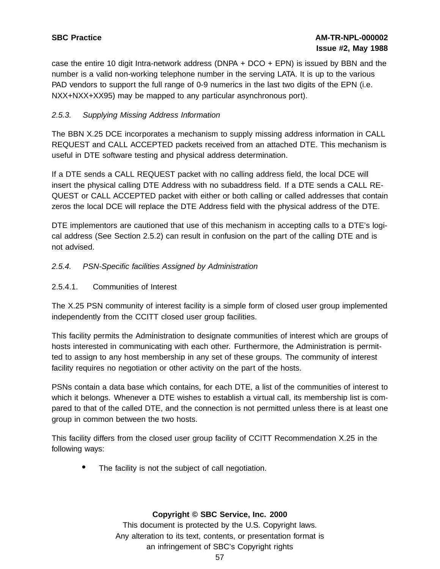case the entire 10 digit Intra-network address (DNPA + DCO + EPN) is issued by BBN and the number is a valid non-working telephone number in the serving LATA. It is up to the various PAD vendors to support the full range of 0-9 numerics in the last two digits of the EPN (i.e. NXX+NXX+XX95) may be mapped to any particular asynchronous port).

# 2.5.3. Supplying Missing Address Information

The BBN X.25 DCE incorporates a mechanism to supply missing address information in CALL REQUEST and CALL ACCEPTED packets received from an attached DTE. This mechanism is useful in DTE software testing and physical address determination.

If a DTE sends a CALL REQUEST packet with no calling address field, the local DCE will insert the physical calling DTE Address with no subaddress field. If a DTE sends a CALL RE-QUEST or CALL ACCEPTED packet with either or both calling or called addresses that contain zeros the local DCE will replace the DTE Address field with the physical address of the DTE.

DTE implementors are cautioned that use of this mechanism in accepting calls to a DTE's logical address (See Section 2.5.2) can result in confusion on the part of the calling DTE and is not advised.

# 2.5.4. PSN-Specific facilities Assigned by Administration

2.5.4.1. Communities of Interest

The X.25 PSN community of interest facility is a simple form of closed user group implemented independently from the CCITT closed user group facilities.

This facility permits the Administration to designate communities of interest which are groups of hosts interested in communicating with each other. Furthermore, the Administration is permitted to assign to any host membership in any set of these groups. The community of interest facility requires no negotiation or other activity on the part of the hosts.

PSNs contain a data base which contains, for each DTE, a list of the communities of interest to which it belongs. Whenever a DTE wishes to establish a virtual call, its membership list is compared to that of the called DTE, and the connection is not permitted unless there is at least one group in common between the two hosts.

This facility differs from the closed user group facility of CCITT Recommendation X.25 in the following ways:

The facility is not the subject of call negotiation.

### **Copyright © SBC Service, Inc. 2000**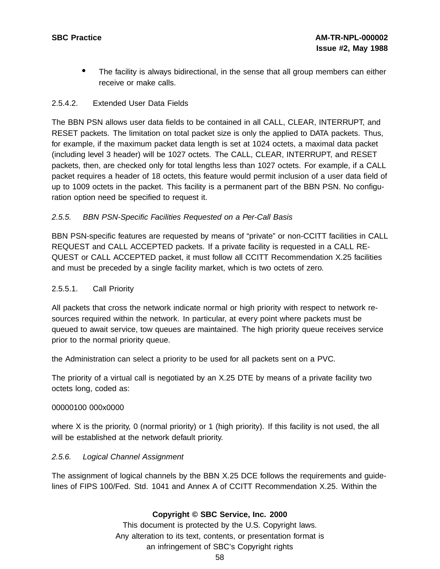The facility is always bidirectional, in the sense that all group members can either receive or make calls.

## 2.5.4.2. Extended User Data Fields

The BBN PSN allows user data fields to be contained in all CALL, CLEAR, INTERRUPT, and RESET packets. The limitation on total packet size is only the applied to DATA packets. Thus, for example, if the maximum packet data length is set at 1024 octets, a maximal data packet (including level 3 header) will be 1027 octets. The CALL, CLEAR, INTERRUPT, and RESET packets, then, are checked only for total lengths less than 1027 octets. For example, if a CALL packet requires a header of 18 octets, this feature would permit inclusion of a user data field of up to 1009 octets in the packet. This facility is a permanent part of the BBN PSN. No configuration option need be specified to request it.

## 2.5.5. BBN PSN-Specific Facilities Requested on a Per-Call Basis

BBN PSN-specific features are requested by means of "private" or non-CCITT facilities in CALL REQUEST and CALL ACCEPTED packets. If a private facility is requested in a CALL RE-QUEST or CALL ACCEPTED packet, it must follow all CCITT Recommendation X.25 facilities and must be preceded by a single facility market, which is two octets of zero.

## 2.5.5.1. Call Priority

All packets that cross the network indicate normal or high priority with respect to network resources required within the network. In particular, at every point where packets must be queued to await service, tow queues are maintained. The high priority queue receives service prior to the normal priority queue.

the Administration can select a priority to be used for all packets sent on a PVC.

The priority of a virtual call is negotiated by an X.25 DTE by means of a private facility two octets long, coded as:

### 00000100 000x0000

where X is the priority, 0 (normal priority) or 1 (high priority). If this facility is not used, the all will be established at the network default priority.

### 2.5.6. Logical Channel Assignment

The assignment of logical channels by the BBN X.25 DCE follows the requirements and guidelines of FIPS 100/Fed. Std. 1041 and Annex A of CCITT Recommendation X.25. Within the

### **Copyright © SBC Service, Inc. 2000**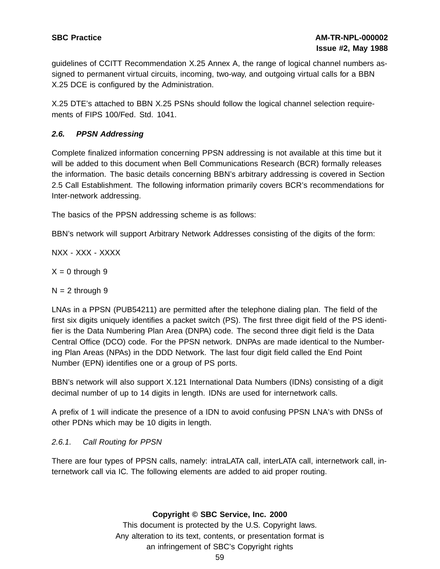guidelines of CCITT Recommendation X.25 Annex A, the range of logical channel numbers assigned to permanent virtual circuits, incoming, two-way, and outgoing virtual calls for a BBN X.25 DCE is configured by the Administration.

X.25 DTE's attached to BBN X.25 PSNs should follow the logical channel selection requirements of FIPS 100/Fed. Std. 1041.

# **2.6. PPSN Addressing**

Complete finalized information concerning PPSN addressing is not available at this time but it will be added to this document when Bell Communications Research (BCR) formally releases the information. The basic details concerning BBN's arbitrary addressing is covered in Section 2.5 Call Establishment. The following information primarily covers BCR's recommendations for Inter-network addressing.

The basics of the PPSN addressing scheme is as follows:

BBN's network will support Arbitrary Network Addresses consisting of the digits of the form:

NXX - XXX - XXXX

 $X = 0$  through 9

 $N = 2$  through 9

LNAs in a PPSN (PUB54211) are permitted after the telephone dialing plan. The field of the first six digits uniquely identifies a packet switch (PS). The first three digit field of the PS identifier is the Data Numbering Plan Area (DNPA) code. The second three digit field is the Data Central Office (DCO) code. For the PPSN network. DNPAs are made identical to the Numbering Plan Areas (NPAs) in the DDD Network. The last four digit field called the End Point Number (EPN) identifies one or a group of PS ports.

BBN's network will also support X.121 International Data Numbers (IDNs) consisting of a digit decimal number of up to 14 digits in length. IDNs are used for internetwork calls.

A prefix of 1 will indicate the presence of a IDN to avoid confusing PPSN LNA's with DNSs of other PDNs which may be 10 digits in length.

# 2.6.1. Call Routing for PPSN

There are four types of PPSN calls, namely: intraLATA call, interLATA call, internetwork call, internetwork call via IC. The following elements are added to aid proper routing.

**Copyright © SBC Service, Inc. 2000**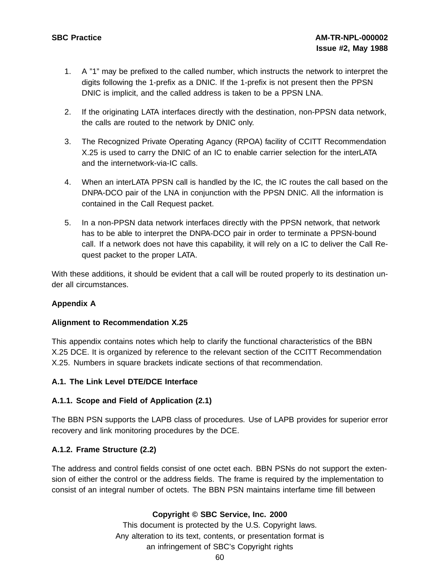- 1. A "1" may be prefixed to the called number, which instructs the network to interpret the digits following the 1-prefix as a DNIC. If the 1-prefix is not present then the PPSN DNIC is implicit, and the called address is taken to be a PPSN LNA.
- 2. If the originating LATA interfaces directly with the destination, non-PPSN data network, the calls are routed to the network by DNIC only.
- 3. The Recognized Private Operating Agancy (RPOA) facility of CCITT Recommendation X.25 is used to carry the DNIC of an IC to enable carrier selection for the interLATA and the internetwork-via-IC calls.
- 4. When an interLATA PPSN call is handled by the IC, the IC routes the call based on the DNPA-DCO pair of the LNA in conjunction with the PPSN DNIC. All the information is contained in the Call Request packet.
- 5. In a non-PPSN data network interfaces directly with the PPSN network, that network has to be able to interpret the DNPA-DCO pair in order to terminate a PPSN-bound call. If a network does not have this capability, it will rely on a IC to deliver the Call Request packet to the proper LATA.

With these additions, it should be evident that a call will be routed properly to its destination under all circumstances.

# **Appendix A**

### **Alignment to Recommendation X.25**

This appendix contains notes which help to clarify the functional characteristics of the BBN X.25 DCE. It is organized by reference to the relevant section of the CCITT Recommendation X.25. Numbers in square brackets indicate sections of that recommendation.

### **A.1. The Link Level DTE/DCE Interface**

### **A.1.1. Scope and Field of Application (2.1)**

The BBN PSN supports the LAPB class of procedures. Use of LAPB provides for superior error recovery and link monitoring procedures by the DCE.

# **A.1.2. Frame Structure (2.2)**

The address and control fields consist of one octet each. BBN PSNs do not support the extension of either the control or the address fields. The frame is required by the implementation to consist of an integral number of octets. The BBN PSN maintains interfame time fill between

# **Copyright © SBC Service, Inc. 2000**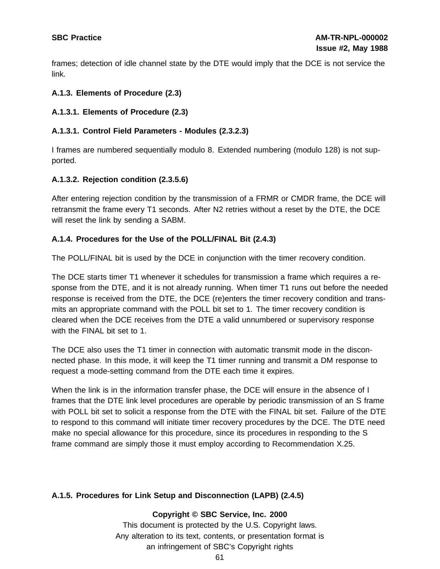frames; detection of idle channel state by the DTE would imply that the DCE is not service the link.

# **A.1.3. Elements of Procedure (2.3)**

# **A.1.3.1. Elements of Procedure (2.3)**

## **A.1.3.1. Control Field Parameters - Modules (2.3.2.3)**

I frames are numbered sequentially modulo 8. Extended numbering (modulo 128) is not supported.

## **A.1.3.2. Rejection condition (2.3.5.6)**

After entering rejection condition by the transmission of a FRMR or CMDR frame, the DCE will retransmit the frame every T1 seconds. After N2 retries without a reset by the DTE, the DCE will reset the link by sending a SABM.

## **A.1.4. Procedures for the Use of the POLL/FINAL Bit (2.4.3)**

The POLL/FINAL bit is used by the DCE in conjunction with the timer recovery condition.

The DCE starts timer T1 whenever it schedules for transmission a frame which requires a response from the DTE, and it is not already running. When timer T1 runs out before the needed response is received from the DTE, the DCE (re)enters the timer recovery condition and transmits an appropriate command with the POLL bit set to 1. The timer recovery condition is cleared when the DCE receives from the DTE a valid unnumbered or supervisory response with the FINAL bit set to 1.

The DCE also uses the T1 timer in connection with automatic transmit mode in the disconnected phase. In this mode, it will keep the T1 timer running and transmit a DM response to request a mode-setting command from the DTE each time it expires.

When the link is in the information transfer phase, the DCE will ensure in the absence of I frames that the DTE link level procedures are operable by periodic transmission of an S frame with POLL bit set to solicit a response from the DTE with the FINAL bit set. Failure of the DTE to respond to this command will initiate timer recovery procedures by the DCE. The DTE need make no special allowance for this procedure, since its procedures in responding to the S frame command are simply those it must employ according to Recommendation X.25.

# **A.1.5. Procedures for Link Setup and Disconnection (LAPB) (2.4.5)**

**Copyright © SBC Service, Inc. 2000**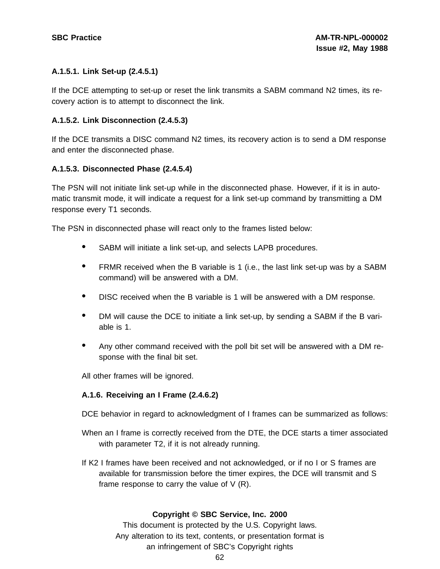## **A.1.5.1. Link Set-up (2.4.5.1)**

If the DCE attempting to set-up or reset the link transmits a SABM command N2 times, its recovery action is to attempt to disconnect the link.

## **A.1.5.2. Link Disconnection (2.4.5.3)**

If the DCE transmits a DISC command N2 times, its recovery action is to send a DM response and enter the disconnected phase.

### **A.1.5.3. Disconnected Phase (2.4.5.4)**

The PSN will not initiate link set-up while in the disconnected phase. However, if it is in automatic transmit mode, it will indicate a request for a link set-up command by transmitting a DM response every T1 seconds.

The PSN in disconnected phase will react only to the frames listed below:

- SABM will initiate <sup>a</sup> link set-up, and selects LAPB procedures.
- FRMR received when the <sup>B</sup> variable is <sup>1</sup> (i.e., the last link set-up was by <sup>a</sup> SABM command) will be answered with a DM.
- DISC received when the <sup>B</sup> variable is <sup>1</sup> will be answered with <sup>a</sup> DM response.
- DM will cause the DCE to initiate <sup>a</sup> link set-up, by sending <sup>a</sup> SABM if the <sup>B</sup> variable is 1.
- Any other command received with the poll bit set will be answered with <sup>a</sup> DM response with the final bit set.

All other frames will be ignored.

### **A.1.6. Receiving an I Frame (2.4.6.2)**

DCE behavior in regard to acknowledgment of I frames can be summarized as follows:

- When an I frame is correctly received from the DTE, the DCE starts a timer associated with parameter T2, if it is not already running.
- If K2 I frames have been received and not acknowledged, or if no I or S frames are available for transmission before the timer expires, the DCE will transmit and S frame response to carry the value of V (R).

### **Copyright © SBC Service, Inc. 2000**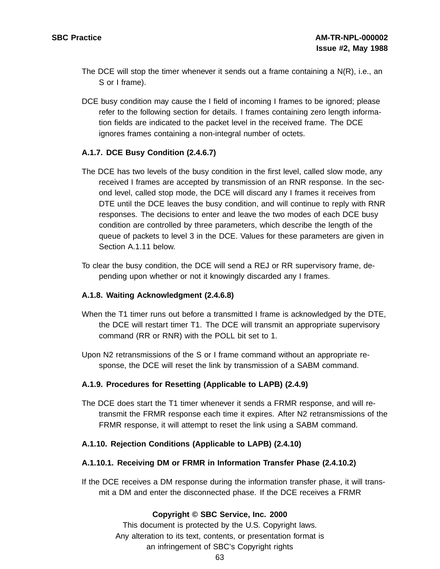- The DCE will stop the timer whenever it sends out a frame containing a N(R), i.e., an S or I frame).
- DCE busy condition may cause the I field of incoming I frames to be ignored; please refer to the following section for details. I frames containing zero length information fields are indicated to the packet level in the received frame. The DCE ignores frames containing a non-integral number of octets.

## **A.1.7. DCE Busy Condition (2.4.6.7)**

- The DCE has two levels of the busy condition in the first level, called slow mode, any received I frames are accepted by transmission of an RNR response. In the second level, called stop mode, the DCE will discard any I frames it receives from DTE until the DCE leaves the busy condition, and will continue to reply with RNR responses. The decisions to enter and leave the two modes of each DCE busy condition are controlled by three parameters, which describe the length of the queue of packets to level 3 in the DCE. Values for these parameters are given in Section A.1.11 below.
- To clear the busy condition, the DCE will send a REJ or RR supervisory frame, depending upon whether or not it knowingly discarded any I frames.

### **A.1.8. Waiting Acknowledgment (2.4.6.8)**

- When the T1 timer runs out before a transmitted I frame is acknowledged by the DTE, the DCE will restart timer T1. The DCE will transmit an appropriate supervisory command (RR or RNR) with the POLL bit set to 1.
- Upon N2 retransmissions of the S or I frame command without an appropriate response, the DCE will reset the link by transmission of a SABM command.

### **A.1.9. Procedures for Resetting (Applicable to LAPB) (2.4.9)**

The DCE does start the T1 timer whenever it sends a FRMR response, and will retransmit the FRMR response each time it expires. After N2 retransmissions of the FRMR response, it will attempt to reset the link using a SABM command.

#### **A.1.10. Rejection Conditions (Applicable to LAPB) (2.4.10)**

#### **A.1.10.1. Receiving DM or FRMR in Information Transfer Phase (2.4.10.2)**

If the DCE receives a DM response during the information transfer phase, it will transmit a DM and enter the disconnected phase. If the DCE receives a FRMR

#### **Copyright © SBC Service, Inc. 2000**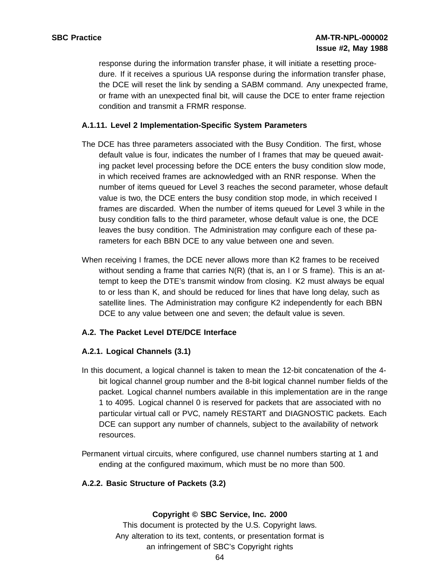response during the information transfer phase, it will initiate a resetting procedure. If it receives a spurious UA response during the information transfer phase, the DCE will reset the link by sending a SABM command. Any unexpected frame, or frame with an unexpected final bit, will cause the DCE to enter frame rejection condition and transmit a FRMR response.

## **A.1.11. Level 2 Implementation-Specific System Parameters**

- The DCE has three parameters associated with the Busy Condition. The first, whose default value is four, indicates the number of I frames that may be queued awaiting packet level processing before the DCE enters the busy condition slow mode, in which received frames are acknowledged with an RNR response. When the number of items queued for Level 3 reaches the second parameter, whose default value is two, the DCE enters the busy condition stop mode, in which received I frames are discarded. When the number of items queued for Level 3 while in the busy condition falls to the third parameter, whose default value is one, the DCE leaves the busy condition. The Administration may configure each of these parameters for each BBN DCE to any value between one and seven.
- When receiving I frames, the DCE never allows more than K2 frames to be received without sending a frame that carries  $N(R)$  (that is, an I or S frame). This is an attempt to keep the DTE's transmit window from closing. K2 must always be equal to or less than K, and should be reduced for lines that have long delay, such as satellite lines. The Administration may configure K2 independently for each BBN DCE to any value between one and seven; the default value is seven.

### **A.2. The Packet Level DTE/DCE Interface**

### **A.2.1. Logical Channels (3.1)**

- In this document, a logical channel is taken to mean the 12-bit concatenation of the 4 bit logical channel group number and the 8-bit logical channel number fields of the packet. Logical channel numbers available in this implementation are in the range 1 to 4095. Logical channel 0 is reserved for packets that are associated with no particular virtual call or PVC, namely RESTART and DIAGNOSTIC packets. Each DCE can support any number of channels, subject to the availability of network resources.
- Permanent virtual circuits, where configured, use channel numbers starting at 1 and ending at the configured maximum, which must be no more than 500.

### **A.2.2. Basic Structure of Packets (3.2)**

#### **Copyright © SBC Service, Inc. 2000**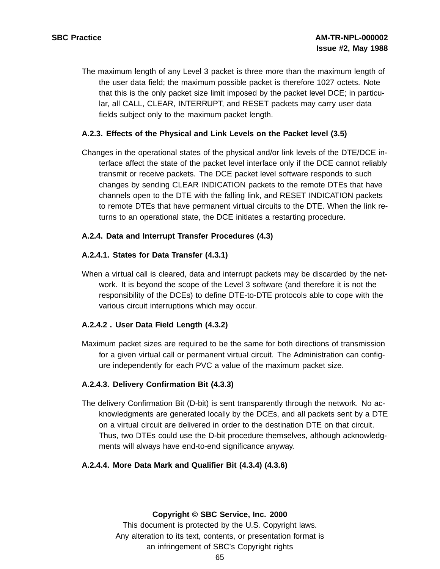The maximum length of any Level 3 packet is three more than the maximum length of the user data field; the maximum possible packet is therefore 1027 octets. Note that this is the only packet size limit imposed by the packet level DCE; in particular, all CALL, CLEAR, INTERRUPT, and RESET packets may carry user data fields subject only to the maximum packet length.

## **A.2.3. Effects of the Physical and Link Levels on the Packet level (3.5)**

Changes in the operational states of the physical and/or link levels of the DTE/DCE interface affect the state of the packet level interface only if the DCE cannot reliably transmit or receive packets. The DCE packet level software responds to such changes by sending CLEAR INDICATION packets to the remote DTEs that have channels open to the DTE with the falling link, and RESET INDICATION packets to remote DTEs that have permanent virtual circuits to the DTE. When the link returns to an operational state, the DCE initiates a restarting procedure.

## **A.2.4. Data and Interrupt Transfer Procedures (4.3)**

## **A.2.4.1. States for Data Transfer (4.3.1)**

When a virtual call is cleared, data and interrupt packets may be discarded by the network. It is beyond the scope of the Level 3 software (and therefore it is not the responsibility of the DCEs) to define DTE-to-DTE protocols able to cope with the various circuit interruptions which may occur.

# **A.2.4.2 . User Data Field Length (4.3.2)**

Maximum packet sizes are required to be the same for both directions of transmission for a given virtual call or permanent virtual circuit. The Administration can configure independently for each PVC a value of the maximum packet size.

### **A.2.4.3. Delivery Confirmation Bit (4.3.3)**

The delivery Confirmation Bit (D-bit) is sent transparently through the network. No acknowledgments are generated locally by the DCEs, and all packets sent by a DTE on a virtual circuit are delivered in order to the destination DTE on that circuit. Thus, two DTEs could use the D-bit procedure themselves, although acknowledgments will always have end-to-end significance anyway.

### **A.2.4.4. More Data Mark and Qualifier Bit (4.3.4) (4.3.6)**

**Copyright © SBC Service, Inc. 2000**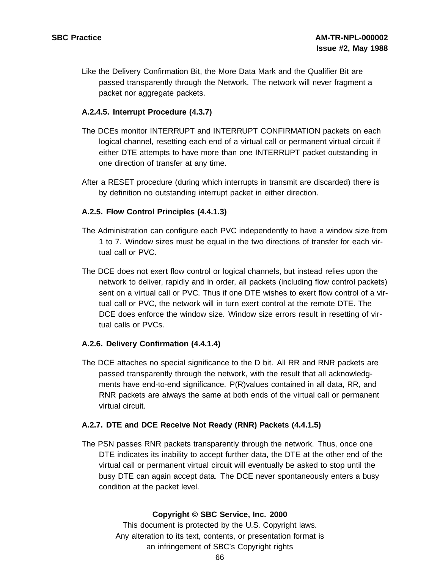Like the Delivery Confirmation Bit, the More Data Mark and the Qualifier Bit are passed transparently through the Network. The network will never fragment a packet nor aggregate packets.

## **A.2.4.5. Interrupt Procedure (4.3.7)**

- The DCEs monitor INTERRUPT and INTERRUPT CONFIRMATION packets on each logical channel, resetting each end of a virtual call or permanent virtual circuit if either DTE attempts to have more than one INTERRUPT packet outstanding in one direction of transfer at any time.
- After a RESET procedure (during which interrupts in transmit are discarded) there is by definition no outstanding interrupt packet in either direction.

## **A.2.5. Flow Control Principles (4.4.1.3)**

- The Administration can configure each PVC independently to have a window size from 1 to 7. Window sizes must be equal in the two directions of transfer for each virtual call or PVC.
- The DCE does not exert flow control or logical channels, but instead relies upon the network to deliver, rapidly and in order, all packets (including flow control packets) sent on a virtual call or PVC. Thus if one DTE wishes to exert flow control of a virtual call or PVC, the network will in turn exert control at the remote DTE. The DCE does enforce the window size. Window size errors result in resetting of virtual calls or PVCs.

### **A.2.6. Delivery Confirmation (4.4.1.4)**

The DCE attaches no special significance to the D bit. All RR and RNR packets are passed transparently through the network, with the result that all acknowledgments have end-to-end significance. P(R)values contained in all data, RR, and RNR packets are always the same at both ends of the virtual call or permanent virtual circuit.

### **A.2.7. DTE and DCE Receive Not Ready (RNR) Packets (4.4.1.5)**

The PSN passes RNR packets transparently through the network. Thus, once one DTE indicates its inability to accept further data, the DTE at the other end of the virtual call or permanent virtual circuit will eventually be asked to stop until the busy DTE can again accept data. The DCE never spontaneously enters a busy condition at the packet level.

### **Copyright © SBC Service, Inc. 2000**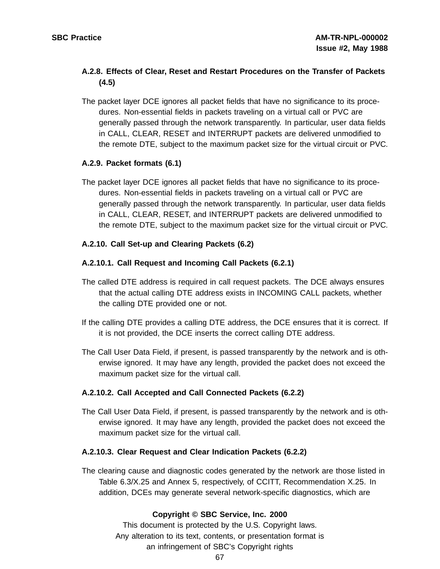# **A.2.8. Effects of Clear, Reset and Restart Procedures on the Transfer of Packets (4.5)**

The packet layer DCE ignores all packet fields that have no significance to its procedures. Non-essential fields in packets traveling on a virtual call or PVC are generally passed through the network transparently. In particular, user data fields in CALL, CLEAR, RESET and INTERRUPT packets are delivered unmodified to the remote DTE, subject to the maximum packet size for the virtual circuit or PVC.

# **A.2.9. Packet formats (6.1)**

The packet layer DCE ignores all packet fields that have no significance to its procedures. Non-essential fields in packets traveling on a virtual call or PVC are generally passed through the network transparently. In particular, user data fields in CALL, CLEAR, RESET, and INTERRUPT packets are delivered unmodified to the remote DTE, subject to the maximum packet size for the virtual circuit or PVC.

## **A.2.10. Call Set-up and Clearing Packets (6.2)**

## **A.2.10.1. Call Request and Incoming Call Packets (6.2.1)**

- The called DTE address is required in call request packets. The DCE always ensures that the actual calling DTE address exists in INCOMING CALL packets, whether the calling DTE provided one or not.
- If the calling DTE provides a calling DTE address, the DCE ensures that it is correct. If it is not provided, the DCE inserts the correct calling DTE address.
- The Call User Data Field, if present, is passed transparently by the network and is otherwise ignored. It may have any length, provided the packet does not exceed the maximum packet size for the virtual call.

# **A.2.10.2. Call Accepted and Call Connected Packets (6.2.2)**

The Call User Data Field, if present, is passed transparently by the network and is otherwise ignored. It may have any length, provided the packet does not exceed the maximum packet size for the virtual call.

### **A.2.10.3. Clear Request and Clear Indication Packets (6.2.2)**

The clearing cause and diagnostic codes generated by the network are those listed in Table 6.3/X.25 and Annex 5, respectively, of CCITT, Recommendation X.25. In addition, DCEs may generate several network-specific diagnostics, which are

# **Copyright © SBC Service, Inc. 2000**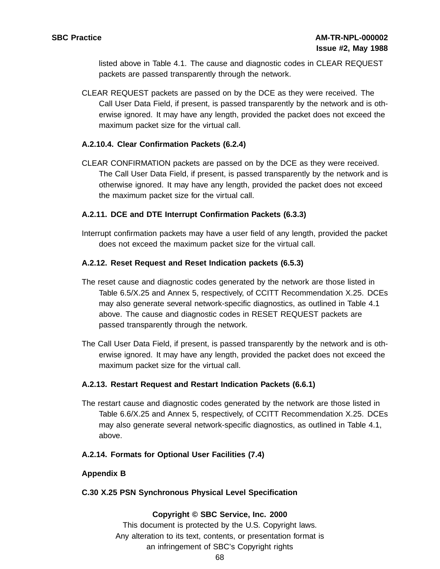listed above in Table 4.1. The cause and diagnostic codes in CLEAR REQUEST packets are passed transparently through the network.

CLEAR REQUEST packets are passed on by the DCE as they were received. The Call User Data Field, if present, is passed transparently by the network and is otherwise ignored. It may have any length, provided the packet does not exceed the maximum packet size for the virtual call.

## **A.2.10.4. Clear Confirmation Packets (6.2.4)**

CLEAR CONFIRMATION packets are passed on by the DCE as they were received. The Call User Data Field, if present, is passed transparently by the network and is otherwise ignored. It may have any length, provided the packet does not exceed the maximum packet size for the virtual call.

## **A.2.11. DCE and DTE Interrupt Confirmation Packets (6.3.3)**

Interrupt confirmation packets may have a user field of any length, provided the packet does not exceed the maximum packet size for the virtual call.

## **A.2.12. Reset Request and Reset Indication packets (6.5.3)**

- The reset cause and diagnostic codes generated by the network are those listed in Table 6.5/X.25 and Annex 5, respectively, of CCITT Recommendation X.25. DCEs may also generate several network-specific diagnostics, as outlined in Table 4.1 above. The cause and diagnostic codes in RESET REQUEST packets are passed transparently through the network.
- The Call User Data Field, if present, is passed transparently by the network and is otherwise ignored. It may have any length, provided the packet does not exceed the maximum packet size for the virtual call.

### **A.2.13. Restart Request and Restart Indication Packets (6.6.1)**

The restart cause and diagnostic codes generated by the network are those listed in Table 6.6/X.25 and Annex 5, respectively, of CCITT Recommendation X.25. DCEs may also generate several network-specific diagnostics, as outlined in Table 4.1, above.

### **A.2.14. Formats for Optional User Facilities (7.4)**

### **Appendix B**

### **C.30 X.25 PSN Synchronous Physical Level Specification**

### **Copyright © SBC Service, Inc. 2000**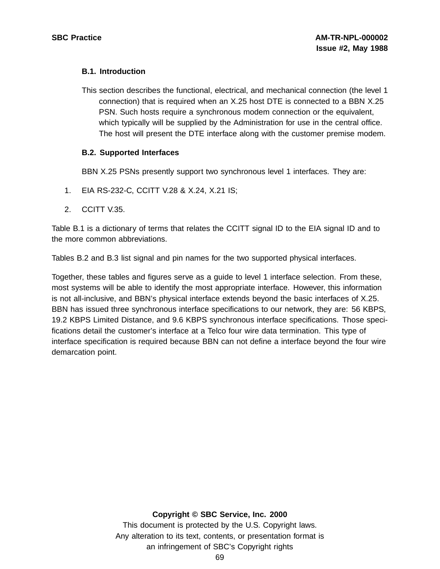## **B.1. Introduction**

This section describes the functional, electrical, and mechanical connection (the level 1 connection) that is required when an X.25 host DTE is connected to a BBN X.25 PSN. Such hosts require a synchronous modem connection or the equivalent, which typically will be supplied by the Administration for use in the central office. The host will present the DTE interface along with the customer premise modem.

## **B.2. Supported Interfaces**

BBN X.25 PSNs presently support two synchronous level 1 interfaces. They are:

- 1. EIA RS-232-C, CCITT V.28 & X.24, X.21 IS;
- 2. CCITT V.35.

Table B.1 is a dictionary of terms that relates the CCITT signal ID to the EIA signal ID and to the more common abbreviations.

Tables B.2 and B.3 list signal and pin names for the two supported physical interfaces.

Together, these tables and figures serve as a guide to level 1 interface selection. From these, most systems will be able to identify the most appropriate interface. However, this information is not all-inclusive, and BBN's physical interface extends beyond the basic interfaces of X.25. BBN has issued three synchronous interface specifications to our network, they are: 56 KBPS, 19.2 KBPS Limited Distance, and 9.6 KBPS synchronous interface specifications. Those specifications detail the customer's interface at a Telco four wire data termination. This type of interface specification is required because BBN can not define a interface beyond the four wire demarcation point.

## **Copyright © SBC Service, Inc. 2000**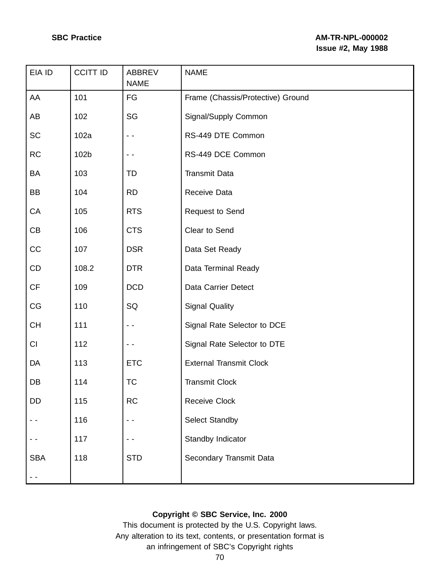| EIA ID     | <b>CCITT ID</b> | ABBREV<br><b>NAME</b> | <b>NAME</b>                       |
|------------|-----------------|-----------------------|-----------------------------------|
| AA         | 101             | FG                    | Frame (Chassis/Protective) Ground |
| AB         | 102             | SG                    | Signal/Supply Common              |
| <b>SC</b>  | 102a            | $ -$                  | RS-449 DTE Common                 |
| <b>RC</b>  | 102b            |                       | RS-449 DCE Common                 |
| BA         | 103             | TD                    | <b>Transmit Data</b>              |
| BB         | 104             | <b>RD</b>             | Receive Data                      |
| CA         | 105             | <b>RTS</b>            | Request to Send                   |
| CB         | 106             | <b>CTS</b>            | Clear to Send                     |
| CC         | 107             | <b>DSR</b>            | Data Set Ready                    |
| CD         | 108.2           | <b>DTR</b>            | Data Terminal Ready               |
| CF         | 109             | <b>DCD</b>            | Data Carrier Detect               |
| CG         | 110             | SQ                    | <b>Signal Quality</b>             |
| <b>CH</b>  | 111             | - -                   | Signal Rate Selector to DCE       |
| CI         | 112             |                       | Signal Rate Selector to DTE       |
| DA         | 113             | <b>ETC</b>            | <b>External Transmit Clock</b>    |
| DB         | 114             | <b>TC</b>             | <b>Transmit Clock</b>             |
| <b>DD</b>  | 115             | <b>RC</b>             | <b>Receive Clock</b>              |
|            | 116             |                       | Select Standby                    |
|            | 117             |                       | Standby Indicator                 |
| <b>SBA</b> | 118             | <b>STD</b>            | Secondary Transmit Data           |
|            |                 |                       |                                   |

# **Copyright © SBC Service, Inc. 2000**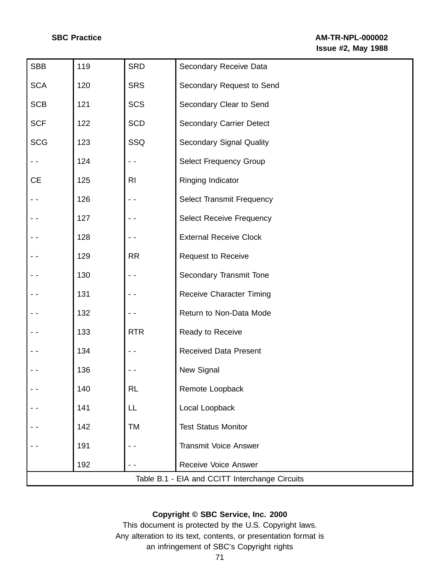| <b>SBB</b>                                     | 119 | <b>SRD</b> | Secondary Receive Data           |
|------------------------------------------------|-----|------------|----------------------------------|
| <b>SCA</b>                                     | 120 | <b>SRS</b> | Secondary Request to Send        |
| <b>SCB</b>                                     | 121 | <b>SCS</b> | Secondary Clear to Send          |
| <b>SCF</b>                                     | 122 | <b>SCD</b> | <b>Secondary Carrier Detect</b>  |
| <b>SCG</b>                                     | 123 | SSQ        | <b>Secondary Signal Quality</b>  |
|                                                | 124 |            | <b>Select Frequency Group</b>    |
| <b>CE</b>                                      | 125 | RI         | Ringing Indicator                |
|                                                | 126 |            | <b>Select Transmit Frequency</b> |
|                                                | 127 |            | <b>Select Receive Frequency</b>  |
|                                                | 128 | - -        | <b>External Receive Clock</b>    |
|                                                | 129 | <b>RR</b>  | <b>Request to Receive</b>        |
|                                                | 130 |            | Secondary Transmit Tone          |
|                                                | 131 |            | <b>Receive Character Timing</b>  |
|                                                | 132 |            | Return to Non-Data Mode          |
|                                                | 133 | <b>RTR</b> | Ready to Receive                 |
|                                                | 134 |            | <b>Received Data Present</b>     |
|                                                | 136 |            | New Signal                       |
|                                                | 140 | <b>RL</b>  | Remote Loopback                  |
|                                                | 141 | LL         | Local Loopback                   |
|                                                | 142 | TM         | <b>Test Status Monitor</b>       |
|                                                | 191 |            | <b>Transmit Voice Answer</b>     |
|                                                | 192 | - -        | Receive Voice Answer             |
| Table B.1 - EIA and CCITT Interchange Circuits |     |            |                                  |

## **Copyright © SBC Service, Inc. 2000**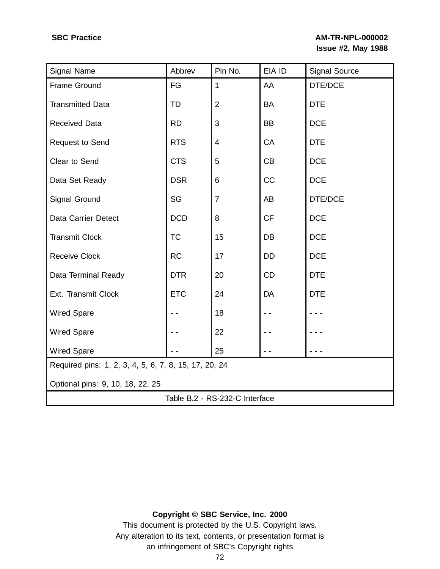# **SBC Practice AM-TR-NPL-000002 Issue #2, May 1988**

| Signal Name                                           | Abbrev     | Pin No.        | EIA ID    | <b>Signal Source</b> |
|-------------------------------------------------------|------------|----------------|-----------|----------------------|
| Frame Ground                                          | FG         | $\mathbf{1}$   | AA        | DTE/DCE              |
| <b>Transmitted Data</b>                               | TD         | $\overline{2}$ | BA        | <b>DTE</b>           |
| <b>Received Data</b>                                  | <b>RD</b>  | 3              | BB        | <b>DCE</b>           |
| <b>Request to Send</b>                                | <b>RTS</b> | 4              | CA        | <b>DTE</b>           |
| Clear to Send                                         | <b>CTS</b> | 5              | CB        | <b>DCE</b>           |
| Data Set Ready                                        | <b>DSR</b> | 6              | <b>CC</b> | <b>DCE</b>           |
| Signal Ground                                         | SG         | $\overline{7}$ | AB        | DTE/DCE              |
| Data Carrier Detect                                   | <b>DCD</b> | 8              | <b>CF</b> | <b>DCE</b>           |
| <b>Transmit Clock</b>                                 | <b>TC</b>  | 15             | DB        | <b>DCE</b>           |
| <b>Receive Clock</b>                                  | <b>RC</b>  | 17             | DD        | <b>DCE</b>           |
| Data Terminal Ready                                   | <b>DTR</b> | 20             | <b>CD</b> | <b>DTE</b>           |
| Ext. Transmit Clock                                   | <b>ETC</b> | 24             | DA        | <b>DTE</b>           |
| <b>Wired Spare</b>                                    |            | 18             |           |                      |
| <b>Wired Spare</b>                                    |            | 22             |           |                      |
| <b>Wired Spare</b>                                    |            | 25             |           |                      |
| Required pins: 1, 2, 3, 4, 5, 6, 7, 8, 15, 17, 20, 24 |            |                |           |                      |
| Optional pins: 9, 10, 18, 22, 25                      |            |                |           |                      |
| Table B.2 - RS-232-C Interface                        |            |                |           |                      |

# **Copyright © SBC Service, Inc. 2000**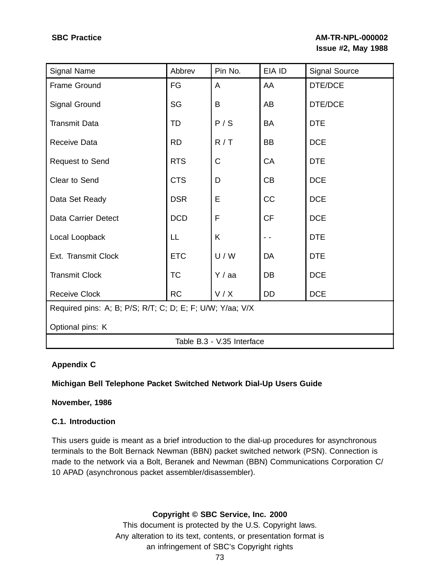| Signal Name                                               | Abbrev     | Pin No. | EIA ID    | <b>Signal Source</b> |
|-----------------------------------------------------------|------------|---------|-----------|----------------------|
| Frame Ground                                              | FG         | A       | AA        | DTE/DCE              |
| <b>Signal Ground</b>                                      | SG         | B       | AB        | DTE/DCE              |
| <b>Transmit Data</b>                                      | TD         | P/S     | <b>BA</b> | <b>DTE</b>           |
| Receive Data                                              | <b>RD</b>  | R/T     | <b>BB</b> | <b>DCE</b>           |
| Request to Send                                           | <b>RTS</b> | C       | CA        | <b>DTE</b>           |
| Clear to Send                                             | <b>CTS</b> | D       | CB        | <b>DCE</b>           |
| Data Set Ready                                            | <b>DSR</b> | E       | CC        | <b>DCE</b>           |
| <b>Data Carrier Detect</b>                                | <b>DCD</b> | F       | <b>CF</b> | <b>DCE</b>           |
| Local Loopback                                            | LL         | K       |           | <b>DTE</b>           |
| Ext. Transmit Clock                                       | <b>ETC</b> | U/W     | DA        | <b>DTE</b>           |
| <b>Transmit Clock</b>                                     | <b>TC</b>  | Y / aa  | DB        | <b>DCE</b>           |
| <b>Receive Clock</b>                                      | <b>RC</b>  | V/X     | <b>DD</b> | <b>DCE</b>           |
| Required pins: A; B; P/S; R/T; C; D; E; F; U/W; Y/aa; V/X |            |         |           |                      |
| Optional pins: K                                          |            |         |           |                      |
| Table B.3 - V.35 Interface                                |            |         |           |                      |

# **Appendix C**

# **Michigan Bell Telephone Packet Switched Network Dial-Up Users Guide**

# **November, 1986**

# **C.1. Introduction**

This users guide is meant as a brief introduction to the dial-up procedures for asynchronous terminals to the Bolt Bernack Newman (BBN) packet switched network (PSN). Connection is made to the network via a Bolt, Beranek and Newman (BBN) Communications Corporation C/ 10 APAD (asynchronous packet assembler/disassembler).

# **Copyright © SBC Service, Inc. 2000**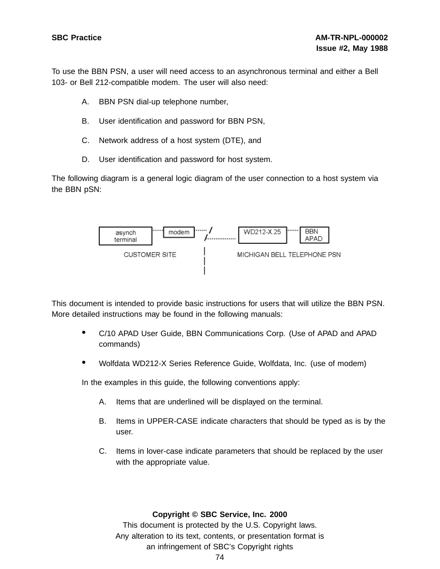To use the BBN PSN, a user will need access to an asynchronous terminal and either a Bell 103- or Bell 212-compatible modem. The user will also need:

- A. BBN PSN dial-up telephone number,
- B. User identification and password for BBN PSN,
- C. Network address of a host system (DTE), and
- D. User identification and password for host system.

The following diagram is a general logic diagram of the user connection to a host system via the BBN pSN:



This document is intended to provide basic instructions for users that will utilize the BBN PSN. More detailed instructions may be found in the following manuals:

- C/10 APAD User Guide, BBN Communications Corp. (Use of APAD and APAD commands)
- Wolfdata WD212-X Series Reference Guide, Wolfdata, Inc. (use of modem)

In the examples in this guide, the following conventions apply:

- A. Items that are underlined will be displayed on the terminal.
- B. Items in UPPER-CASE indicate characters that should be typed as is by the user.
- C. Items in lover-case indicate parameters that should be replaced by the user with the appropriate value.

#### **Copyright © SBC Service, Inc. 2000**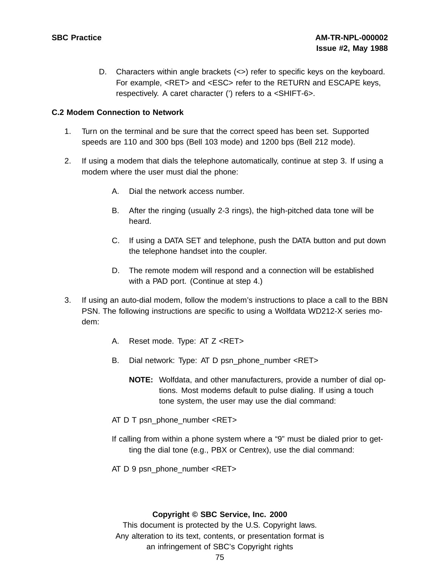D. Characters within angle brackets  $(\le)$  refer to specific keys on the keyboard. For example, <RET> and <ESC> refer to the RETURN and ESCAPE keys, respectively. A caret character (') refers to a <SHIFT-6>.

## **C.2 Modem Connection to Network**

- 1. Turn on the terminal and be sure that the correct speed has been set. Supported speeds are 110 and 300 bps (Bell 103 mode) and 1200 bps (Bell 212 mode).
- 2. If using a modem that dials the telephone automatically, continue at step 3. If using a modem where the user must dial the phone:
	- A. Dial the network access number.
	- B. After the ringing (usually 2-3 rings), the high-pitched data tone will be heard.
	- C. If using a DATA SET and telephone, push the DATA button and put down the telephone handset into the coupler.
	- D. The remote modem will respond and a connection will be established with a PAD port. (Continue at step 4.)
- 3. If using an auto-dial modem, follow the modem's instructions to place a call to the BBN PSN. The following instructions are specific to using a Wolfdata WD212-X series modem:
	- A. Reset mode. Type: AT Z <RET>
	- B. Dial network: Type: AT D psn\_phone\_number <RET>
		- **NOTE:** Wolfdata, and other manufacturers, provide a number of dial options. Most modems default to pulse dialing. If using a touch tone system, the user may use the dial command:
	- AT D T psn\_phone\_number <RET>
	- If calling from within a phone system where a "9" must be dialed prior to getting the dial tone (e.g., PBX or Centrex), use the dial command:
	- AT D 9 psn\_phone\_number <RET>

#### **Copyright © SBC Service, Inc. 2000**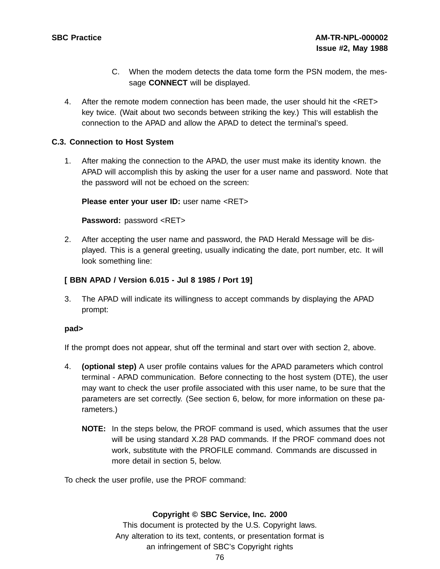- C. When the modem detects the data tome form the PSN modem, the message **CONNECT** will be displayed.
- 4. After the remote modem connection has been made, the user should hit the <RET> key twice. (Wait about two seconds between striking the key.) This will establish the connection to the APAD and allow the APAD to detect the terminal's speed.

## **C.3. Connection to Host System**

1. After making the connection to the APAD, the user must make its identity known. the APAD will accomplish this by asking the user for a user name and password. Note that the password will not be echoed on the screen:

**Please enter your user ID:** user name <RET>

**Password:** password <RET>

2. After accepting the user name and password, the PAD Herald Message will be displayed. This is a general greeting, usually indicating the date, port number, etc. It will look something line:

# **[ BBN APAD / Version 6.015 - Jul 8 1985 / Port 19]**

3. The APAD will indicate its willingness to accept commands by displaying the APAD prompt:

## **pad>**

If the prompt does not appear, shut off the terminal and start over with section 2, above.

- 4. **(optional step)** A user profile contains values for the APAD parameters which control terminal - APAD communication. Before connecting to the host system (DTE), the user may want to check the user profile associated with this user name, to be sure that the parameters are set correctly. (See section 6, below, for more information on these parameters.)
	- **NOTE:** In the steps below, the PROF command is used, which assumes that the user will be using standard X.28 PAD commands. If the PROF command does not work, substitute with the PROFILE command. Commands are discussed in more detail in section 5, below.

To check the user profile, use the PROF command:

## **Copyright © SBC Service, Inc. 2000**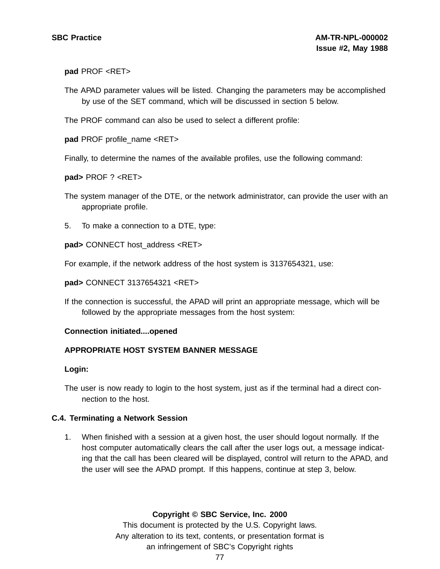#### **pad** PROF <RET>

The APAD parameter values will be listed. Changing the parameters may be accomplished by use of the SET command, which will be discussed in section 5 below.

The PROF command can also be used to select a different profile:

**pad** PROF profile\_name <RET>

Finally, to determine the names of the available profiles, use the following command:

**pad>** PROF ? <RET>

The system manager of the DTE, or the network administrator, can provide the user with an appropriate profile.

5. To make a connection to a DTE, type:

**pad>** CONNECT host\_address <RET>

For example, if the network address of the host system is 3137654321, use:

**pad>** CONNECT 3137654321 <RET>

If the connection is successful, the APAD will print an appropriate message, which will be followed by the appropriate messages from the host system:

#### **Connection initiated....opened**

## **APPROPRIATE HOST SYSTEM BANNER MESSAGE**

#### **Login:**

The user is now ready to login to the host system, just as if the terminal had a direct connection to the host.

## **C.4. Terminating a Network Session**

1. When finished with a session at a given host, the user should logout normally. If the host computer automatically clears the call after the user logs out, a message indicating that the call has been cleared will be displayed, control will return to the APAD, and the user will see the APAD prompt. If this happens, continue at step 3, below.

## **Copyright © SBC Service, Inc. 2000**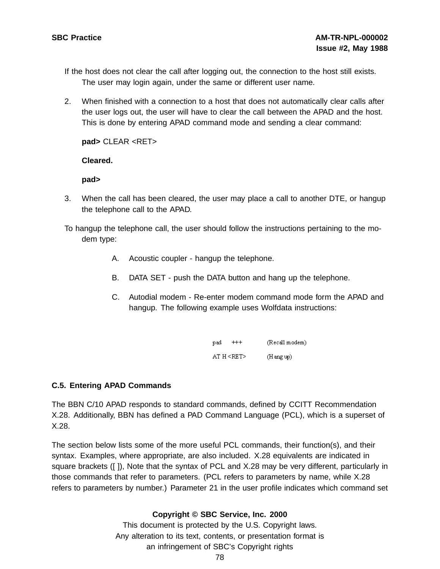- If the host does not clear the call after logging out, the connection to the host still exists. The user may login again, under the same or different user name.
- 2. When finished with a connection to a host that does not automatically clear calls after the user logs out, the user will have to clear the call between the APAD and the host. This is done by entering APAD command mode and sending a clear command:

**pad>** CLEAR <RET>

#### **Cleared.**

#### **pad>**

- 3. When the call has been cleared, the user may place a call to another DTE, or hangup the telephone call to the APAD.
- To hangup the telephone call, the user should follow the instructions pertaining to the modem type:
	- A. Acoustic coupler hangup the telephone.
	- B. DATA SET push the DATA button and hang up the telephone.
	- C. Autodial modem Re-enter modem command mode form the APAD and hangup. The following example uses Wolfdata instructions:

| $^{++}$<br>pad | (Recall modem)      |
|----------------|---------------------|
| AT H < RET     | $(H \text{ang up})$ |

## **C.5. Entering APAD Commands**

The BBN C/10 APAD responds to standard commands, defined by CCITT Recommendation X.28. Additionally, BBN has defined a PAD Command Language (PCL), which is a superset of X.28.

The section below lists some of the more useful PCL commands, their function(s), and their syntax. Examples, where appropriate, are also included. X.28 equivalents are indicated in square brackets ([ ]), Note that the syntax of PCL and X.28 may be very different, particularly in those commands that refer to parameters. (PCL refers to parameters by name, while X.28 refers to parameters by number.) Parameter 21 in the user profile indicates which command set

# **Copyright © SBC Service, Inc. 2000**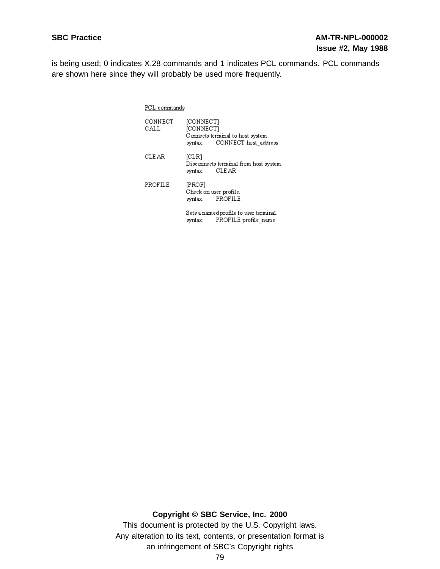is being used; 0 indicates X.28 commands and 1 indicates PCL commands. PCL commands are shown here since they will probably be used more frequently.

| PCL commands |
|--------------|
|              |

| CONNECT<br>CALL | [CONNECT]<br>[CONNECT]<br>syntax:           | Connects terminal to host system.<br>CONNECT host address |
|-----------------|---------------------------------------------|-----------------------------------------------------------|
| CLEAR           | [CLR]<br>syntax:                            | Disconnects terminal from host system.<br>CLEAR           |
| PROFILE         | [PROF]<br>Check on user profile.<br>syntax: | PROFILE                                                   |

Sets a named profile to user terminal. syntax: PROFILE profile\_name

**Copyright © SBC Service, Inc. 2000**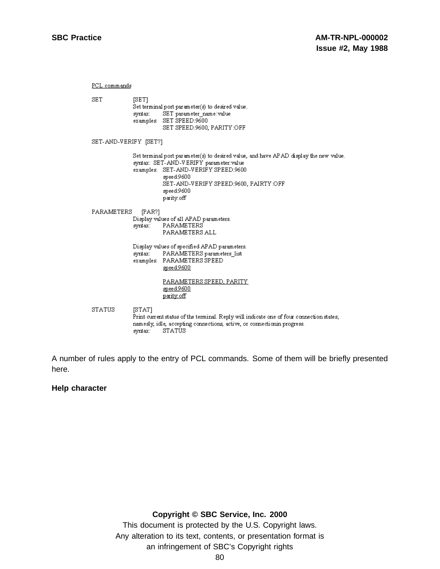PCL commands **SET**  $[SET]$ Set terminal port parameter(s) to desired value. syntax: SET parameter name: value examples: SET SPEED:9600 SET SPEED:9600, PARITY:OFF SET-AND-VERIFY [SET?] Set terminal port parameter(s) to desired value, and have APAD display the new value. syntax: SET-AND-VERIFY parameter: value examples: SET-AND-VERIFY SPEED:9600 speed:9600 SET-AND-VERIFY SPEED:9600, PAIRTY:OFF speed:9600 parity.off PARAMETERS [PAR?] Display values of all APAD parameters. syntax: PARAMETERS PARAMETERS ALL Display values of specified APAD parameters. PARAMETERS parameters\_list syntax: examples: PARAMETERS SPEED speed:9600 PARAMETERS SPEED, PARITY speed:9600 parity off **STATUS**  $[STAT]$ Print current status of the terminal. Reply will indicate one of four connection states; namesly, idle, accepting connections, active, or connectionin progress. syntax: STATUS

A number of rules apply to the entry of PCL commands. Some of them will be briefly presented here.

#### **Help character**

#### **Copyright © SBC Service, Inc. 2000**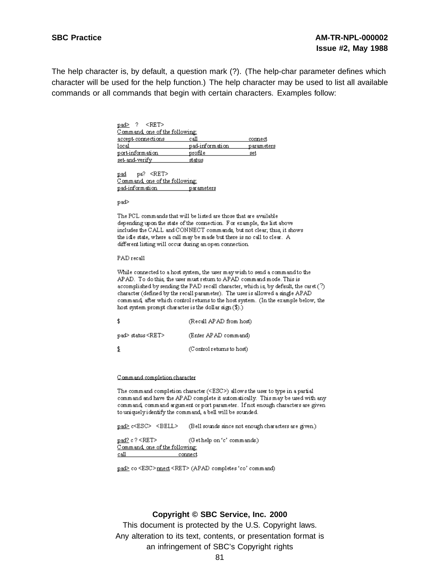The help character is, by default, a question mark (?). (The help-char parameter defines which character will be used for the help function.) The help character may be used to list all available commands or all commands that begin with certain characters. Examples follow:

| $\leq$ RET $>$<br>$pad>$ ?     |                 |            |
|--------------------------------|-----------------|------------|
| Command, one of the following: |                 |            |
| accept-cormections             | call            | connect    |
| 10c <sub>8</sub>               | pad-information | parameters |
| port-information               | profile         | set        |
| set and verify                 | status          |            |

pad pa? <RET> Command, one of the following: pad-information parameters

pad>

The PCL commands that will be listed are those that are available depending upon the state of the connection. For example, the list above includes the CALL and CONNECT commands, but not clear, thus, it shows the idle state, where a call may be made but there is no call to clear. A different listing will occur during an open connection.

PAD recall

While connected to a host system, the user may wish to send a command to the APAD. To do this, the user must return to APAD command mode. This is accomplished by sending the PAD recall character, which is, by default, the caret (?) character (defined by the recall parameter). The user is allowed a single APAD command, after which control returns to the host system. (In the example below, the host system prompt character is the dollar sign  $(\$).$ 

| -\$                     | (Recall APAD from host)   |
|-------------------------|---------------------------|
| pad> status <ret></ret> | (Enter APAD command)      |
| -\$                     | (Control returns to host) |

#### Command completion character

The command completion character (<ESC>) allows the user to type in a partial command and have the APAD complete it automatically. This may be used with any command, command argument or port parameter. If not enough characters are given to uniquely identify the command, a bell will be sounded.

pad> c<ESC> <BELL> (Bell sounds since not enough characters are given.)

pad? c? <RET> (Gethelp on 'c' commands.) Command one of the following:  $c$ all connect

pad> co <ESC>mect <RET> (APAD completes 'co' command)

#### **Copyright © SBC Service, Inc. 2000**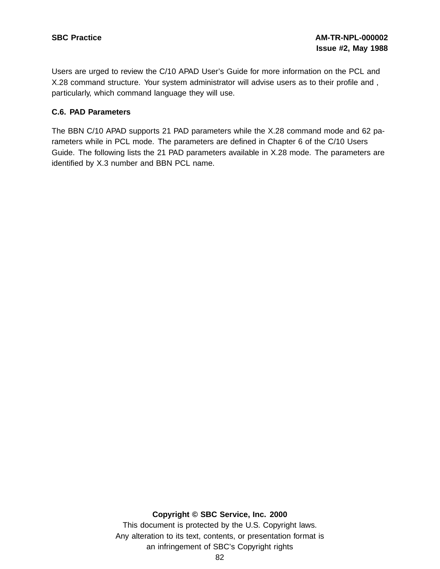Users are urged to review the C/10 APAD User's Guide for more information on the PCL and X.28 command structure. Your system administrator will advise users as to their profile and , particularly, which command language they will use.

## **C.6. PAD Parameters**

The BBN C/10 APAD supports 21 PAD parameters while the X.28 command mode and 62 parameters while in PCL mode. The parameters are defined in Chapter 6 of the C/10 Users Guide. The following lists the 21 PAD parameters available in X.28 mode. The parameters are identified by X.3 number and BBN PCL name.

## **Copyright © SBC Service, Inc. 2000**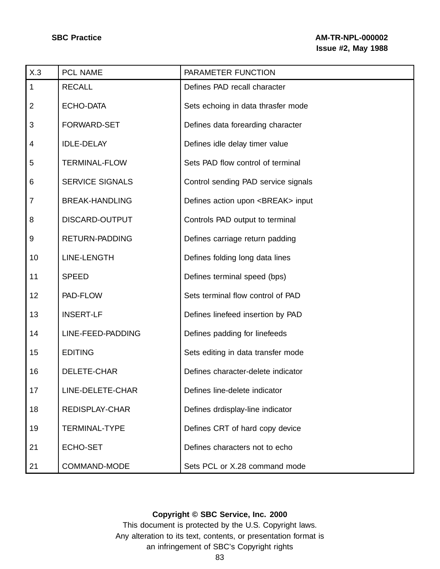| X.3            | PCL NAME               | PARAMETER FUNCTION                        |
|----------------|------------------------|-------------------------------------------|
| $\mathbf{1}$   | <b>RECALL</b>          | Defines PAD recall character              |
| $\overline{2}$ | <b>ECHO-DATA</b>       | Sets echoing in data thrasfer mode        |
| $\mathbf{3}$   | <b>FORWARD-SET</b>     | Defines data forearding character         |
| 4              | <b>IDLE-DELAY</b>      | Defines idle delay timer value            |
| 5              | <b>TERMINAL-FLOW</b>   | Sets PAD flow control of terminal         |
| 6              | <b>SERVICE SIGNALS</b> | Control sending PAD service signals       |
| $\overline{7}$ | <b>BREAK-HANDLING</b>  | Defines action upon <break> input</break> |
| 8              | DISCARD-OUTPUT         | Controls PAD output to terminal           |
| 9              | <b>RETURN-PADDING</b>  | Defines carriage return padding           |
| 10             | <b>LINE-LENGTH</b>     | Defines folding long data lines           |
| 11             | <b>SPEED</b>           | Defines terminal speed (bps)              |
| 12             | PAD-FLOW               | Sets terminal flow control of PAD         |
| 13             | <b>INSERT-LF</b>       | Defines linefeed insertion by PAD         |
| 14             | LINE-FEED-PADDING      | Defines padding for linefeeds             |
| 15             | <b>EDITING</b>         | Sets editing in data transfer mode        |
| 16             | DELETE-CHAR            | Defines character-delete indicator        |
| 17             | LINE-DELETE-CHAR       | Defines line-delete indicator             |
| 18             | <b>REDISPLAY-CHAR</b>  | Defines drdisplay-line indicator          |
| 19             | <b>TERMINAL-TYPE</b>   | Defines CRT of hard copy device           |
| 21             | ECHO-SET               | Defines characters not to echo            |
| 21             | COMMAND-MODE           | Sets PCL or X.28 command mode             |

## **Copyright © SBC Service, Inc. 2000**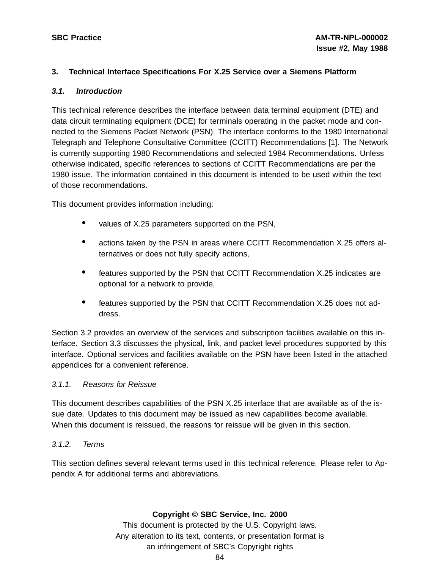#### **3. Technical Interface Specifications For X.25 Service over a Siemens Platform**

#### **3.1. Introduction**

This technical reference describes the interface between data terminal equipment (DTE) and data circuit terminating equipment (DCE) for terminals operating in the packet mode and connected to the Siemens Packet Network (PSN). The interface conforms to the 1980 International Telegraph and Telephone Consultative Committee (CCITT) Recommendations [1]. The Network is currently supporting 1980 Recommendations and selected 1984 Recommendations. Unless otherwise indicated, specific references to sections of CCITT Recommendations are per the 1980 issue. The information contained in this document is intended to be used within the text of those recommendations.

This document provides information including:

- values of X.25 parameters supported on the PSN,
- actions taken by the PSN in areas where CCITT Recommendation X.25 offers alternatives or does not fully specify actions,
- features supported by the PSN that CCITT Recommendation X.25 indicates are optional for a network to provide,
- features supported by the PSN that CCITT Recommendation X.25 does not address.

Section 3.2 provides an overview of the services and subscription facilities available on this interface. Section 3.3 discusses the physical, link, and packet level procedures supported by this interface. Optional services and facilities available on the PSN have been listed in the attached appendices for a convenient reference.

#### 3.1.1. Reasons for Reissue

This document describes capabilities of the PSN X.25 interface that are available as of the issue date. Updates to this document may be issued as new capabilities become available. When this document is reissued, the reasons for reissue will be given in this section.

#### 3.1.2. Terms

This section defines several relevant terms used in this technical reference. Please refer to Appendix A for additional terms and abbreviations.

## **Copyright © SBC Service, Inc. 2000**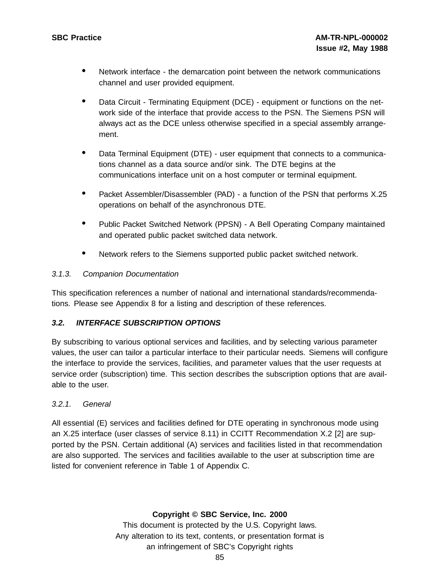- Network interface the demarcation point between the network communications channel and user provided equipment.
- Data Circuit Terminating Equipment (DCE) equipment or functions on the network side of the interface that provide access to the PSN. The Siemens PSN will always act as the DCE unless otherwise specified in a special assembly arrangement.
- Data Terminal Equipment (DTE) user equipment that connects to a communications channel as a data source and/or sink. The DTE begins at the communications interface unit on a host computer or terminal equipment.
- Packet Assembler/Disassembler (PAD) a function of the PSN that performs X.25 operations on behalf of the asynchronous DTE.
- Public Packet Switched Network (PPSN) <sup>A</sup> Bell Operating Company maintained and operated public packet switched data network.
- Network refers to the Siemens supported public packet switched network.

## 3.1.3. Companion Documentation

This specification references a number of national and international standards/recommendations. Please see Appendix 8 for a listing and description of these references.

# **3.2. INTERFACE SUBSCRIPTION OPTIONS**

By subscribing to various optional services and facilities, and by selecting various parameter values, the user can tailor a particular interface to their particular needs. Siemens will configure the interface to provide the services, facilities, and parameter values that the user requests at service order (subscription) time. This section describes the subscription options that are available to the user.

# 3.2.1. General

All essential (E) services and facilities defined for DTE operating in synchronous mode using an X.25 interface (user classes of service 8.11) in CCITT Recommendation X.2 [2] are supported by the PSN. Certain additional (A) services and facilities listed in that recommendation are also supported. The services and facilities available to the user at subscription time are listed for convenient reference in Table 1 of Appendix C.

# **Copyright © SBC Service, Inc. 2000**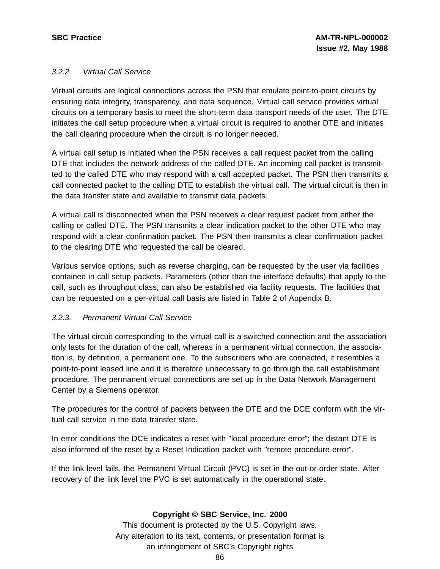## 3.2.2. Virtual Call Service

Virtual circuits are logical connections across the PSN that emulate point-to-point circuits by ensuring data integrity, transparency, and data sequence. Virtual call service provides virtual circuits on a temporary basis to meet the short-term data transport needs of the user. The DTE initiates the call setup procedure when a virtual circuit is required to another DTE and initiates the call clearing procedure when the circuit is no longer needed.

A virtual call setup is initiated when the PSN receives a call request packet from the calling DTE that includes the network address of the called DTE. An incoming call packet is transmitted to the called DTE who may respond with a call accepted packet. The PSN then transmits a call connected packet to the calling DTE to establish the virtual call. The virtual circuit is then in the data transfer state and available to transmit data packets.

A virtual call is disconnected when the PSN receives a clear request packet from either the calling or called DTE. The PSN transmits a clear indication packet to the other DTE who may respond with a clear confirmation packet. The PSN then transmits a clear confirmation packet to the clearing DTE who requested the call be cleared.

Various service options, such as reverse charging, can be requested by the user via facilities contained in call setup packets. Parameters (other than the interface defaults) that apply to the call, such as throughput class, can also be established via facility requests. The facilities that can be requested on a per-virtual call basis are listed in Table 2 of Appendix B.

# 3.2.3. Permanent Virtual Call Service

The virtual circuit corresponding to the virtual call is a switched connection and the association only lasts for the duration of the call, whereas in a permanent virtual connection, the association is, by definition, a permanent one. To the subscribers who are connected, it resembles a point-to-point leased line and it is therefore unnecessary to go through the call establishment procedure. The permanent virtual connections are set up in the Data Network Management Center by a Siemens operator.

The procedures for the control of packets between the DTE and the DCE conform with the virtual call service in the data transfer state.

In error conditions the DCE indicates a reset with "local procedure error"; the distant DTE Is also informed of the reset by a Reset Indication packet with "remote procedure error".

If the link level fails, the Permanent Virtual Circuit (PVC) is set in the out-or-order state. After recovery of the link level the PVC is set automatically in the operational state.

## **Copyright © SBC Service, Inc. 2000**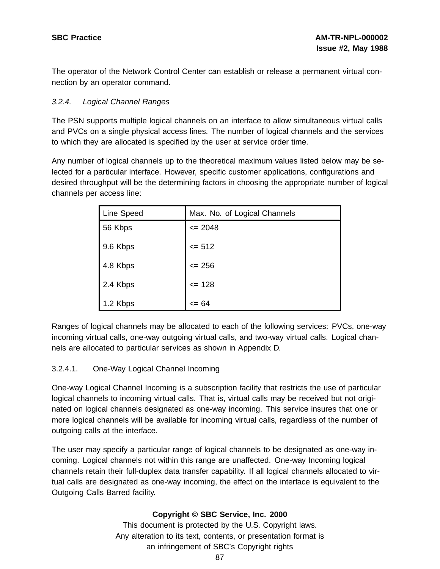The operator of the Network Control Center can establish or release a permanent virtual connection by an operator command.

## 3.2.4. Logical Channel Ranges

The PSN supports multiple logical channels on an interface to allow simultaneous virtual calls and PVCs on a single physical access lines. The number of logical channels and the services to which they are allocated is specified by the user at service order time.

Any number of logical channels up to the theoretical maximum values listed below may be selected for a particular interface. However, specific customer applications, configurations and desired throughput will be the determining factors in choosing the appropriate number of logical channels per access line:

| Line Speed | Max. No. of Logical Channels |
|------------|------------------------------|
| 56 Kbps    | $\leq$ 2048                  |
| 9.6 Kbps   | $= 512$                      |
| 4.8 Kbps   | $= 256$                      |
| 2.4 Kbps   | $= 128$                      |
| 1.2 Kbps   | $= 64$                       |

Ranges of logical channels may be allocated to each of the following services: PVCs, one-way incoming virtual calls, one-way outgoing virtual calls, and two-way virtual calls. Logical channels are allocated to particular services as shown in Appendix D.

## 3.2.4.1. One-Way Logical Channel Incoming

One-way Logical Channel Incoming is a subscription facility that restricts the use of particular logical channels to incoming virtual calls. That is, virtual calls may be received but not originated on logical channels designated as one-way incoming. This service insures that one or more logical channels will be available for incoming virtual calls, regardless of the number of outgoing calls at the interface.

The user may specify a particular range of logical channels to be designated as one-way incoming. Logical channels not within this range are unaffected. One-way Incoming logical channels retain their full-duplex data transfer capability. If all logical channels allocated to virtual calls are designated as one-way incoming, the effect on the interface is equivalent to the Outgoing Calls Barred facility.

# **Copyright © SBC Service, Inc. 2000**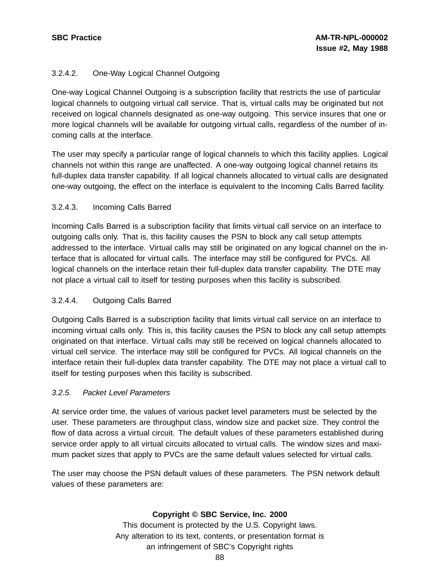## 3.2.4.2. One-Way Logical Channel Outgoing

One-way Logical Channel Outgoing is a subscription facility that restricts the use of particular logical channels to outgoing virtual call service. That is, virtual calls may be originated but not received on logical channels designated as one-way outgoing. This service insures that one or more logical channels will be available for outgoing virtual calls, regardless of the number of incoming calls at the interface.

The user may specify a particular range of logical channels to which this facility applies. Logical channels not within this range are unaffected. A one-way outgoing logical channel retains its full-duplex data transfer capability. If all logical channels allocated to virtual calls are designated one-way outgoing, the effect on the interface is equivalent to the Incoming Calls Barred facility.

## 3.2.4.3. Incoming Calls Barred

Incoming Calls Barred is a subscription facility that limits virtual call service on an interface to outgoing calls only. That is, this facility causes the PSN to block any call setup attempts addressed to the interface. Virtual calls may still be originated on any logical channel on the interface that is allocated for virtual calls. The interface may still be configured for PVCs. All logical channels on the interface retain their full-duplex data transfer capability. The DTE may not place a virtual call to itself for testing purposes when this facility is subscribed.

# 3.2.4.4. Outgoing Calls Barred

Outgoing Calls Barred is a subscription facility that limits virtual call service on an interface to incoming virtual calls only. This is, this facility causes the PSN to block any call setup attempts originated on that interface. Virtual calls may still be received on logical channels allocated to virtual cell service. The interface may still be configured for PVCs. All logical channels on the interface retain their full-duplex data transfer capability. The DTE may not place a virtual call to itself for testing purposes when this facility is subscribed.

## 3.2.5. Packet Level Parameters

At service order time, the values of various packet level parameters must be selected by the user. These parameters are throughput class, window size and packet size. They control the flow of data across a virtual circuit. The default values of these parameters established during service order apply to all virtual circuits allocated to virtual calls. The window sizes and maximum packet sizes that apply to PVCs are the same default values selected for virtual calls.

The user may choose the PSN default values of these parameters. The PSN network default values of these parameters are:

## **Copyright © SBC Service, Inc. 2000**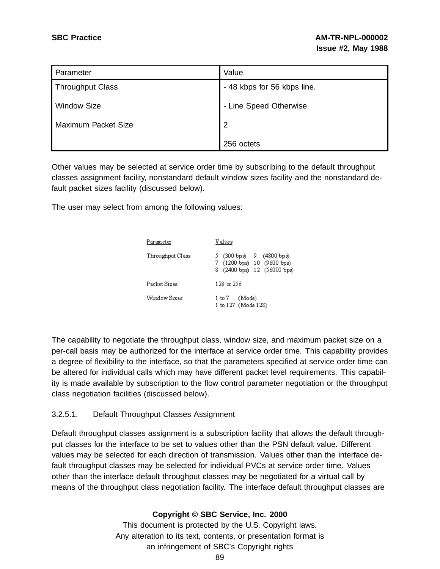| Parameter               | Value                       |  |
|-------------------------|-----------------------------|--|
| <b>Throughput Class</b> | - 48 kbps for 56 kbps line. |  |
| <b>Window Size</b>      | - Line Speed Otherwise      |  |
| Maximum Packet Size     | $\overline{2}$              |  |
|                         | 256 octets                  |  |

Other values may be selected at service order time by subscribing to the default throughput classes assignment facility, nonstandard default window sizes facility and the nonstandard default packet sizes facility (discussed below).

The user may select from among the following values:

| Parameter        | V alues                                                                               |  |  |  |  |  |  |
|------------------|---------------------------------------------------------------------------------------|--|--|--|--|--|--|
| Throughput Class | 5 (300 ხps) 9 (4800 ხps)<br>7 (1200 bps) 10 (9600 bps)<br>8 (2400 bps) 12 (56000 bps) |  |  |  |  |  |  |
| Packet Sizes     | 128 or 256                                                                            |  |  |  |  |  |  |
| Window Sizes     | 1 to 7 (Mode)<br>1 to 127 (Mode 128)                                                  |  |  |  |  |  |  |

The capability to negotiate the throughput class, window size, and maximum packet size on a per-call basis may be authorized for the interface at service order time. This capability provides a degree of flexibility to the interface, so that the parameters specified at service order time can be altered for individual calls which may have different packet level requirements. This capability is made available by subscription to the flow control parameter negotiation or the throughput class negotiation facilities (discussed below).

## 3.2.5.1. Default Throughput Classes Assignment

Default throughput classes assignment is a subscription facility that allows the default throughput classes for the interface to be set to values other than the PSN default value. Different values may be selected for each direction of transmission. Values other than the interface default throughput classes may be selected for individual PVCs at service order time. Values other than the interface default throughput classes may be negotiated for a virtual call by means of the throughput class negotiation facility. The interface default throughput classes are

## **Copyright © SBC Service, Inc. 2000**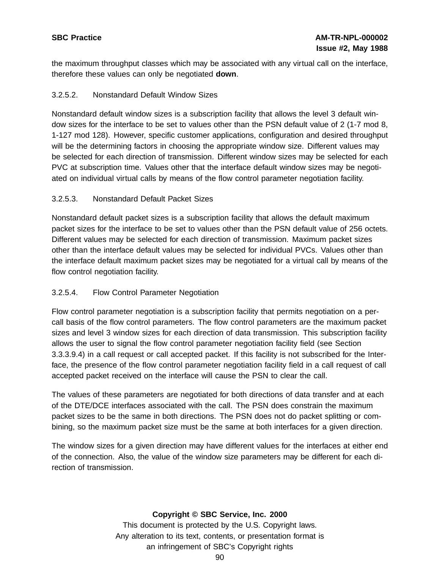the maximum throughput classes which may be associated with any virtual call on the interface, therefore these values can only be negotiated **down**.

## 3.2.5.2. Nonstandard Default Window Sizes

Nonstandard default window sizes is a subscription facility that allows the level 3 default window sizes for the interface to be set to values other than the PSN default value of 2 (1-7 mod 8, 1-127 mod 128). However, specific customer applications, configuration and desired throughput will be the determining factors in choosing the appropriate window size. Different values may be selected for each direction of transmission. Different window sizes may be selected for each PVC at subscription time. Values other that the interface default window sizes may be negotiated on individual virtual calls by means of the flow control parameter negotiation facility.

## 3.2.5.3. Nonstandard Default Packet Sizes

Nonstandard default packet sizes is a subscription facility that allows the default maximum packet sizes for the interface to be set to values other than the PSN default value of 256 octets. Different values may be selected for each direction of transmission. Maximum packet sizes other than the interface default values may be selected for individual PVCs. Values other than the interface default maximum packet sizes may be negotiated for a virtual call by means of the flow control negotiation facility.

# 3.2.5.4. Flow Control Parameter Negotiation

Flow control parameter negotiation is a subscription facility that permits negotiation on a percall basis of the flow control parameters. The flow control parameters are the maximum packet sizes and level 3 window sizes for each direction of data transmission. This subscription facility allows the user to signal the flow control parameter negotiation facility field (see Section 3.3.3.9.4) in a call request or call accepted packet. If this facility is not subscribed for the Interface, the presence of the flow control parameter negotiation facility field in a call request of call accepted packet received on the interface will cause the PSN to clear the call.

The values of these parameters are negotiated for both directions of data transfer and at each of the DTE/DCE interfaces associated with the call. The PSN does constrain the maximum packet sizes to be the same in both directions. The PSN does not do packet splitting or combining, so the maximum packet size must be the same at both interfaces for a given direction.

The window sizes for a given direction may have different values for the interfaces at either end of the connection. Also, the value of the window size parameters may be different for each direction of transmission.

## **Copyright © SBC Service, Inc. 2000**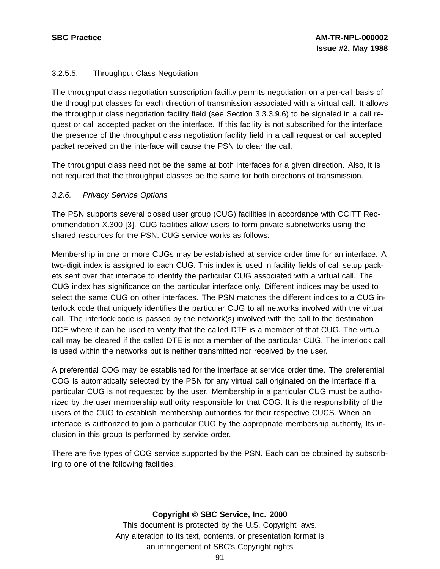## 3.2.5.5. Throughput Class Negotiation

The throughput class negotiation subscription facility permits negotiation on a per-call basis of the throughput classes for each direction of transmission associated with a virtual call. It allows the throughput class negotiation facility field (see Section 3.3.3.9.6) to be signaled in a call request or call accepted packet on the interface. If this facility is not subscribed for the interface, the presence of the throughput class negotiation facility field in a call request or call accepted packet received on the interface will cause the PSN to clear the call.

The throughput class need not be the same at both interfaces for a given direction. Also, it is not required that the throughput classes be the same for both directions of transmission.

## 3.2.6. Privacy Service Options

The PSN supports several closed user group (CUG) facilities in accordance with CCITT Recommendation X.300 [3]. CUG facilities allow users to form private subnetworks using the shared resources for the PSN. CUG service works as follows:

Membership in one or more CUGs may be established at service order time for an interface. A two-digit index is assigned to each CUG. This index is used in facility fields of call setup packets sent over that interface to identify the particular CUG associated with a virtual call. The CUG index has significance on the particular interface only. Different indices may be used to select the same CUG on other interfaces. The PSN matches the different indices to a CUG interlock code that uniquely identifies the particular CUG to all networks involved with the virtual call. The interlock code is passed by the network(s) involved with the call to the destination DCE where it can be used to verify that the called DTE is a member of that CUG. The virtual call may be cleared if the called DTE is not a member of the particular CUG. The interlock call is used within the networks but is neither transmitted nor received by the user.

A preferential COG may be established for the interface at service order time. The preferential COG Is automatically selected by the PSN for any virtual call originated on the interface if a particular CUG is not requested by the user. Membership in a particular CUG must be authorized by the user membership authority responsible for that COG. It is the responsibility of the users of the CUG to establish membership authorities for their respective CUCS. When an interface is authorized to join a particular CUG by the appropriate membership authority, Its inclusion in this group Is performed by service order.

There are five types of COG service supported by the PSN. Each can be obtained by subscribing to one of the following facilities.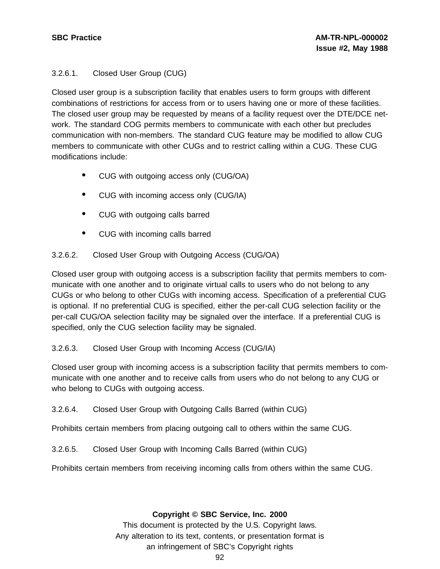# 3.2.6.1. Closed User Group (CUG)

Closed user group is a subscription facility that enables users to form groups with different combinations of restrictions for access from or to users having one or more of these facilities. The closed user group may be requested by means of a facility request over the DTE/DCE network. The standard COG permits members to communicate with each other but precludes communication with non-members. The standard CUG feature may be modified to allow CUG members to communicate with other CUGs and to restrict calling within a CUG. These CUG modifications include:

- CUG with outgoing access only (CUG/OA)
- CUG with incoming access only (CUG/IA)
- CUG with outgoing calls barred
- CUG with incoming calls barred

# 3.2.6.2. Closed User Group with Outgoing Access (CUG/OA)

Closed user group with outgoing access is a subscription facility that permits members to communicate with one another and to originate virtual calls to users who do not belong to any CUGs or who belong to other CUGs with incoming access. Specification of a preferential CUG is optional. If no preferential CUG is specified, either the per-call CUG selection facility or the per-call CUG/OA selection facility may be signaled over the interface. If a preferential CUG is specified, only the CUG selection facility may be signaled.

## 3.2.6.3. Closed User Group with Incoming Access (CUG/IA)

Closed user group with incoming access is a subscription facility that permits members to communicate with one another and to receive calls from users who do not belong to any CUG or who belong to CUGs with outgoing access.

## 3.2.6.4. Closed User Group with Outgoing Calls Barred (within CUG)

Prohibits certain members from placing outgoing call to others within the same CUG.

3.2.6.5. Closed User Group with Incoming Calls Barred (within CUG)

Prohibits certain members from receiving incoming calls from others within the same CUG.

## **Copyright © SBC Service, Inc. 2000**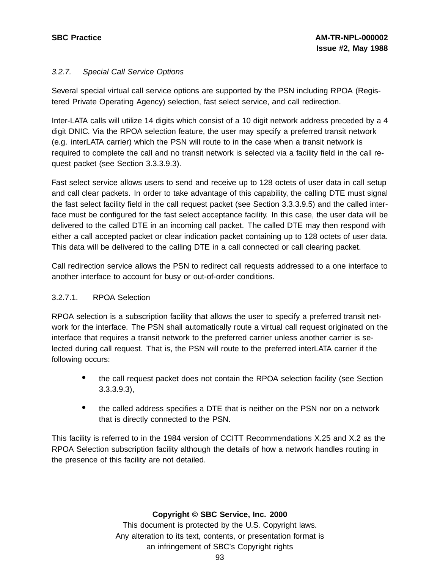# 3.2.7. Special Call Service Options

Several special virtual call service options are supported by the PSN including RPOA (Registered Private Operating Agency) selection, fast select service, and call redirection.

Inter-LATA calls will utilize 14 digits which consist of a 10 digit network address preceded by a 4 digit DNIC. Via the RPOA selection feature, the user may specify a preferred transit network (e.g. interLATA carrier) which the PSN will route to in the case when a transit network is required to complete the call and no transit network is selected via a facility field in the call request packet (see Section 3.3.3.9.3).

Fast select service allows users to send and receive up to 128 octets of user data in call setup and call clear packets. In order to take advantage of this capability, the calling DTE must signal the fast select facility field in the call request packet (see Section 3.3.3.9.5) and the called interface must be configured for the fast select acceptance facility. In this case, the user data will be delivered to the called DTE in an incoming call packet. The called DTE may then respond with either a call accepted packet or clear indication packet containing up to 128 octets of user data. This data will be delivered to the calling DTE in a call connected or call clearing packet.

Call redirection service allows the PSN to redirect call requests addressed to a one interface to another interface to account for busy or out-of-order conditions.

## 3.2.7.1. RPOA Selection

RPOA selection is a subscription facility that allows the user to specify a preferred transit network for the interface. The PSN shall automatically route a virtual call request originated on the interface that requires a transit network to the preferred carrier unless another carrier is selected during call request. That is, the PSN will route to the preferred interLATA carrier if the following occurs:

- the call request packet does not contain the RPOA selection facility (see Section 3.3.3.9.3),
- the called address specifies <sup>a</sup> DTE that is neither on the PSN nor on <sup>a</sup> network that is directly connected to the PSN.

This facility is referred to in the 1984 version of CCITT Recommendations X.25 and X.2 as the RPOA Selection subscription facility although the details of how a network handles routing in the presence of this facility are not detailed.

# **Copyright © SBC Service, Inc. 2000**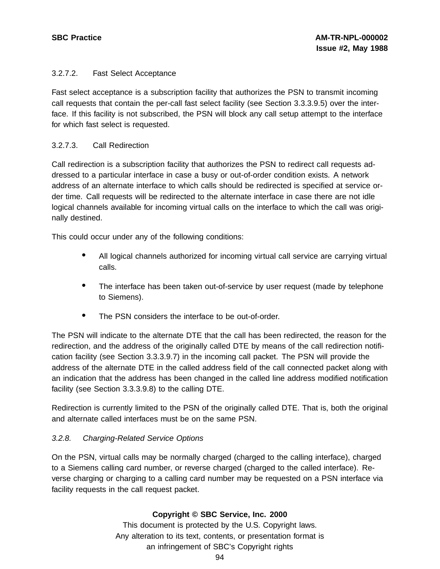## 3.2.7.2. Fast Select Acceptance

Fast select acceptance is a subscription facility that authorizes the PSN to transmit incoming call requests that contain the per-call fast select facility (see Section 3.3.3.9.5) over the interface. If this facility is not subscribed, the PSN will block any call setup attempt to the interface for which fast select is requested.

## 3.2.7.3. Call Redirection

Call redirection is a subscription facility that authorizes the PSN to redirect call requests addressed to a particular interface in case a busy or out-of-order condition exists. A network address of an alternate interface to which calls should be redirected is specified at service order time. Call requests will be redirected to the alternate interface in case there are not idle logical channels available for incoming virtual calls on the interface to which the call was originally destined.

This could occur under any of the following conditions:

- All logical channels authorized for incoming virtual call service are carrying virtual calls.
- The interface has been taken out-of-service by user request (made by telephone to Siemens).
- The PSN considers the interface to be out-of-order.

The PSN will indicate to the alternate DTE that the call has been redirected, the reason for the redirection, and the address of the originally called DTE by means of the call redirection notification facility (see Section 3.3.3.9.7) in the incoming call packet. The PSN will provide the address of the alternate DTE in the called address field of the call connected packet along with an indication that the address has been changed in the called line address modified notification facility (see Section 3.3.3.9.8) to the calling DTE.

Redirection is currently limited to the PSN of the originally called DTE. That is, both the original and alternate called interfaces must be on the same PSN.

# 3.2.8. Charging-Related Service Options

On the PSN, virtual calls may be normally charged (charged to the calling interface), charged to a Siemens calling card number, or reverse charged (charged to the called interface). Reverse charging or charging to a calling card number may be requested on a PSN interface via facility requests in the call request packet.

# **Copyright © SBC Service, Inc. 2000**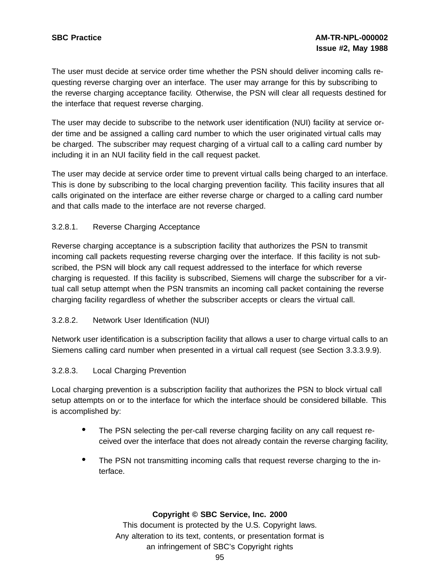The user must decide at service order time whether the PSN should deliver incoming calls requesting reverse charging over an interface. The user may arrange for this by subscribing to the reverse charging acceptance facility. Otherwise, the PSN will clear all requests destined for the interface that request reverse charging.

The user may decide to subscribe to the network user identification (NUI) facility at service order time and be assigned a calling card number to which the user originated virtual calls may be charged. The subscriber may request charging of a virtual call to a calling card number by including it in an NUI facility field in the call request packet.

The user may decide at service order time to prevent virtual calls being charged to an interface. This is done by subscribing to the local charging prevention facility. This facility insures that all calls originated on the interface are either reverse charge or charged to a calling card number and that calls made to the interface are not reverse charged.

## 3.2.8.1. Reverse Charging Acceptance

Reverse charging acceptance is a subscription facility that authorizes the PSN to transmit incoming call packets requesting reverse charging over the interface. If this facility is not subscribed, the PSN will block any call request addressed to the interface for which reverse charging is requested. If this facility is subscribed, Siemens will charge the subscriber for a virtual call setup attempt when the PSN transmits an incoming call packet containing the reverse charging facility regardless of whether the subscriber accepts or clears the virtual call.

## 3.2.8.2. Network User Identification (NUI)

Network user identification is a subscription facility that allows a user to charge virtual calls to an Siemens calling card number when presented in a virtual call request (see Section 3.3.3.9.9).

## 3.2.8.3. Local Charging Prevention

Local charging prevention is a subscription facility that authorizes the PSN to block virtual call setup attempts on or to the interface for which the interface should be considered billable. This is accomplished by:

- The PSN selecting the per-call reverse charging facility on any call request received over the interface that does not already contain the reverse charging facility,
- The PSN not transmitting incoming calls that request reverse charging to the interface.

## **Copyright © SBC Service, Inc. 2000**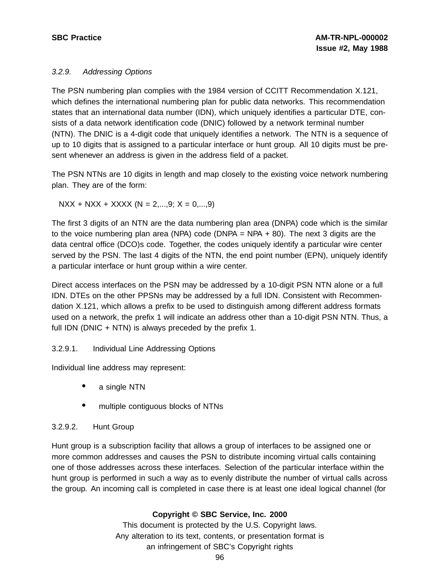## 3.2.9. Addressing Options

The PSN numbering plan complies with the 1984 version of CCITT Recommendation X.121, which defines the international numbering plan for public data networks. This recommendation states that an international data number (IDN), which uniquely identifies a particular DTE, consists of a data network identification code (DNIC) followed by a network terminal number (NTN). The DNIC is a 4-digit code that uniquely identifies a network. The NTN is a sequence of up to 10 digits that is assigned to a particular interface or hunt group. All 10 digits must be present whenever an address is given in the address field of a packet.

The PSN NTNs are 10 digits in length and map closely to the existing voice network numbering plan. They are of the form:

 $NXX + NXX + XXXX (N = 2,...,9; X = 0,...,9)$ 

The first 3 digits of an NTN are the data numbering plan area (DNPA) code which is the similar to the voice numbering plan area (NPA) code (DNPA = NPA + 80). The next 3 digits are the data central office (DCO)s code. Together, the codes uniquely identify a particular wire center served by the PSN. The last 4 digits of the NTN, the end point number (EPN), uniquely identify a particular interface or hunt group within a wire center.

Direct access interfaces on the PSN may be addressed by a 10-digit PSN NTN alone or a full IDN. DTEs on the other PPSNs may be addressed by a full IDN. Consistent with Recommendation X.121, which allows a prefix to be used to distinguish among different address formats used on a network, the prefix 1 will indicate an address other than a 10-digit PSN NTN. Thus, a full IDN (DNIC + NTN) is always preceded by the prefix 1.

# 3.2.9.1. Individual Line Addressing Options

Individual line address may represent:

- a single NTN
- multiple contiguous blocks of NTNs

# 3.2.9.2. Hunt Group

Hunt group is a subscription facility that allows a group of interfaces to be assigned one or more common addresses and causes the PSN to distribute incoming virtual calls containing one of those addresses across these interfaces. Selection of the particular interface within the hunt group is performed in such a way as to evenly distribute the number of virtual calls across the group. An incoming call is completed in case there is at least one ideal logical channel (for

# **Copyright © SBC Service, Inc. 2000**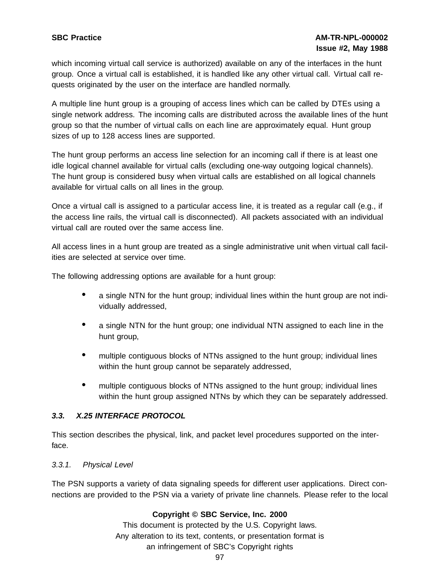which incoming virtual call service is authorized) available on any of the interfaces in the hunt group. Once a virtual call is established, it is handled like any other virtual call. Virtual call requests originated by the user on the interface are handled normally.

A multiple line hunt group is a grouping of access lines which can be called by DTEs using a single network address. The incoming calls are distributed across the available lines of the hunt group so that the number of virtual calls on each line are approximately equal. Hunt group sizes of up to 128 access lines are supported.

The hunt group performs an access line selection for an incoming call if there is at least one idle logical channel available for virtual calls (excluding one-way outgoing logical channels). The hunt group is considered busy when virtual calls are established on all logical channels available for virtual calls on all lines in the group.

Once a virtual call is assigned to a particular access line, it is treated as a regular call (e.g., if the access line rails, the virtual call is disconnected). All packets associated with an individual virtual call are routed over the same access line.

All access lines in a hunt group are treated as a single administrative unit when virtual call facilities are selected at service over time.

The following addressing options are available for a hunt group:

- a single NTN for the hunt group; individual lines within the hunt group are not individually addressed,
- <sup>a</sup> single NTN for the hunt group; one individual NTN assigned to each line in the hunt group,
- multiple contiguous blocks of NTNs assigned to the hunt group; individual lines within the hunt group cannot be separately addressed,
- multiple contiguous blocks of NTNs assigned to the hunt group; individual lines within the hunt group assigned NTNs by which they can be separately addressed.

# **3.3. X.25 INTERFACE PROTOCOL**

This section describes the physical, link, and packet level procedures supported on the interface.

## 3.3.1. Physical Level

The PSN supports a variety of data signaling speeds for different user applications. Direct connections are provided to the PSN via a variety of private line channels. Please refer to the local

# **Copyright © SBC Service, Inc. 2000**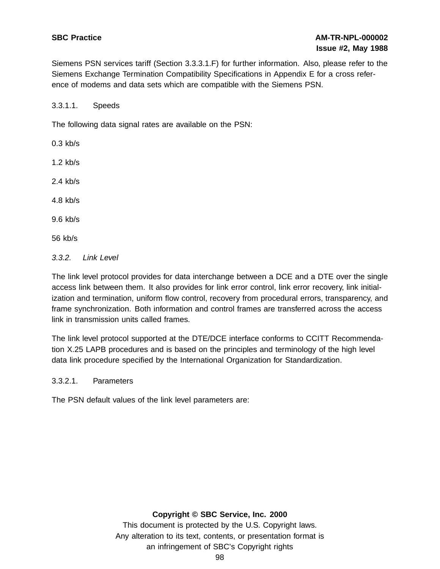Siemens PSN services tariff (Section 3.3.3.1.F) for further information. Also, please refer to the Siemens Exchange Termination Compatibility Specifications in Appendix E for a cross reference of modems and data sets which are compatible with the Siemens PSN.

3.3.1.1. Speeds

The following data signal rates are available on the PSN:

- 0.3 kb/s
- 1.2 kb/s
- 2.4 kb/s
- 4.8 kb/s
- 9.6 kb/s
- 56 kb/s
- 3.3.2. Link Level

The link level protocol provides for data interchange between a DCE and a DTE over the single access link between them. It also provides for link error control, link error recovery, link initialization and termination, uniform flow control, recovery from procedural errors, transparency, and frame synchronization. Both information and control frames are transferred across the access link in transmission units called frames.

The link level protocol supported at the DTE/DCE interface conforms to CCITT Recommendation X.25 LAPB procedures and is based on the principles and terminology of the high level data link procedure specified by the International Organization for Standardization.

3.3.2.1. Parameters

The PSN default values of the link level parameters are:

#### **Copyright © SBC Service, Inc. 2000**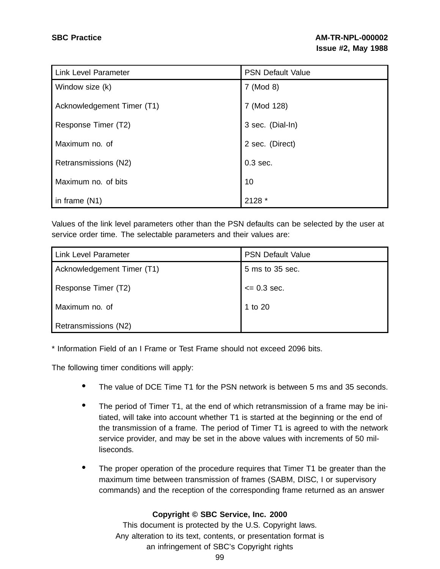| <b>Link Level Parameter</b> | <b>PSN Default Value</b> |
|-----------------------------|--------------------------|
| Window size (k)             | 7 (Mod 8)                |
| Acknowledgement Timer (T1)  | 7 (Mod 128)              |
| Response Timer (T2)         | 3 sec. (Dial-In)         |
| Maximum no. of              | 2 sec. (Direct)          |
| Retransmissions (N2)        | $0.3$ sec.               |
| Maximum no. of bits         | 10                       |
| in frame $(N1)$             | 2128 *                   |

Values of the link level parameters other than the PSN defaults can be selected by the user at service order time. The selectable parameters and their values are:

| <b>Link Level Parameter</b> | <b>PSN Default Value</b> |  |  |  |
|-----------------------------|--------------------------|--|--|--|
| Acknowledgement Timer (T1)  | 5 ms to 35 sec.          |  |  |  |
| Response Timer (T2)         | $= 0.3$ sec.             |  |  |  |
| Maximum no. of              | 1 to 20                  |  |  |  |
| Retransmissions (N2)        |                          |  |  |  |

\* Information Field of an I Frame or Test Frame should not exceed 2096 bits.

The following timer conditions will apply:

- The value of DCE Time T1 for the PSN network is between <sup>5</sup> ms and <sup>35</sup> seconds.
- The period of Timer T1, at the end of which retransmission of a frame may be initiated, will take into account whether T1 is started at the beginning or the end of the transmission of a frame. The period of Timer T1 is agreed to with the network service provider, and may be set in the above values with increments of 50 milliseconds.
- The proper operation of the procedure requires that Timer T1 be greater than the maximum time between transmission of frames (SABM, DISC, I or supervisory commands) and the reception of the corresponding frame returned as an answer

## **Copyright © SBC Service, Inc. 2000**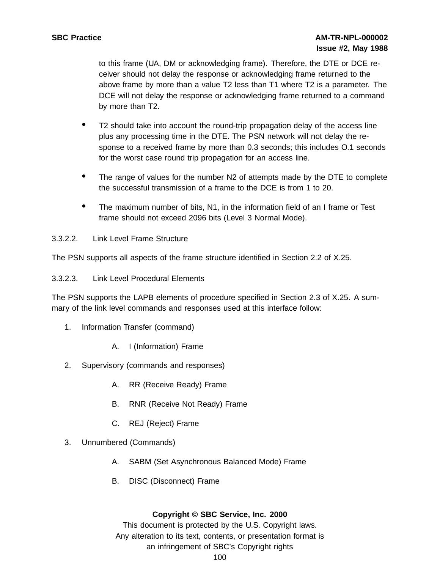to this frame (UA, DM or acknowledging frame). Therefore, the DTE or DCE receiver should not delay the response or acknowledging frame returned to the above frame by more than a value T2 less than T1 where T2 is a parameter. The DCE will not delay the response or acknowledging frame returned to a command by more than T2.

- T2 should take into account the round-trip propagation delay of the access line plus any processing time in the DTE. The PSN network will not delay the response to a received frame by more than 0.3 seconds; this includes O.1 seconds for the worst case round trip propagation for an access line.
- The range of values for the number N2 of attempts made by the DTE to complete the successful transmission of a frame to the DCE is from 1 to 20.
- The maximum number of bits, N1, in the information field of an <sup>I</sup> frame or Test frame should not exceed 2096 bits (Level 3 Normal Mode).
- 3.3.2.2. Link Level Frame Structure

The PSN supports all aspects of the frame structure identified in Section 2.2 of X.25.

3.3.2.3. Link Level Procedural Elements

The PSN supports the LAPB elements of procedure specified in Section 2.3 of X.25. A summary of the link level commands and responses used at this interface follow:

- 1. Information Transfer (command)
	- A. I (Information) Frame
- 2. Supervisory (commands and responses)
	- A. RR (Receive Ready) Frame
	- B. RNR (Receive Not Ready) Frame
	- C. REJ (Reject) Frame
- 3. Unnumbered (Commands)
	- A. SABM (Set Asynchronous Balanced Mode) Frame
	- B. DISC (Disconnect) Frame

## **Copyright © SBC Service, Inc. 2000**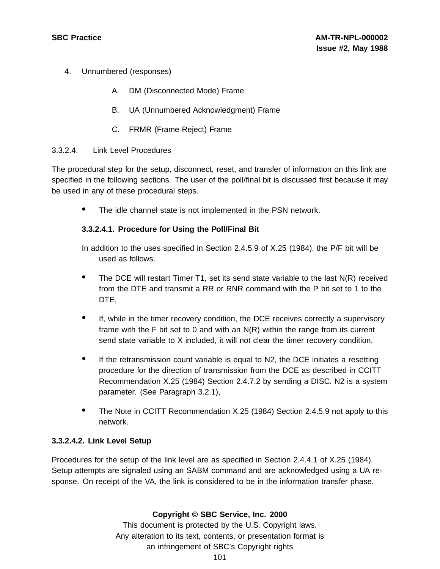- 4. Unnumbered (responses)
	- A. DM (Disconnected Mode) Frame
	- B. UA (Unnumbered Acknowledgment) Frame
	- C. FRMR (Frame Reject) Frame

#### 3.3.2.4. Link Level Procedures

The procedural step for the setup, disconnect, reset, and transfer of information on this link are specified in the following sections. The user of the poll/final bit is discussed first because it may be used in any of these procedural steps.

• The idle channel state is not implemented in the PSN network.

## **3.3.2.4.1. Procedure for Using the Poll/Final Bit**

In addition to the uses specified in Section 2.4.5.9 of X.25 (1984), the P/F bit will be used as follows.

- The DCE will restart Timer T1, set its send state variable to the last N(R) received from the DTE and transmit a RR or RNR command with the P bit set to 1 to the DTE,
- If, while in the timer recovery condition, the DCE receives correctly <sup>a</sup> supervisory frame with the F bit set to 0 and with an N(R) within the range from its current send state variable to X included, it will not clear the timer recovery condition,
- If the retransmission count variable is equal to N2, the DCE initiates a resetting procedure for the direction of transmission from the DCE as described in CCITT Recommendation X.25 (1984) Section 2.4.7.2 by sending a DISC. N2 is a system parameter. (See Paragraph 3.2.1),
- The Note in CCITT Recommendation X.25 (1984) Section 2.4.5.9 not apply to this network.

## **3.3.2.4.2. Link Level Setup**

Procedures for the setup of the link level are as specified in Section 2.4.4.1 of X.25 (1984). Setup attempts are signaled using an SABM command and are acknowledged using a UA response. On receipt of the VA, the link is considered to be in the information transfer phase.

## **Copyright © SBC Service, Inc. 2000**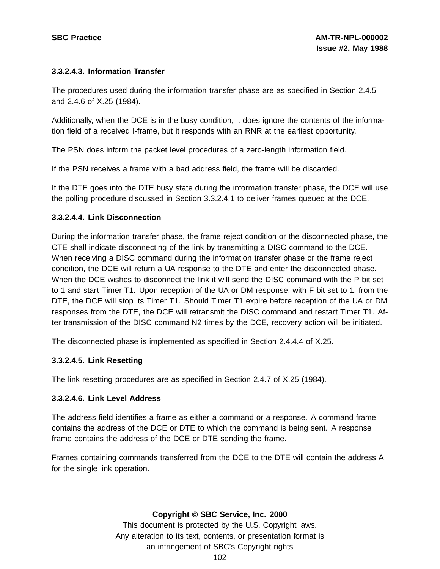## **3.3.2.4.3. Information Transfer**

The procedures used during the information transfer phase are as specified in Section 2.4.5 and 2.4.6 of X.25 (1984).

Additionally, when the DCE is in the busy condition, it does ignore the contents of the information field of a received I-frame, but it responds with an RNR at the earliest opportunity.

The PSN does inform the packet level procedures of a zero-length information field.

If the PSN receives a frame with a bad address field, the frame will be discarded.

If the DTE goes into the DTE busy state during the information transfer phase, the DCE will use the polling procedure discussed in Section 3.3.2.4.1 to deliver frames queued at the DCE.

#### **3.3.2.4.4. Link Disconnection**

During the information transfer phase, the frame reject condition or the disconnected phase, the CTE shall indicate disconnecting of the link by transmitting a DISC command to the DCE. When receiving a DISC command during the information transfer phase or the frame reject condition, the DCE will return a UA response to the DTE and enter the disconnected phase. When the DCE wishes to disconnect the link it will send the DISC command with the P bit set to 1 and start Timer T1. Upon reception of the UA or DM response, with F bit set to 1, from the DTE, the DCE will stop its Timer T1. Should Timer T1 expire before reception of the UA or DM responses from the DTE, the DCE will retransmit the DISC command and restart Timer T1. After transmission of the DISC command N2 times by the DCE, recovery action will be initiated.

The disconnected phase is implemented as specified in Section 2.4.4.4 of X.25.

#### **3.3.2.4.5. Link Resetting**

The link resetting procedures are as specified in Section 2.4.7 of X.25 (1984).

#### **3.3.2.4.6. Link Level Address**

The address field identifies a frame as either a command or a response. A command frame contains the address of the DCE or DTE to which the command is being sent. A response frame contains the address of the DCE or DTE sending the frame.

Frames containing commands transferred from the DCE to the DTE will contain the address A for the single link operation.

**Copyright © SBC Service, Inc. 2000**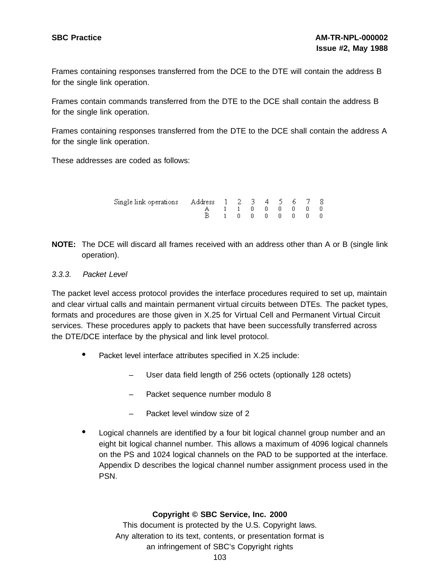Frames containing responses transferred from the DCE to the DTE will contain the address B for the single link operation.

Frames contain commands transferred from the DTE to the DCE shall contain the address B for the single link operation.

Frames containing responses transferred from the DTE to the DCE shall contain the address A for the single link operation.

These addresses are coded as follows:

| Single link operations Address 1 2 3 4 5 6 7 8 |            |  |  |  |                                               |  |
|------------------------------------------------|------------|--|--|--|-----------------------------------------------|--|
|                                                | A 11000000 |  |  |  |                                               |  |
|                                                |            |  |  |  | $1\quad 0\quad 0\quad 0\quad 0\quad 0\quad 0$ |  |

**NOTE:** The DCE will discard all frames received with an address other than A or B (single link operation).

#### 3.3.3. Packet Level

The packet level access protocol provides the interface procedures required to set up, maintain and clear virtual calls and maintain permanent virtual circuits between DTEs. The packet types, formats and procedures are those given in X.25 for Virtual Cell and Permanent Virtual Circuit services. These procedures apply to packets that have been successfully transferred across the DTE/DCE interface by the physical and link level protocol.

- Packet level interface attributes specified in X.25 include:
	- User data field length of 256 octets (optionally 128 octets)
	- Packet sequence number modulo 8
	- Packet level window size of 2
- Logical channels are identified by <sup>a</sup> four bit logical channel group number and an eight bit logical channel number. This allows a maximum of 4096 logical channels on the PS and 1024 logical channels on the PAD to be supported at the interface. Appendix D describes the logical channel number assignment process used in the PSN.

#### **Copyright © SBC Service, Inc. 2000**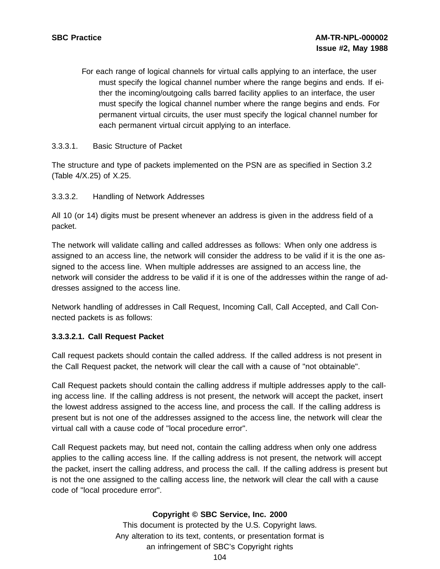For each range of logical channels for virtual calls applying to an interface, the user must specify the logical channel number where the range begins and ends. If either the incoming/outgoing calls barred facility applies to an interface, the user must specify the logical channel number where the range begins and ends. For permanent virtual circuits, the user must specify the logical channel number for each permanent virtual circuit applying to an interface.

## 3.3.3.1. Basic Structure of Packet

The structure and type of packets implemented on the PSN are as specified in Section 3.2 (Table 4/X.25) of X.25.

## 3.3.3.2. Handling of Network Addresses

All 10 (or 14) digits must be present whenever an address is given in the address field of a packet.

The network will validate calling and called addresses as follows: When only one address is assigned to an access line, the network will consider the address to be valid if it is the one assigned to the access line. When multiple addresses are assigned to an access line, the network will consider the address to be valid if it is one of the addresses within the range of addresses assigned to the access line.

Network handling of addresses in Call Request, Incoming Call, Call Accepted, and Call Connected packets is as follows:

## **3.3.3.2.1. Call Request Packet**

Call request packets should contain the called address. If the called address is not present in the Call Request packet, the network will clear the call with a cause of "not obtainable".

Call Request packets should contain the calling address if multiple addresses apply to the calling access line. If the calling address is not present, the network will accept the packet, insert the lowest address assigned to the access line, and process the call. If the calling address is present but is not one of the addresses assigned to the access line, the network will clear the virtual call with a cause code of "local procedure error".

Call Request packets may, but need not, contain the calling address when only one address applies to the calling access line. If the calling address is not present, the network will accept the packet, insert the calling address, and process the call. If the calling address is present but is not the one assigned to the calling access line, the network will clear the call with a cause code of "local procedure error".

## **Copyright © SBC Service, Inc. 2000**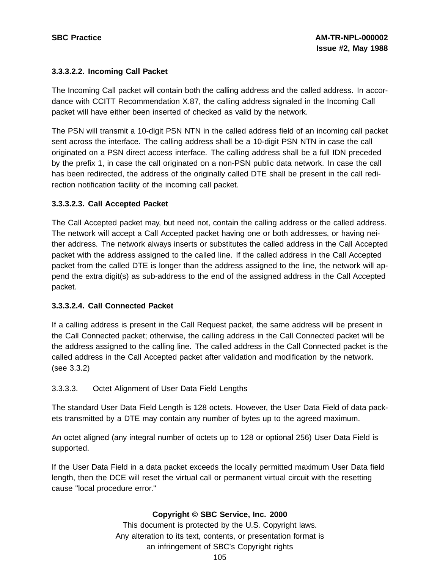# **3.3.3.2.2. Incoming Call Packet**

The Incoming Call packet will contain both the calling address and the called address. In accordance with CCITT Recommendation X.87, the calling address signaled in the Incoming Call packet will have either been inserted of checked as valid by the network.

The PSN will transmit a 10-digit PSN NTN in the called address field of an incoming call packet sent across the interface. The calling address shall be a 10-digit PSN NTN in case the call originated on a PSN direct access interface. The calling address shall be a full IDN preceded by the prefix 1, in case the call originated on a non-PSN public data network. In case the call has been redirected, the address of the originally called DTE shall be present in the call redirection notification facility of the incoming call packet.

# **3.3.3.2.3. Call Accepted Packet**

The Call Accepted packet may, but need not, contain the calling address or the called address. The network will accept a Call Accepted packet having one or both addresses, or having neither address. The network always inserts or substitutes the called address in the Call Accepted packet with the address assigned to the called line. If the called address in the Call Accepted packet from the called DTE is longer than the address assigned to the line, the network will append the extra digit(s) as sub-address to the end of the assigned address in the Call Accepted packet.

#### **3.3.3.2.4. Call Connected Packet**

If a calling address is present in the Call Request packet, the same address will be present in the Call Connected packet; otherwise, the calling address in the Call Connected packet will be the address assigned to the calling line. The called address in the Call Connected packet is the called address in the Call Accepted packet after validation and modification by the network. (see 3.3.2)

3.3.3.3. Octet Alignment of User Data Field Lengths

The standard User Data Field Length is 128 octets. However, the User Data Field of data packets transmitted by a DTE may contain any number of bytes up to the agreed maximum.

An octet aligned (any integral number of octets up to 128 or optional 256) User Data Field is supported.

If the User Data Field in a data packet exceeds the locally permitted maximum User Data field length, then the DCE will reset the virtual call or permanent virtual circuit with the resetting cause "local procedure error."

# **Copyright © SBC Service, Inc. 2000**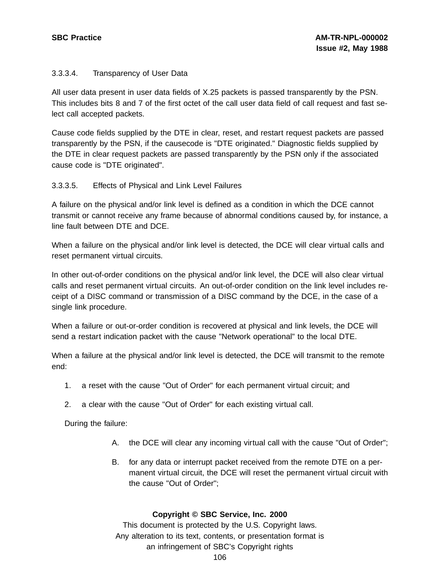# 3.3.3.4. Transparency of User Data

All user data present in user data fields of X.25 packets is passed transparently by the PSN. This includes bits 8 and 7 of the first octet of the call user data field of call request and fast select call accepted packets.

Cause code fields supplied by the DTE in clear, reset, and restart request packets are passed transparently by the PSN, if the causecode is "DTE originated." Diagnostic fields supplied by the DTE in clear request packets are passed transparently by the PSN only if the associated cause code is "DTE originated".

# 3.3.3.5. Effects of Physical and Link Level Failures

A failure on the physical and/or link level is defined as a condition in which the DCE cannot transmit or cannot receive any frame because of abnormal conditions caused by, for instance, a line fault between DTE and DCE.

When a failure on the physical and/or link level is detected, the DCE will clear virtual calls and reset permanent virtual circuits.

In other out-of-order conditions on the physical and/or link level, the DCE will also clear virtual calls and reset permanent virtual circuits. An out-of-order condition on the link level includes receipt of a DISC command or transmission of a DISC command by the DCE, in the case of a single link procedure.

When a failure or out-or-order condition is recovered at physical and link levels, the DCE will send a restart indication packet with the cause "Network operational" to the local DTE.

When a failure at the physical and/or link level is detected, the DCE will transmit to the remote end:

- 1. a reset with the cause "Out of Order" for each permanent virtual circuit; and
- 2. a clear with the cause "Out of Order" for each existing virtual call.

During the failure:

- A. the DCE will clear any incoming virtual call with the cause "Out of Order";
- B. for any data or interrupt packet received from the remote DTE on a permanent virtual circuit, the DCE will reset the permanent virtual circuit with the cause "Out of Order";

#### **Copyright © SBC Service, Inc. 2000**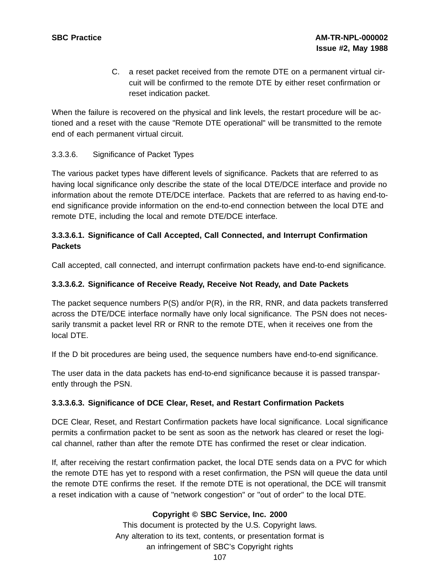C. a reset packet received from the remote DTE on a permanent virtual circuit will be confirmed to the remote DTE by either reset confirmation or reset indication packet.

When the failure is recovered on the physical and link levels, the restart procedure will be actioned and a reset with the cause "Remote DTE operational" will be transmitted to the remote end of each permanent virtual circuit.

# 3.3.3.6. Significance of Packet Types

The various packet types have different levels of significance. Packets that are referred to as having local significance only describe the state of the local DTE/DCE interface and provide no information about the remote DTE/DCE interface. Packets that are referred to as having end-toend significance provide information on the end-to-end connection between the local DTE and remote DTE, including the local and remote DTE/DCE interface.

# **3.3.3.6.1. Significance of Call Accepted, Call Connected, and Interrupt Confirmation Packets**

Call accepted, call connected, and interrupt confirmation packets have end-to-end significance.

# **3.3.3.6.2. Significance of Receive Ready, Receive Not Ready, and Date Packets**

The packet sequence numbers P(S) and/or P(R), in the RR, RNR, and data packets transferred across the DTE/DCE interface normally have only local significance. The PSN does not necessarily transmit a packet level RR or RNR to the remote DTE, when it receives one from the local DTE.

If the D bit procedures are being used, the sequence numbers have end-to-end significance.

The user data in the data packets has end-to-end significance because it is passed transparently through the PSN.

#### **3.3.3.6.3. Significance of DCE Clear, Reset, and Restart Confirmation Packets**

DCE Clear, Reset, and Restart Confirmation packets have local significance. Local significance permits a confirmation packet to be sent as soon as the network has cleared or reset the logical channel, rather than after the remote DTE has confirmed the reset or clear indication.

If, after receiving the restart confirmation packet, the local DTE sends data on a PVC for which the remote DTE has yet to respond with a reset confirmation, the PSN will queue the data until the remote DTE confirms the reset. If the remote DTE is not operational, the DCE will transmit a reset indication with a cause of "network congestion" or "out of order" to the local DTE.

# **Copyright © SBC Service, Inc. 2000**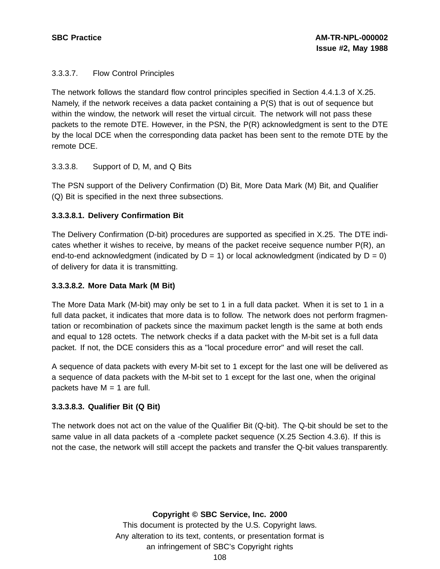# 3.3.3.7. Flow Control Principles

The network follows the standard flow control principles specified in Section 4.4.1.3 of X.25. Namely, if the network receives a data packet containing a P(S) that is out of sequence but within the window, the network will reset the virtual circuit. The network will not pass these packets to the remote DTE. However, in the PSN, the P(R) acknowledgment is sent to the DTE by the local DCE when the corresponding data packet has been sent to the remote DTE by the remote DCE.

#### 3.3.3.8. Support of D, M, and Q Bits

The PSN support of the Delivery Confirmation (D) Bit, More Data Mark (M) Bit, and Qualifier (Q) Bit is specified in the next three subsections.

# **3.3.3.8.1. Delivery Confirmation Bit**

The Delivery Confirmation (D-bit) procedures are supported as specified in X.25. The DTE indicates whether it wishes to receive, by means of the packet receive sequence number P(R), an end-to-end acknowledgment (indicated by  $D = 1$ ) or local acknowledgment (indicated by  $D = 0$ ) of delivery for data it is transmitting.

#### **3.3.3.8.2. More Data Mark (M Bit)**

The More Data Mark (M-bit) may only be set to 1 in a full data packet. When it is set to 1 in a full data packet, it indicates that more data is to follow. The network does not perform fragmentation or recombination of packets since the maximum packet length is the same at both ends and equal to 128 octets. The network checks if a data packet with the M-bit set is a full data packet. If not, the DCE considers this as a "local procedure error" and will reset the call.

A sequence of data packets with every M-bit set to 1 except for the last one will be delivered as a sequence of data packets with the M-bit set to 1 except for the last one, when the original packets have  $M = 1$  are full.

# **3.3.3.8.3. Qualifier Bit (Q Bit)**

The network does not act on the value of the Qualifier Bit (Q-bit). The Q-bit should be set to the same value in all data packets of a -complete packet sequence (X.25 Section 4.3.6). If this is not the case, the network will still accept the packets and transfer the Q-bit values transparently.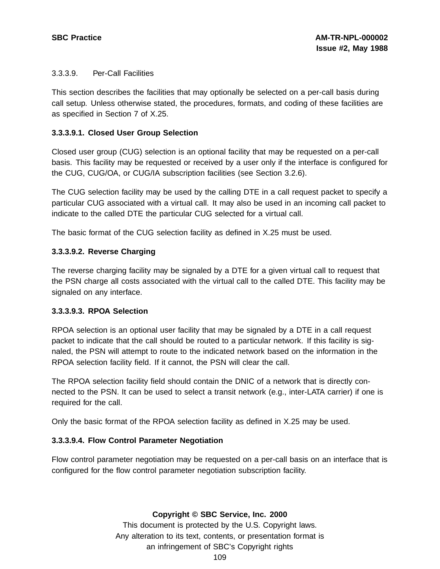### 3.3.3.9. Per-Call Facilities

This section describes the facilities that may optionally be selected on a per-call basis during call setup. Unless otherwise stated, the procedures, formats, and coding of these facilities are as specified in Section 7 of X.25.

# **3.3.3.9.1. Closed User Group Selection**

Closed user group (CUG) selection is an optional facility that may be requested on a per-call basis. This facility may be requested or received by a user only if the interface is configured for the CUG, CUG/OA, or CUG/IA subscription facilities (see Section 3.2.6).

The CUG selection facility may be used by the calling DTE in a call request packet to specify a particular CUG associated with a virtual call. It may also be used in an incoming call packet to indicate to the called DTE the particular CUG selected for a virtual call.

The basic format of the CUG selection facility as defined in X.25 must be used.

# **3.3.3.9.2. Reverse Charging**

The reverse charging facility may be signaled by a DTE for a given virtual call to request that the PSN charge all costs associated with the virtual call to the called DTE. This facility may be signaled on any interface.

#### **3.3.3.9.3. RPOA Selection**

RPOA selection is an optional user facility that may be signaled by a DTE in a call request packet to indicate that the call should be routed to a particular network. If this facility is signaled, the PSN will attempt to route to the indicated network based on the information in the RPOA selection facility field. If it cannot, the PSN will clear the call.

The RPOA selection facility field should contain the DNIC of a network that is directly connected to the PSN. It can be used to select a transit network (e.g., inter-LATA carrier) if one is required for the call.

Only the basic format of the RPOA selection facility as defined in X.25 may be used.

# **3.3.3.9.4. Flow Control Parameter Negotiation**

Flow control parameter negotiation may be requested on a per-call basis on an interface that is configured for the flow control parameter negotiation subscription facility.

#### **Copyright © SBC Service, Inc. 2000**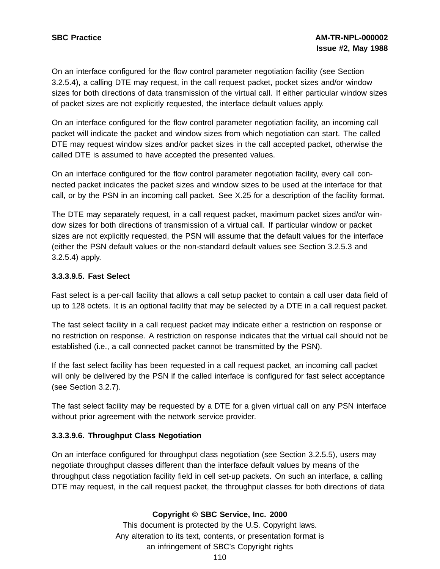On an interface configured for the flow control parameter negotiation facility (see Section 3.2.5.4), a calling DTE may request, in the call request packet, pocket sizes and/or window sizes for both directions of data transmission of the virtual call. If either particular window sizes of packet sizes are not explicitly requested, the interface default values apply.

On an interface configured for the flow control parameter negotiation facility, an incoming call packet will indicate the packet and window sizes from which negotiation can start. The called DTE may request window sizes and/or packet sizes in the call accepted packet, otherwise the called DTE is assumed to have accepted the presented values.

On an interface configured for the flow control parameter negotiation facility, every call connected packet indicates the packet sizes and window sizes to be used at the interface for that call, or by the PSN in an incoming call packet. See X.25 for a description of the facility format.

The DTE may separately request, in a call request packet, maximum packet sizes and/or window sizes for both directions of transmission of a virtual call. If particular window or packet sizes are not explicitly requested, the PSN will assume that the default values for the interface (either the PSN default values or the non-standard default values see Section 3.2.5.3 and 3.2.5.4) apply.

# **3.3.3.9.5. Fast Select**

Fast select is a per-call facility that allows a call setup packet to contain a call user data field of up to 128 octets. It is an optional facility that may be selected by a DTE in a call request packet.

The fast select facility in a call request packet may indicate either a restriction on response or no restriction on response. A restriction on response indicates that the virtual call should not be established (i.e., a call connected packet cannot be transmitted by the PSN).

If the fast select facility has been requested in a call request packet, an incoming call packet will only be delivered by the PSN if the called interface is configured for fast select acceptance (see Section 3.2.7).

The fast select facility may be requested by a DTE for a given virtual call on any PSN interface without prior agreement with the network service provider.

#### **3.3.3.9.6. Throughput Class Negotiation**

On an interface configured for throughput class negotiation (see Section 3.2.5.5), users may negotiate throughput classes different than the interface default values by means of the throughput class negotiation facility field in cell set-up packets. On such an interface, a calling DTE may request, in the call request packet, the throughput classes for both directions of data

# **Copyright © SBC Service, Inc. 2000**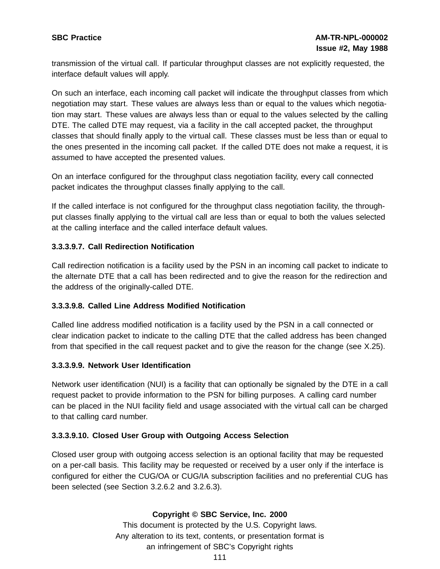transmission of the virtual call. If particular throughput classes are not explicitly requested, the interface default values will apply.

On such an interface, each incoming call packet will indicate the throughput classes from which negotiation may start. These values are always less than or equal to the values which negotiation may start. These values are always less than or equal to the values selected by the calling DTE. The called DTE may request, via a facility in the call accepted packet, the throughput classes that should finally apply to the virtual call. These classes must be less than or equal to the ones presented in the incoming call packet. If the called DTE does not make a request, it is assumed to have accepted the presented values.

On an interface configured for the throughput class negotiation facility, every call connected packet indicates the throughput classes finally applying to the call.

If the called interface is not configured for the throughput class negotiation facility, the throughput classes finally applying to the virtual call are less than or equal to both the values selected at the calling interface and the called interface default values.

# **3.3.3.9.7. Call Redirection Notification**

Call redirection notification is a facility used by the PSN in an incoming call packet to indicate to the alternate DTE that a call has been redirected and to give the reason for the redirection and the address of the originally-called DTE.

#### **3.3.3.9.8. Called Line Address Modified Notification**

Called line address modified notification is a facility used by the PSN in a call connected or clear indication packet to indicate to the calling DTE that the called address has been changed from that specified in the call request packet and to give the reason for the change (see X.25).

#### **3.3.3.9.9. Network User Identification**

Network user identification (NUI) is a facility that can optionally be signaled by the DTE in a call request packet to provide information to the PSN for billing purposes. A calling card number can be placed in the NUI facility field and usage associated with the virtual call can be charged to that calling card number.

#### **3.3.3.9.10. Closed User Group with Outgoing Access Selection**

Closed user group with outgoing access selection is an optional facility that may be requested on a per-call basis. This facility may be requested or received by a user only if the interface is configured for either the CUG/OA or CUG/IA subscription facilities and no preferential CUG has been selected (see Section 3.2.6.2 and 3.2.6.3).

#### **Copyright © SBC Service, Inc. 2000**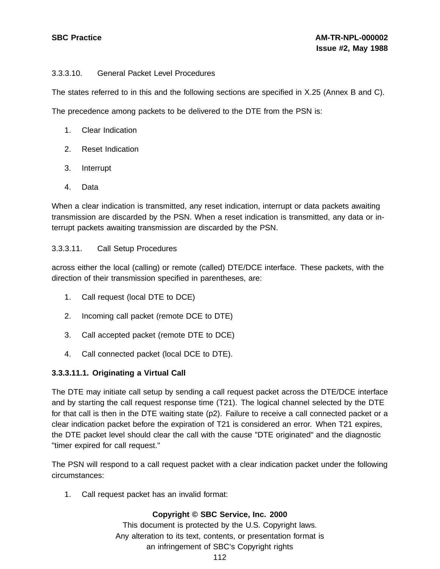# 3.3.3.10. General Packet Level Procedures

The states referred to in this and the following sections are specified in X.25 (Annex B and C).

The precedence among packets to be delivered to the DTE from the PSN is:

- 1. Clear Indication
- 2. Reset Indication
- 3. Interrupt
- 4. Data

When a clear indication is transmitted, any reset indication, interrupt or data packets awaiting transmission are discarded by the PSN. When a reset indication is transmitted, any data or interrupt packets awaiting transmission are discarded by the PSN.

# 3.3.3.11. Call Setup Procedures

across either the local (calling) or remote (called) DTE/DCE interface. These packets, with the direction of their transmission specified in parentheses, are:

- 1. Call request (local DTE to DCE)
- 2. Incoming call packet (remote DCE to DTE)
- 3. Call accepted packet (remote DTE to DCE)
- 4. Call connected packet (local DCE to DTE).

# **3.3.3.11.1. Originating a Virtual Call**

The DTE may initiate call setup by sending a call request packet across the DTE/DCE interface and by starting the call request response time (T21). The logical channel selected by the DTE for that call is then in the DTE waiting state (p2). Failure to receive a call connected packet or a clear indication packet before the expiration of T21 is considered an error. When T21 expires, the DTE packet level should clear the call with the cause "DTE originated" and the diagnostic "timer expired for call request."

The PSN will respond to a call request packet with a clear indication packet under the following circumstances:

1. Call request packet has an invalid format:

# **Copyright © SBC Service, Inc. 2000**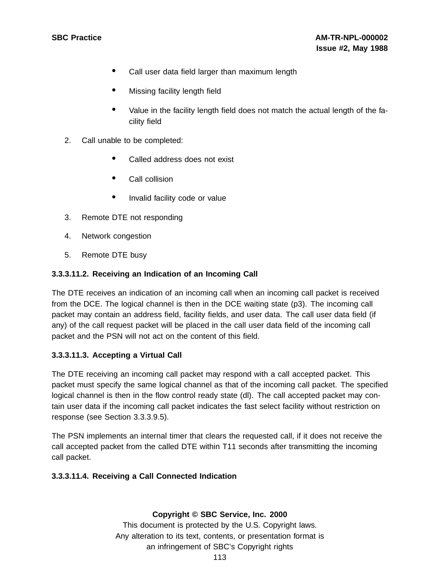- Call user data field larger than maximum length
- Missing facility length field
- Value in the facility length field does not match the actual length of the facility field
- 2. Call unable to be completed:
	- Called address does not exist
	- Call collision
	- Invalid facility code or value
- 3. Remote DTE not responding
- 4. Network congestion
- 5. Remote DTE busy

# **3.3.3.11.2. Receiving an Indication of an Incoming Call**

The DTE receives an indication of an incoming call when an incoming call packet is received from the DCE. The logical channel is then in the DCE waiting state (p3). The incoming call packet may contain an address field, facility fields, and user data. The call user data field (if any) of the call request packet will be placed in the call user data field of the incoming call packet and the PSN will not act on the content of this field.

#### **3.3.3.11.3. Accepting a Virtual Call**

The DTE receiving an incoming call packet may respond with a call accepted packet. This packet must specify the same logical channel as that of the incoming call packet. The specified logical channel is then in the flow control ready state (dl). The call accepted packet may contain user data if the incoming call packet indicates the fast select facility without restriction on response (see Section 3.3.3.9.5).

The PSN implements an internal timer that clears the requested call, if it does not receive the call accepted packet from the called DTE within T11 seconds after transmitting the incoming call packet.

#### **3.3.3.11.4. Receiving a Call Connected Indication**

#### **Copyright © SBC Service, Inc. 2000**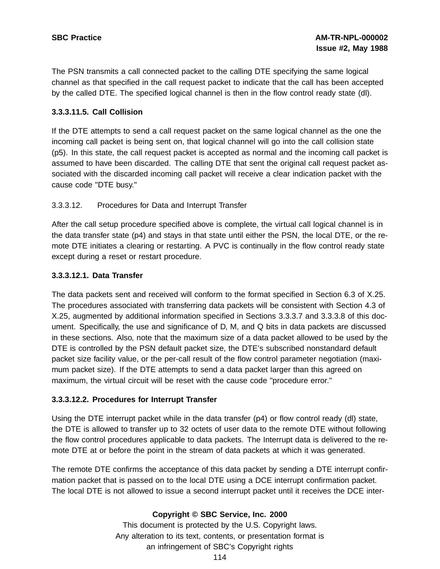The PSN transmits a call connected packet to the calling DTE specifying the same logical channel as that specified in the call request packet to indicate that the call has been accepted by the called DTE. The specified logical channel is then in the flow control ready state (dl).

# **3.3.3.11.5. Call Collision**

If the DTE attempts to send a call request packet on the same logical channel as the one the incoming call packet is being sent on, that logical channel will go into the call collision state (p5). In this state, the call request packet is accepted as normal and the incoming call packet is assumed to have been discarded. The calling DTE that sent the original call request packet associated with the discarded incoming call packet will receive a clear indication packet with the cause code "DTE busy."

# 3.3.3.12. Procedures for Data and Interrupt Transfer

After the call setup procedure specified above is complete, the virtual call logical channel is in the data transfer state (p4) and stays in that state until either the PSN, the local DTE, or the remote DTE initiates a clearing or restarting. A PVC is continually in the flow control ready state except during a reset or restart procedure.

# **3.3.3.12.1. Data Transfer**

The data packets sent and received will conform to the format specified in Section 6.3 of X.25. The procedures associated with transferring data packets will be consistent with Section 4.3 of X.25, augmented by additional information specified in Sections 3.3.3.7 and 3.3.3.8 of this document. Specifically, the use and significance of D, M, and Q bits in data packets are discussed in these sections. Also, note that the maximum size of a data packet allowed to be used by the DTE is controlled by the PSN default packet size, the DTE's subscribed nonstandard default packet size facility value, or the per-call result of the flow control parameter negotiation (maximum packet size). If the DTE attempts to send a data packet larger than this agreed on maximum, the virtual circuit will be reset with the cause code "procedure error."

#### **3.3.3.12.2. Procedures for Interrupt Transfer**

Using the DTE interrupt packet while in the data transfer (p4) or flow control ready (dl) state, the DTE is allowed to transfer up to 32 octets of user data to the remote DTE without following the flow control procedures applicable to data packets. The Interrupt data is delivered to the remote DTE at or before the point in the stream of data packets at which it was generated.

The remote DTE confirms the acceptance of this data packet by sending a DTE interrupt confirmation packet that is passed on to the local DTE using a DCE interrupt confirmation packet. The local DTE is not allowed to issue a second interrupt packet until it receives the DCE inter-

# **Copyright © SBC Service, Inc. 2000**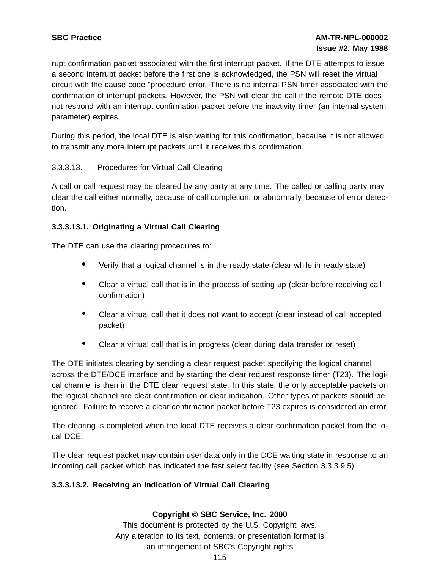rupt confirmation packet associated with the first interrupt packet. If the DTE attempts to issue a second interrupt packet before the first one is acknowledged, the PSN will reset the virtual circuit with the cause code "procedure error. There is no internal PSN timer associated with the confirmation of interrupt packets. However, the PSN will clear the call if the remote DTE does not respond with an interrupt confirmation packet before the inactivity timer (an internal system parameter) expires.

During this period, the local DTE is also waiting for this confirmation, because it is not allowed to transmit any more interrupt packets until it receives this confirmation.

# 3.3.3.13. Procedures for Virtual Call Clearing

A call or call request may be cleared by any party at any time. The called or calling party may clear the call either normally, because of call completion, or abnormally, because of error detection.

# **3.3.3.13.1. Originating a Virtual Call Clearing**

The DTE can use the clearing procedures to:

- Verify that <sup>a</sup> logical channel is in the ready state (clear while in ready state)
- Clear <sup>a</sup> virtual call that is in the process of setting up (clear before receiving call confirmation)
- Clear <sup>a</sup> virtual call that it does not want to accept (clear instead of call accepted packet)
- Clear <sup>a</sup> virtual call that is in progress (clear during data transfer or reset)

The DTE initiates clearing by sending a clear request packet specifying the logical channel across the DTE/DCE interface and by starting the clear request response timer (T23). The logical channel is then in the DTE clear request state. In this state, the only acceptable packets on the logical channel are clear confirmation or clear indication. Other types of packets should be ignored. Failure to receive a clear confirmation packet before T23 expires is considered an error.

The clearing is completed when the local DTE receives a clear confirmation packet from the local DCE.

The clear request packet may contain user data only in the DCE waiting state in response to an incoming call packet which has indicated the fast select facility (see Section 3.3.3.9.5).

#### **3.3.3.13.2. Receiving an Indication of Virtual Call Clearing**

#### **Copyright © SBC Service, Inc. 2000**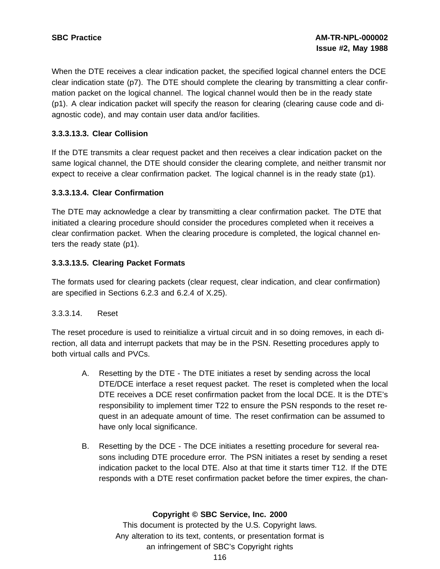When the DTE receives a clear indication packet, the specified logical channel enters the DCE clear indication state (p7). The DTE should complete the clearing by transmitting a clear confirmation packet on the logical channel. The logical channel would then be in the ready state (p1). A clear indication packet will specify the reason for clearing (clearing cause code and diagnostic code), and may contain user data and/or facilities.

# **3.3.3.13.3. Clear Collision**

If the DTE transmits a clear request packet and then receives a clear indication packet on the same logical channel, the DTE should consider the clearing complete, and neither transmit nor expect to receive a clear confirmation packet. The logical channel is in the ready state (p1).

# **3.3.3.13.4. Clear Confirmation**

The DTE may acknowledge a clear by transmitting a clear confirmation packet. The DTE that initiated a clearing procedure should consider the procedures completed when it receives a clear confirmation packet. When the clearing procedure is completed, the logical channel enters the ready state (p1).

# **3.3.3.13.5. Clearing Packet Formats**

The formats used for clearing packets (clear request, clear indication, and clear confirmation) are specified in Sections 6.2.3 and 6.2.4 of X.25).

#### 3.3.3.14. Reset

The reset procedure is used to reinitialize a virtual circuit and in so doing removes, in each direction, all data and interrupt packets that may be in the PSN. Resetting procedures apply to both virtual calls and PVCs.

- A. Resetting by the DTE The DTE initiates a reset by sending across the local DTE/DCE interface a reset request packet. The reset is completed when the local DTE receives a DCE reset confirmation packet from the local DCE. It is the DTE's responsibility to implement timer T22 to ensure the PSN responds to the reset request in an adequate amount of time. The reset confirmation can be assumed to have only local significance.
- B. Resetting by the DCE The DCE initiates a resetting procedure for several reasons including DTE procedure error. The PSN initiates a reset by sending a reset indication packet to the local DTE. Also at that time it starts timer T12. If the DTE responds with a DTE reset confirmation packet before the timer expires, the chan-

# **Copyright © SBC Service, Inc. 2000**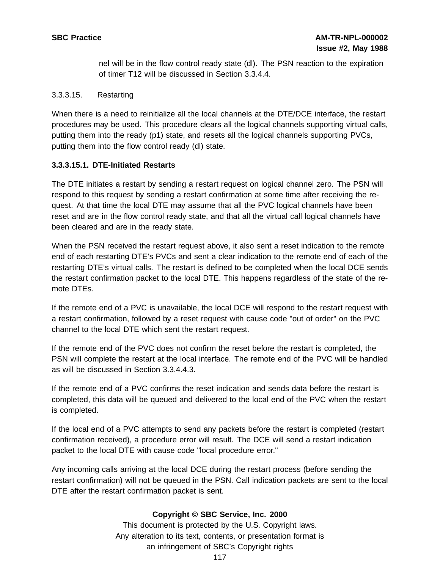nel will be in the flow control ready state (dl). The PSN reaction to the expiration of timer T12 will be discussed in Section 3.3.4.4.

#### 3.3.3.15. Restarting

When there is a need to reinitialize all the local channels at the DTE/DCE interface, the restart procedures may be used. This procedure clears all the logical channels supporting virtual calls, putting them into the ready (p1) state, and resets all the logical channels supporting PVCs, putting them into the flow control ready (dl) state.

#### **3.3.3.15.1. DTE-Initiated Restarts**

The DTE initiates a restart by sending a restart request on logical channel zero. The PSN will respond to this request by sending a restart confirmation at some time after receiving the request. At that time the local DTE may assume that all the PVC logical channels have been reset and are in the flow control ready state, and that all the virtual call logical channels have been cleared and are in the ready state.

When the PSN received the restart request above, it also sent a reset indication to the remote end of each restarting DTE's PVCs and sent a clear indication to the remote end of each of the restarting DTE's virtual calls. The restart is defined to be completed when the local DCE sends the restart confirmation packet to the local DTE. This happens regardless of the state of the remote DTEs.

If the remote end of a PVC is unavailable, the local DCE will respond to the restart request with a restart confirmation, followed by a reset request with cause code "out of order" on the PVC channel to the local DTE which sent the restart request.

If the remote end of the PVC does not confirm the reset before the restart is completed, the PSN will complete the restart at the local interface. The remote end of the PVC will be handled as will be discussed in Section 3.3.4.4.3.

If the remote end of a PVC confirms the reset indication and sends data before the restart is completed, this data will be queued and delivered to the local end of the PVC when the restart is completed.

If the local end of a PVC attempts to send any packets before the restart is completed (restart confirmation received), a procedure error will result. The DCE will send a restart indication packet to the local DTE with cause code "local procedure error."

Any incoming calls arriving at the local DCE during the restart process (before sending the restart confirmation) will not be queued in the PSN. Call indication packets are sent to the local DTE after the restart confirmation packet is sent.

#### **Copyright © SBC Service, Inc. 2000**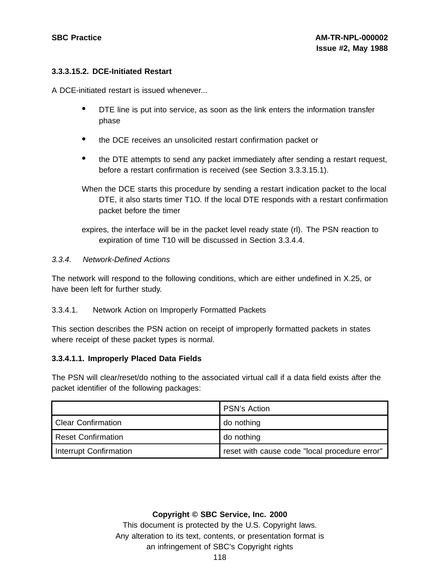#### **3.3.3.15.2. DCE-Initiated Restart**

A DCE-initiated restart is issued whenever...

- DTE line is put into service, as soon as the link enters the information transfer phase
- the DCE receives an unsolicited restart confirmation packet or
- the DTE attempts to send any packet immediately after sending <sup>a</sup> restart request, before a restart confirmation is received (see Section 3.3.3.15.1).
- When the DCE starts this procedure by sending a restart indication packet to the local DTE, it also starts timer T1O. If the local DTE responds with a restart confirmation packet before the timer
- expires, the interface will be in the packet level ready state (rl). The PSN reaction to expiration of time T10 will be discussed in Section 3.3.4.4.

#### 3.3.4. Network-Defined Actions

The network will respond to the following conditions, which are either undefined in X.25, or have been left for further study.

#### 3.3.4.1. Network Action on Improperly Formatted Packets

This section describes the PSN action on receipt of improperly formatted packets in states where receipt of these packet types is normal.

#### **3.3.4.1.1. Improperly Placed Data Fields**

The PSN will clear/reset/do nothing to the associated virtual call if a data field exists after the packet identifier of the following packages:

|                               | <b>PSN's Action</b>                           |
|-------------------------------|-----------------------------------------------|
| <b>Clear Confirmation</b>     | do nothing                                    |
| <b>Reset Confirmation</b>     | do nothing                                    |
| <b>Interrupt Confirmation</b> | reset with cause code "local procedure error" |

#### **Copyright © SBC Service, Inc. 2000**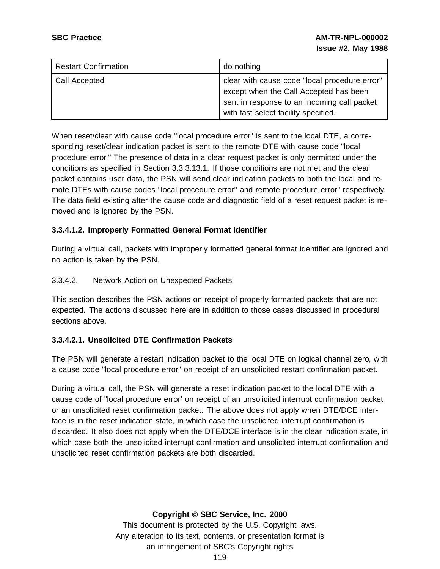| <b>Restart Confirmation</b> | do nothing                                                                                                                                                                     |
|-----------------------------|--------------------------------------------------------------------------------------------------------------------------------------------------------------------------------|
| Call Accepted               | clear with cause code "local procedure error"<br>except when the Call Accepted has been<br>sent in response to an incoming call packet<br>with fast select facility specified. |

When reset/clear with cause code "local procedure error" is sent to the local DTE, a corresponding reset/clear indication packet is sent to the remote DTE with cause code "local procedure error." The presence of data in a clear request packet is only permitted under the conditions as specified in Section 3.3.3.13.1. If those conditions are not met and the clear packet contains user data, the PSN will send clear indication packets to both the local and remote DTEs with cause codes "local procedure error" and remote procedure error" respectively. The data field existing after the cause code and diagnostic field of a reset request packet is removed and is ignored by the PSN.

#### **3.3.4.1.2. Improperly Formatted General Format Identifier**

During a virtual call, packets with improperly formatted general format identifier are ignored and no action is taken by the PSN.

### 3.3.4.2. Network Action on Unexpected Packets

This section describes the PSN actions on receipt of properly formatted packets that are not expected. The actions discussed here are in addition to those cases discussed in procedural sections above.

# **3.3.4.2.1. Unsolicited DTE Confirmation Packets**

The PSN will generate a restart indication packet to the local DTE on logical channel zero, with a cause code "local procedure error" on receipt of an unsolicited restart confirmation packet.

During a virtual call, the PSN will generate a reset indication packet to the local DTE with a cause code of "local procedure error' on receipt of an unsolicited interrupt confirmation packet or an unsolicited reset confirmation packet. The above does not apply when DTE/DCE interface is in the reset indication state, in which case the unsolicited interrupt confirmation is discarded. It also does not apply when the DTE/DCE interface is in the clear indication state, in which case both the unsolicited interrupt confirmation and unsolicited interrupt confirmation and unsolicited reset confirmation packets are both discarded.

#### **Copyright © SBC Service, Inc. 2000**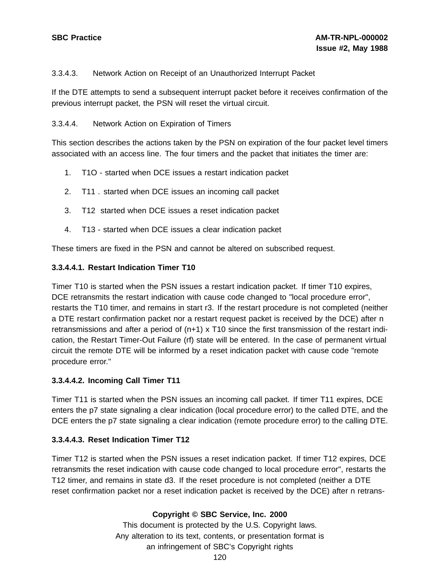# 3.3.4.3. Network Action on Receipt of an Unauthorized Interrupt Packet

If the DTE attempts to send a subsequent interrupt packet before it receives confirmation of the previous interrupt packet, the PSN will reset the virtual circuit.

#### 3.3.4.4. Network Action on Expiration of Timers

This section describes the actions taken by the PSN on expiration of the four packet level timers associated with an access line. The four timers and the packet that initiates the timer are:

- 1. T1O started when DCE issues a restart indication packet
- 2. T11 . started when DCE issues an incoming call packet
- 3. T12 started when DCE issues a reset indication packet
- 4. T13 started when DCE issues a clear indication packet

These timers are fixed in the PSN and cannot be altered on subscribed request.

#### **3.3.4.4.1. Restart Indication Timer T10**

Timer T10 is started when the PSN issues a restart indication packet. If timer T10 expires, DCE retransmits the restart indication with cause code changed to "local procedure error", restarts the T10 timer, and remains in start r3. If the restart procedure is not completed (neither a DTE restart confirmation packet nor a restart request packet is received by the DCE) after n retransmissions and after a period of (n+1) x T10 since the first transmission of the restart indication, the Restart Timer-Out Failure (rf) state will be entered. In the case of permanent virtual circuit the remote DTE will be informed by a reset indication packet with cause code "remote procedure error."

#### **3.3.4.4.2. Incoming Call Timer T11**

Timer T11 is started when the PSN issues an incoming call packet. If timer T11 expires, DCE enters the p7 state signaling a clear indication (local procedure error) to the called DTE, and the DCE enters the p7 state signaling a clear indication (remote procedure error) to the calling DTE.

#### **3.3.4.4.3. Reset Indication Timer T12**

Timer T12 is started when the PSN issues a reset indication packet. If timer T12 expires, DCE retransmits the reset indication with cause code changed to local procedure error", restarts the T12 timer, and remains in state d3. If the reset procedure is not completed (neither a DTE reset confirmation packet nor a reset indication packet is received by the DCE) after n retrans-

#### **Copyright © SBC Service, Inc. 2000**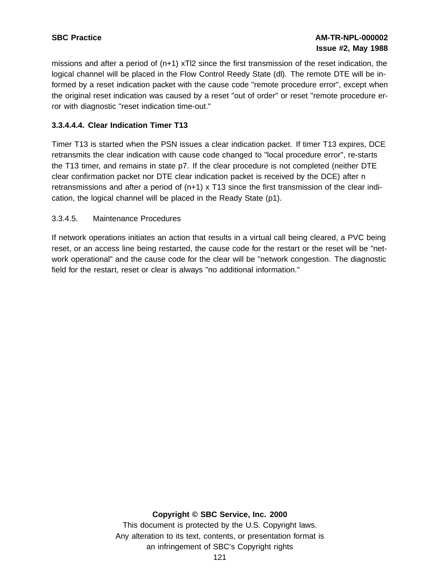missions and after a period of (n+1) xTl2 since the first transmission of the reset indication, the logical channel will be placed in the Flow Control Reedy State (dl). The remote DTE will be informed by a reset indication packet with the cause code "remote procedure error", except when the original reset indication was caused by a reset "out of order" or reset "remote procedure error with diagnostic "reset indication time-out."

# **3.3.4.4.4. Clear Indication Timer T13**

Timer T13 is started when the PSN issues a clear indication packet. If timer T13 expires, DCE retransmits the clear indication with cause code changed to "local procedure error", re-starts the T13 timer, and remains in state p7. If the clear procedure is not completed (neither DTE clear confirmation packet nor DTE clear indication packet is received by the DCE) after n retransmissions and after a period of (n+1) x T13 since the first transmission of the clear indication, the logical channel will be placed in the Ready State (p1).

# 3.3.4.5. Maintenance Procedures

If network operations initiates an action that results in a virtual call being cleared, a PVC being reset, or an access line being restarted, the cause code for the restart or the reset will be "network operational" and the cause code for the clear will be "network congestion. The diagnostic field for the restart, reset or clear is always "no additional information."

#### **Copyright © SBC Service, Inc. 2000**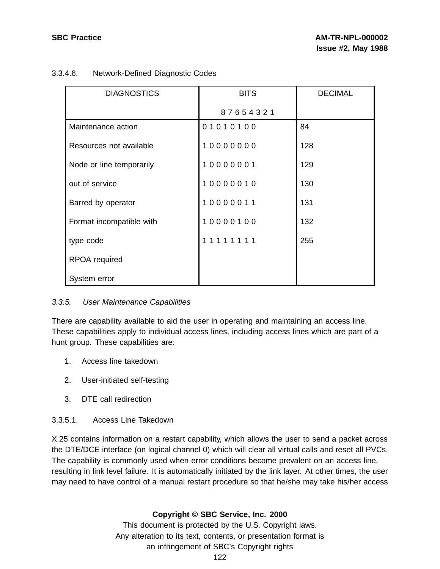# 3.3.4.6. Network-Defined Diagnostic Codes

| <b>DIAGNOSTICS</b>       | <b>BITS</b> | <b>DECIMAL</b> |
|--------------------------|-------------|----------------|
|                          | 87654321    |                |
| Maintenance action       | 01010100    | 84             |
| Resources not available  | 10000000    | 128            |
| Node or line temporarily | 10000001    | 129            |
| out of service           | 10000010    | 130            |
| Barred by operator       | 10000011    | 131            |
| Format incompatible with | 10000100    | 132            |
| type code                | 11111111    | 255            |
| RPOA required            |             |                |
| System error             |             |                |

# 3.3.5. User Maintenance Capabilities

There are capability available to aid the user in operating and maintaining an access line. These capabilities apply to individual access lines, including access lines which are part of a hunt group. These capabilities are:

- 1. Access line takedown
- 2. User-initiated self-testing
- 3. DTE call redirection

# 3.3.5.1. Access Line Takedown

X.25 contains information on a restart capability, which allows the user to send a packet across the DTE/DCE interface (on logical channel 0) which will clear all virtual calls and reset all PVCs. The capability is commonly used when error conditions become prevalent on an access line, resulting in link level failure. It is automatically initiated by the link layer. At other times, the user may need to have control of a manual restart procedure so that he/she may take his/her access

# **Copyright © SBC Service, Inc. 2000**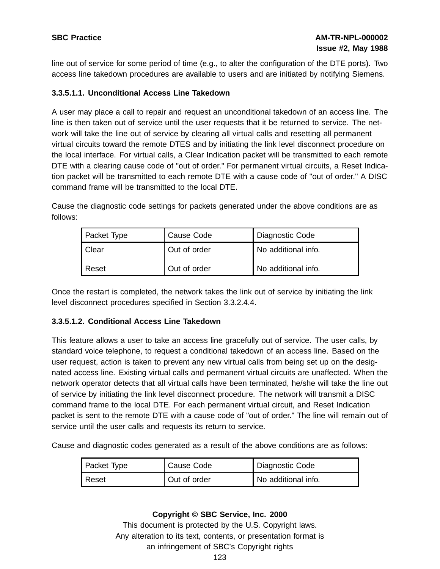line out of service for some period of time (e.g., to alter the configuration of the DTE ports). Two access line takedown procedures are available to users and are initiated by notifying Siemens.

# **3.3.5.1.1. Unconditional Access Line Takedown**

A user may place a call to repair and request an unconditional takedown of an access line. The line is then taken out of service until the user requests that it be returned to service. The network will take the line out of service by clearing all virtual calls and resetting all permanent virtual circuits toward the remote DTES and by initiating the link level disconnect procedure on the local interface. For virtual calls, a Clear Indication packet will be transmitted to each remote DTE with a clearing cause code of "out of order." For permanent virtual circuits, a Reset Indication packet will be transmitted to each remote DTE with a cause code of "out of order." A DISC command frame will be transmitted to the local DTE.

Cause the diagnostic code settings for packets generated under the above conditions are as follows:

| Packet Type | <b>Cause Code</b> | Diagnostic Code     |
|-------------|-------------------|---------------------|
| Clear       | Out of order      | No additional info. |
| l Reset     | Out of order      | No additional info. |

Once the restart is completed, the network takes the link out of service by initiating the link level disconnect procedures specified in Section 3.3.2.4.4.

# **3.3.5.1.2. Conditional Access Line Takedown**

This feature allows a user to take an access line gracefully out of service. The user calls, by standard voice telephone, to request a conditional takedown of an access line. Based on the user request, action is taken to prevent any new virtual calls from being set up on the designated access line. Existing virtual calls and permanent virtual circuits are unaffected. When the network operator detects that all virtual calls have been terminated, he/she will take the line out of service by initiating the link level disconnect procedure. The network will transmit a DISC command frame to the local DTE. For each permanent virtual circuit, and Reset Indication packet is sent to the remote DTE with a cause code of "out of order." The line will remain out of service until the user calls and requests its return to service.

Cause and diagnostic codes generated as a result of the above conditions are as follows:

| Packet Type | Cause Code   | Diagnostic Code     |
|-------------|--------------|---------------------|
| Reset       | Out of order | No additional info. |

# **Copyright © SBC Service, Inc. 2000**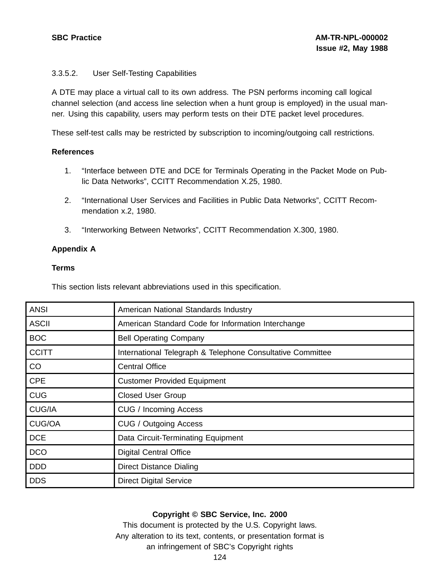### 3.3.5.2. User Self-Testing Capabilities

A DTE may place a virtual call to its own address. The PSN performs incoming call logical channel selection (and access line selection when a hunt group is employed) in the usual manner. Using this capability, users may perform tests on their DTE packet level procedures.

These self-test calls may be restricted by subscription to incoming/outgoing call restrictions.

#### **References**

- 1. "Interface between DTE and DCE for Terminals Operating in the Packet Mode on Public Data Networks", CCITT Recommendation X.25, 1980.
- 2. "International User Services and Facilities in Public Data Networks", CCITT Recommendation x.2, 1980.
- 3. "Interworking Between Networks", CCITT Recommendation X.300, 1980.

# **Appendix A**

#### **Terms**

This section lists relevant abbreviations used in this specification.

| <b>ANSI</b>  | American National Standards Industry                       |
|--------------|------------------------------------------------------------|
| <b>ASCII</b> | American Standard Code for Information Interchange         |
| <b>BOC</b>   | <b>Bell Operating Company</b>                              |
| <b>CCITT</b> | International Telegraph & Telephone Consultative Committee |
| CO           | <b>Central Office</b>                                      |
| <b>CPE</b>   | <b>Customer Provided Equipment</b>                         |
| <b>CUG</b>   | <b>Closed User Group</b>                                   |
| CUG/IA       | CUG / Incoming Access                                      |
| CUG/OA       | CUG / Outgoing Access                                      |
| <b>DCE</b>   | Data Circuit-Terminating Equipment                         |
| <b>DCO</b>   | <b>Digital Central Office</b>                              |
| <b>DDD</b>   | Direct Distance Dialing                                    |
| <b>DDS</b>   | <b>Direct Digital Service</b>                              |

#### **Copyright © SBC Service, Inc. 2000**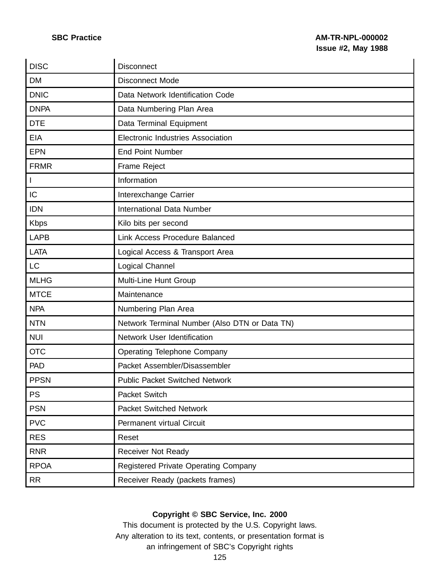| <b>DISC</b>  | <b>Disconnect</b>                             |
|--------------|-----------------------------------------------|
| <b>DM</b>    | <b>Disconnect Mode</b>                        |
| <b>DNIC</b>  | Data Network Identification Code              |
| <b>DNPA</b>  | Data Numbering Plan Area                      |
| <b>DTE</b>   | Data Terminal Equipment                       |
| <b>EIA</b>   | <b>Electronic Industries Association</b>      |
| <b>EPN</b>   | <b>End Point Number</b>                       |
| <b>FRMR</b>  | Frame Reject                                  |
| $\mathbf{I}$ | Information                                   |
| IC           | Interexchange Carrier                         |
| <b>IDN</b>   | <b>International Data Number</b>              |
| <b>Kbps</b>  | Kilo bits per second                          |
| <b>LAPB</b>  | Link Access Procedure Balanced                |
| <b>LATA</b>  | Logical Access & Transport Area               |
| <b>LC</b>    | Logical Channel                               |
| <b>MLHG</b>  | Multi-Line Hunt Group                         |
| <b>MTCE</b>  | Maintenance                                   |
| <b>NPA</b>   | Numbering Plan Area                           |
| <b>NTN</b>   | Network Terminal Number (Also DTN or Data TN) |
| <b>NUI</b>   | Network User Identification                   |
| <b>OTC</b>   | <b>Operating Telephone Company</b>            |
| <b>PAD</b>   | Packet Assembler/Disassembler                 |
| <b>PPSN</b>  | <b>Public Packet Switched Network</b>         |
| <b>PS</b>    | Packet Switch                                 |
| <b>PSN</b>   | <b>Packet Switched Network</b>                |
| <b>PVC</b>   | Permanent virtual Circuit                     |
| <b>RES</b>   | Reset                                         |
| <b>RNR</b>   | <b>Receiver Not Ready</b>                     |
| <b>RPOA</b>  | <b>Registered Private Operating Company</b>   |
| <b>RR</b>    | Receiver Ready (packets frames)               |

# **Copyright © SBC Service, Inc. 2000**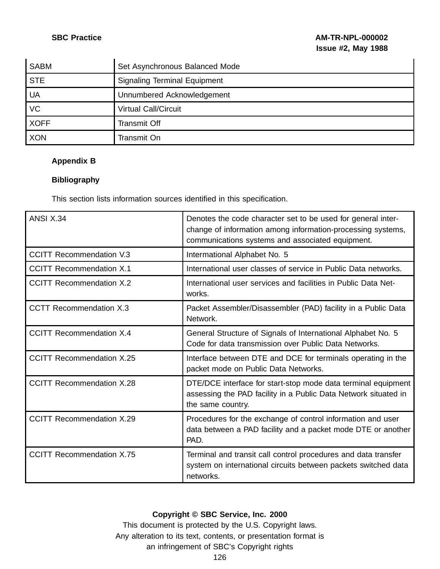| <b>SABM</b> | Set Asynchronous Balanced Mode      |
|-------------|-------------------------------------|
| <b>STE</b>  | <b>Signaling Terminal Equipment</b> |
| <b>UA</b>   | Unnumbered Acknowledgement          |
| VC          | <b>Virtual Call/Circuit</b>         |
| <b>XOFF</b> | <b>Transmit Off</b>                 |
| <b>XON</b>  | Transmit On                         |

# **Appendix B**

# **Bibliography**

This section lists information sources identified in this specification.

| <b>ANSI X.34</b>                 | Denotes the code character set to be used for general inter-<br>change of information among information-processing systems,<br>communications systems and associated equipment. |
|----------------------------------|---------------------------------------------------------------------------------------------------------------------------------------------------------------------------------|
| <b>CCITT Recommendation V.3</b>  | Intermational Alphabet No. 5                                                                                                                                                    |
| <b>CCITT Recommendation X.1</b>  | International user classes of service in Public Data networks.                                                                                                                  |
| <b>CCITT Recommendation X.2</b>  | International user services and facilities in Public Data Net-<br>works.                                                                                                        |
| <b>CCTT Recommendation X.3</b>   | Packet Assembler/Disassembler (PAD) facility in a Public Data<br>Network.                                                                                                       |
| <b>CCITT Recommendation X.4</b>  | General Structure of Signals of International Alphabet No. 5<br>Code for data transmission over Public Data Networks.                                                           |
| <b>CCITT Recommendation X.25</b> | Interface between DTE and DCE for terminals operating in the<br>packet mode on Public Data Networks.                                                                            |
| <b>CCITT Recommendation X.28</b> | DTE/DCE interface for start-stop mode data terminal equipment<br>assessing the PAD facility in a Public Data Network situated in<br>the same country.                           |
| <b>CCITT Recommendation X.29</b> | Procedures for the exchange of control information and user<br>data between a PAD facility and a packet mode DTE or another<br>PAD.                                             |
| <b>CCITT Recommendation X.75</b> | Terminal and transit call control procedures and data transfer<br>system on international circuits between packets switched data<br>networks.                                   |

# **Copyright © SBC Service, Inc. 2000**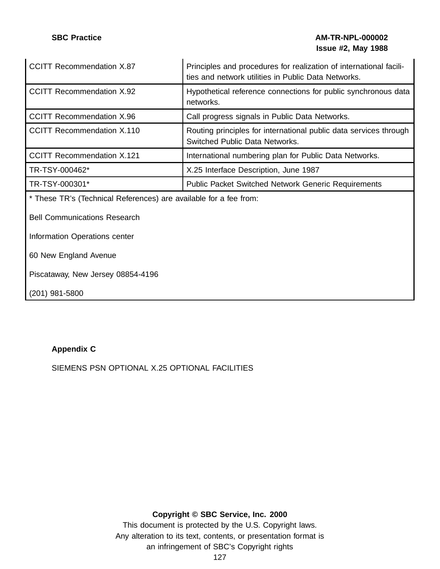# **SBC Practice AM-TR-NPL-000002 Issue #2, May 1988**

| <b>CCITT Recommendation X.87</b>                                  | Principles and procedures for realization of international facili-<br>ties and network utilities in Public Data Networks. |  |  |
|-------------------------------------------------------------------|---------------------------------------------------------------------------------------------------------------------------|--|--|
| <b>CCITT Recommendation X.92</b>                                  | Hypothetical reference connections for public synchronous data<br>networks.                                               |  |  |
| <b>CCITT Recommendation X.96</b>                                  | Call progress signals in Public Data Networks.                                                                            |  |  |
| <b>CCITT Recommendation X.110</b>                                 | Routing principles for international public data services through<br>Switched Public Data Networks.                       |  |  |
| <b>CCITT Recommendation X.121</b>                                 | International numbering plan for Public Data Networks.                                                                    |  |  |
| TR-TSY-000462*                                                    | X.25 Interface Description, June 1987                                                                                     |  |  |
| TR-TSY-000301*                                                    | <b>Public Packet Switched Network Generic Requirements</b>                                                                |  |  |
| * These TR's (Technical References) are available for a fee from: |                                                                                                                           |  |  |
| <b>Bell Communications Research</b>                               |                                                                                                                           |  |  |
| Information Operations center                                     |                                                                                                                           |  |  |
| 60 New England Avenue                                             |                                                                                                                           |  |  |
| Piscataway, New Jersey 08854-4196                                 |                                                                                                                           |  |  |
| (201) 981-5800                                                    |                                                                                                                           |  |  |

# **Appendix C**

SIEMENS PSN OPTIONAL X.25 OPTIONAL FACILITIES

# **Copyright © SBC Service, Inc. 2000**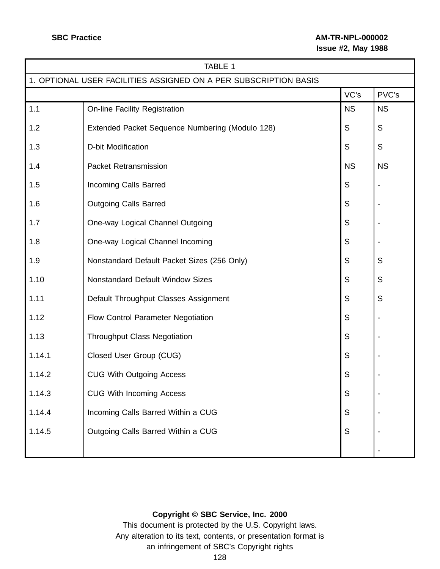# **SBC Practice AM-TR-NPL-000002 Issue #2, May 1988**

| TABLE 1                                                          |                                                 |             |             |
|------------------------------------------------------------------|-------------------------------------------------|-------------|-------------|
| 1. OPTIONAL USER FACILITIES ASSIGNED ON A PER SUBSCRIPTION BASIS |                                                 |             |             |
|                                                                  |                                                 | VC's        | PVC's       |
| 1.1                                                              | On-line Facility Registration                   | <b>NS</b>   | <b>NS</b>   |
| 1.2                                                              | Extended Packet Sequence Numbering (Modulo 128) | S           | $\mathsf S$ |
| 1.3                                                              | <b>D-bit Modification</b>                       | S           | $\mathsf S$ |
| 1.4                                                              | <b>Packet Retransmission</b>                    | <b>NS</b>   | <b>NS</b>   |
| 1.5                                                              | <b>Incoming Calls Barred</b>                    | S           |             |
| 1.6                                                              | <b>Outgoing Calls Barred</b>                    | $\mathsf S$ |             |
| 1.7                                                              | One-way Logical Channel Outgoing                | S           |             |
| 1.8                                                              | One-way Logical Channel Incoming                | $\mathsf S$ |             |
| 1.9                                                              | Nonstandard Default Packet Sizes (256 Only)     | $\mathsf S$ | S           |
| 1.10                                                             | <b>Nonstandard Default Window Sizes</b>         | S           | S           |
| 1.11                                                             | Default Throughput Classes Assignment           | $\mathsf S$ | S           |
| 1.12                                                             | Flow Control Parameter Negotiation              | $\mathsf S$ |             |
| 1.13                                                             | <b>Throughput Class Negotiation</b>             | $\mathsf S$ |             |
| 1.14.1                                                           | Closed User Group (CUG)                         | $\mathsf S$ |             |
| 1.14.2                                                           | <b>CUG With Outgoing Access</b>                 | $\mathsf S$ |             |
| 1.14.3                                                           | <b>CUG With Incoming Access</b>                 | S           |             |
| 1.14.4                                                           | Incoming Calls Barred Within a CUG              | $\mathsf S$ |             |
| 1.14.5                                                           | Outgoing Calls Barred Within a CUG              | S           |             |
|                                                                  |                                                 |             |             |

# **Copyright © SBC Service, Inc. 2000**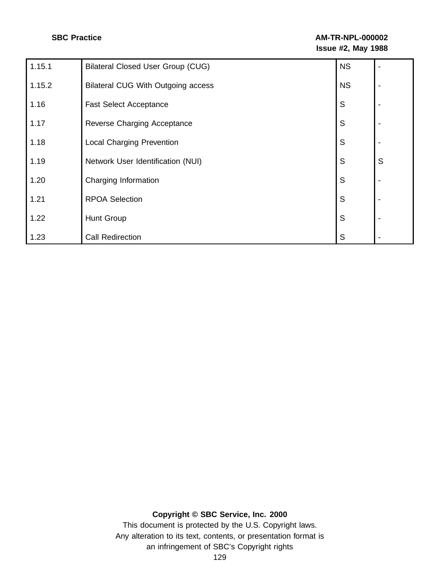| 1.15.1 | <b>Bilateral Closed User Group (CUG)</b>  | <b>NS</b> | $\blacksquare$           |
|--------|-------------------------------------------|-----------|--------------------------|
| 1.15.2 | <b>Bilateral CUG With Outgoing access</b> | <b>NS</b> | $\overline{\phantom{0}}$ |
| 1.16   | <b>Fast Select Acceptance</b>             | S         | $\overline{\phantom{a}}$ |
| 1.17   | Reverse Charging Acceptance               | S         | $\overline{\phantom{0}}$ |
| 1.18   | <b>Local Charging Prevention</b>          | S         | $\blacksquare$           |
| 1.19   | Network User Identification (NUI)         | S         | S                        |
| 1.20   | Charging Information                      | S         | $\overline{\phantom{0}}$ |
| 1.21   | <b>RPOA Selection</b>                     | S         | $\overline{\phantom{a}}$ |
| 1.22   | Hunt Group                                | S         | $\overline{\phantom{a}}$ |
| 1.23   | <b>Call Redirection</b>                   | S         |                          |

# **Copyright © SBC Service, Inc. 2000**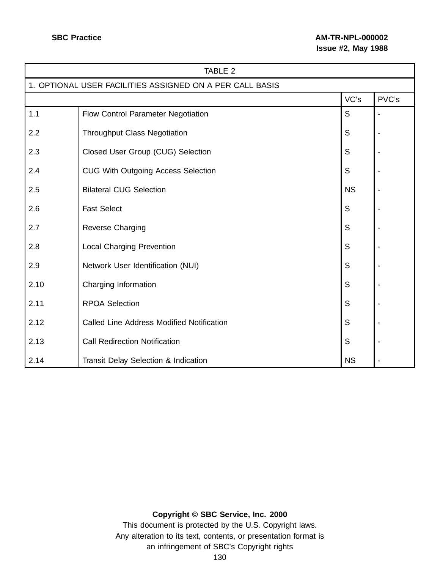| TABLE 2                                                  |                                                  |           |  |  |  |  |  |  |
|----------------------------------------------------------|--------------------------------------------------|-----------|--|--|--|--|--|--|
| 1. OPTIONAL USER FACILITIES ASSIGNED ON A PER CALL BASIS |                                                  |           |  |  |  |  |  |  |
| VC's<br>PVC's                                            |                                                  |           |  |  |  |  |  |  |
| 1.1                                                      | Flow Control Parameter Negotiation               | S         |  |  |  |  |  |  |
| 2.2                                                      | <b>Throughput Class Negotiation</b>              | S         |  |  |  |  |  |  |
| 2.3                                                      | Closed User Group (CUG) Selection                | S         |  |  |  |  |  |  |
| 2.4                                                      | <b>CUG With Outgoing Access Selection</b>        | S         |  |  |  |  |  |  |
| 2.5                                                      | <b>Bilateral CUG Selection</b>                   | <b>NS</b> |  |  |  |  |  |  |
| 2.6                                                      | <b>Fast Select</b>                               | S         |  |  |  |  |  |  |
| 2.7                                                      | Reverse Charging                                 | S         |  |  |  |  |  |  |
| 2.8                                                      | <b>Local Charging Prevention</b>                 | S         |  |  |  |  |  |  |
| 2.9                                                      | Network User Identification (NUI)                | S         |  |  |  |  |  |  |
| 2.10                                                     | Charging Information                             | S         |  |  |  |  |  |  |
| 2.11                                                     | <b>RPOA Selection</b>                            | S         |  |  |  |  |  |  |
| 2.12                                                     | <b>Called Line Address Modified Notification</b> | S         |  |  |  |  |  |  |
| 2.13                                                     | <b>Call Redirection Notification</b>             | S         |  |  |  |  |  |  |
| 2.14                                                     | Transit Delay Selection & Indication             | <b>NS</b> |  |  |  |  |  |  |

# **Copyright © SBC Service, Inc. 2000**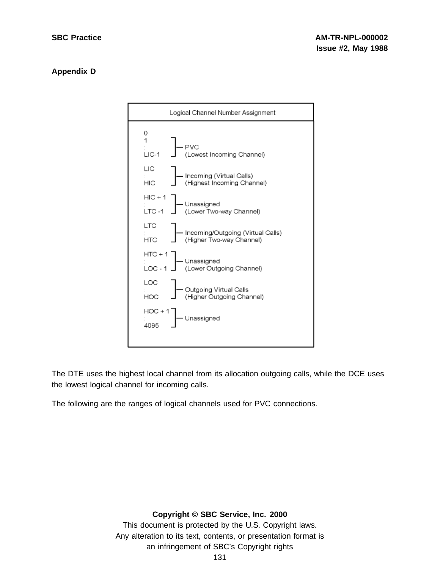# **Appendix D**



The DTE uses the highest local channel from its allocation outgoing calls, while the DCE uses the lowest logical channel for incoming calls.

The following are the ranges of logical channels used for PVC connections.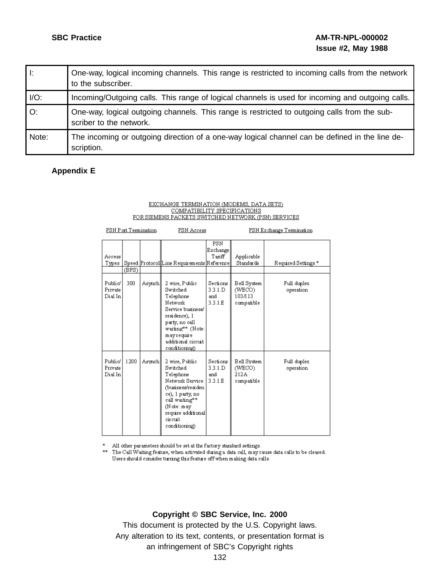| Ŀ.      | One-way, logical incoming channels. This range is restricted to incoming calls from the network<br>to the subscriber.   |
|---------|-------------------------------------------------------------------------------------------------------------------------|
| $I/O$ : | Incoming/Outgoing calls. This range of logical channels is used for incoming and outgoing calls.                        |
| O:      | One-way, logical outgoing channels. This range is restricted to outgoing calls from the sub-<br>scriber to the network. |
| Note:   | The incoming or outgoing direction of a one-way logical channel can be defined in the line de-<br>scription.            |

# **Appendix E**

# EXCHANGE TERMINATION (MODEMS, DATA SETS)  $\frac{\text{COMPATHIITY SPECIFICATION S}}{\text{CORSEMENTS SMTP SECIFICATION S}}$

| PSN Port Termination          |       |        | PSN Access                                                                                                                                                                            |                                        | PSN Exchange Termination                       |                          |
|-------------------------------|-------|--------|---------------------------------------------------------------------------------------------------------------------------------------------------------------------------------------|----------------------------------------|------------------------------------------------|--------------------------|
| Access<br>Types               | (BPS) |        | Speed Protocol Line Requirements Reference                                                                                                                                            | <b>PSN</b><br>Exchange<br>Tariff       | Applicable<br>Standards                        | Required Settings*       |
| Public/<br>Private<br>Dial In | 300   | Asynch | 2 wire, Public<br>Switched<br>Telephone<br>Network<br>Service business/<br>residence), 1<br>party, no call<br>waiting** (Note:<br>mayrequire<br>additional circuit<br>conditioning)   | Sections<br>3.3.1.D<br>and<br>3.3.1.E. | Bell System<br>(WECO)<br>103/113<br>compatible | Full duplex<br>operation |
| Public/<br>Private<br>Dial In | 1200  | Asynch | 2 wire, Public<br>Switched<br>Telephone<br>Network Service<br>(business/residen<br>ce), 1 party, no<br>call waiting**<br>(Note: may<br>require additional<br>circuit<br>conditioning) | Sections<br>3.3.1.D<br>and<br>3.3.1.E. | Bell System<br>(WECO)<br>212A<br>compatible    | Full duplex<br>operation |

\* All other parameters should be set at the factory standard settings.

\*\* The Call Waiting feature, when activated during a data call, may cause data calls to be cleared. Users should consider turning this feature off when making data calls.

**Copyright © SBC Service, Inc. 2000**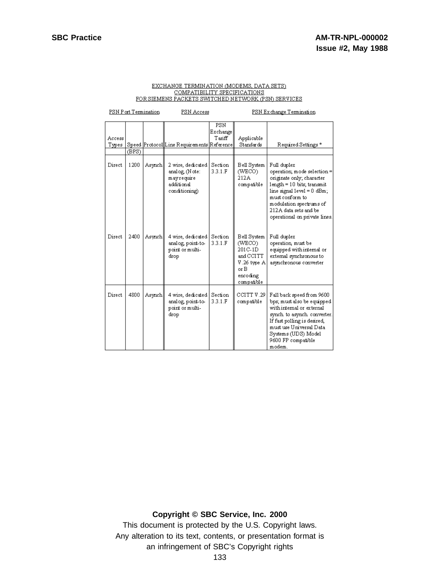| PSN Port Termination |       |        | PSN Access                                                                       |                           | PSN Exchange Termination                                                                         |                                                                                                                                                                                                                                                 |
|----------------------|-------|--------|----------------------------------------------------------------------------------|---------------------------|--------------------------------------------------------------------------------------------------|-------------------------------------------------------------------------------------------------------------------------------------------------------------------------------------------------------------------------------------------------|
| Access<br>Types      | (BPS) |        | Speed Protocol Line Requirements Reference                                       | PSN<br>Exchange<br>Tariff | Applicable<br>Standards                                                                          | Required Settings*                                                                                                                                                                                                                              |
| Direct               | 1200  | Asynch | 2 wire, dedicated<br>analog, (Note:<br>mayrequire<br>additional<br>conditioning) | Section<br>3.3.1.F        | Bell System<br>(WECO)<br>212A<br>compatible                                                      | Full duplex<br>operation; mode selection =<br>originate only; character<br>$length = 10$ bits; transmit<br>$line signal level = 0 dBm;$<br>must conform to<br>modulation spectrums of<br>212A data sets and be<br>operational on private lines. |
| Direct               | 2400  | Asynch | 4 wire, dedicated<br>analog, point-to-<br>point or multi-<br>drop                | Section<br>3.3.1.F        | Bell System<br>(WECO)<br>201C-1D<br>and CCITT<br>V.26 type A<br>or $B$<br>encoding<br>compatible | Full duplex<br>operation, must be<br>equipped with internal or<br>external synchronous to<br>asynchronous converter                                                                                                                             |
| Direct               | 4800  | Asynch | 4 wire, dedicated<br>analog, point-to-<br>point or multi-<br>drop                | Section<br>3.3.1.F        | CCITT V.29<br>compatible                                                                         | Fall back speed from 9600<br>bps; must also be equipped<br>with internal or external<br>synch to asynch converter.<br>If fast polling is desired,<br>must use Universal Data<br>Systems (UDS) Model<br>9600 FP compatible<br>modem.             |

#### **Copyright © SBC Service, Inc. 2000**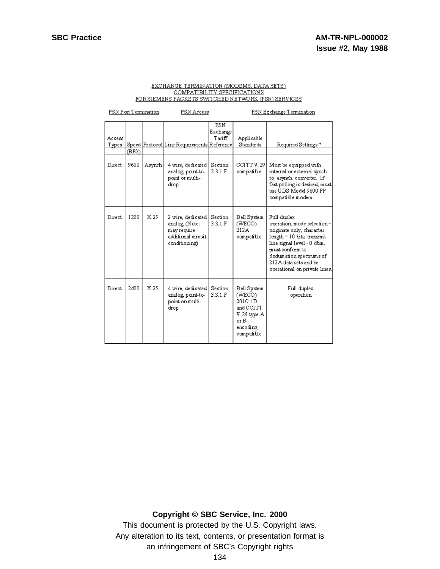|                 | PSN Port Termination |        | PSN Access                                                                               |                                     | PSN Exchange Termination                                                                         |                                                                                                                                                                                                                                              |
|-----------------|----------------------|--------|------------------------------------------------------------------------------------------|-------------------------------------|--------------------------------------------------------------------------------------------------|----------------------------------------------------------------------------------------------------------------------------------------------------------------------------------------------------------------------------------------------|
| Access<br>Types | (BPS)                |        | Speed Protocol Line Requirements Reference                                               | <b>PSN</b><br>Exchange<br>$T$ ariff | Applicable<br>Standards                                                                          | Required Settings*                                                                                                                                                                                                                           |
| Direct          | 9600                 | Asynch | 4 wire, dedicated<br>analog, point-to-<br>point or multi-<br>drop                        | Section<br>3.3.1.F                  | CCITT V.29<br>compatible                                                                         | Must be equipped with<br>internal or external synch.<br>to asynch. converter. If<br>fast polling is desired, must<br>use UDS Model 9600 FP<br>compatible modem.                                                                              |
| Direct          | 1200                 | X.25   | 2 wire, dedicated<br>analog, (Note:<br>mayrequire<br>additional circuit<br>conditioning) | Section<br>3.3.1.F                  | Bell System<br>(WECO)<br>212A<br>compatible                                                      | Full duplex<br>operation, mode selection=<br>originate only, character<br>$length = 10$ bits, transmit<br>line signal level - 0 dbm,<br>must conform to<br>dodumation spectrums of<br>212A data sets and be<br>operational on private lines. |
| Direct          | 2400                 | X.25   | 4 wire, dedicated<br>analog, point-to-<br>point on multi-<br>drop                        | Section<br>3.3.1.F                  | Bell System<br>(WECO)<br>$201C-1D$<br>and CCITT<br>V.26 type A<br>or B<br>encoding<br>compatible | Full duplex<br>operation                                                                                                                                                                                                                     |

#### **Copyright © SBC Service, Inc. 2000**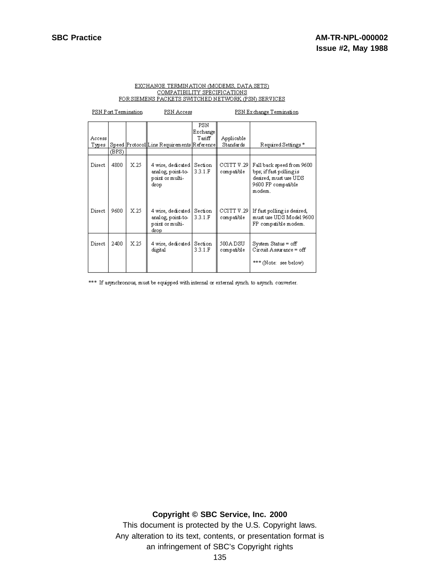| PSN Port Termination |       | PSN Access |                                                                     | PSN Exchange Termination |                            |                                                                                                               |
|----------------------|-------|------------|---------------------------------------------------------------------|--------------------------|----------------------------|---------------------------------------------------------------------------------------------------------------|
|                      |       |            |                                                                     | PSN.<br>Exchange         |                            |                                                                                                               |
| Access               |       |            |                                                                     | $\operatorname{Tanff}$   | Applicable                 |                                                                                                               |
| Types                |       |            | Speed Protocol Line Requirements Reference                          |                          | Standards                  | Required Settings*                                                                                            |
|                      | (BPS) |            |                                                                     |                          |                            |                                                                                                               |
| Direct.              | 4800  | X.25       | 4 wire, dedicated  <br>analog, point-to-<br>point or multi-<br>drop | Section<br>3.3.1.F       | CCITT V.29 l<br>compatible | Fall back speed from 9600<br>bps; if fast polling is<br>desired, must use UDS<br>9600 FP compatible<br>modem. |
| Direct               | 9600  | X.25       | 4 wire, dedicated  <br>analog, point-to-<br>point or multi-<br>drop | Section<br>3.3.1.F       | CCITT V.29 l<br>compatible | If fast polling is desired,<br>must use UDS Model 9600<br>FP compatible modem.                                |
| Direct               | 2400  | X.25       | 4 wire, dedicated  <br>digital                                      | Section<br>3.3.1 F       | 500 A D SU<br>compatible   | System Status = off<br>Circuit Assurance = off<br>*** (Note: see below)                                       |

\*\*\* If asynchronous, must be equipped with internal or external synch to asynch converter.

**Copyright © SBC Service, Inc. 2000**